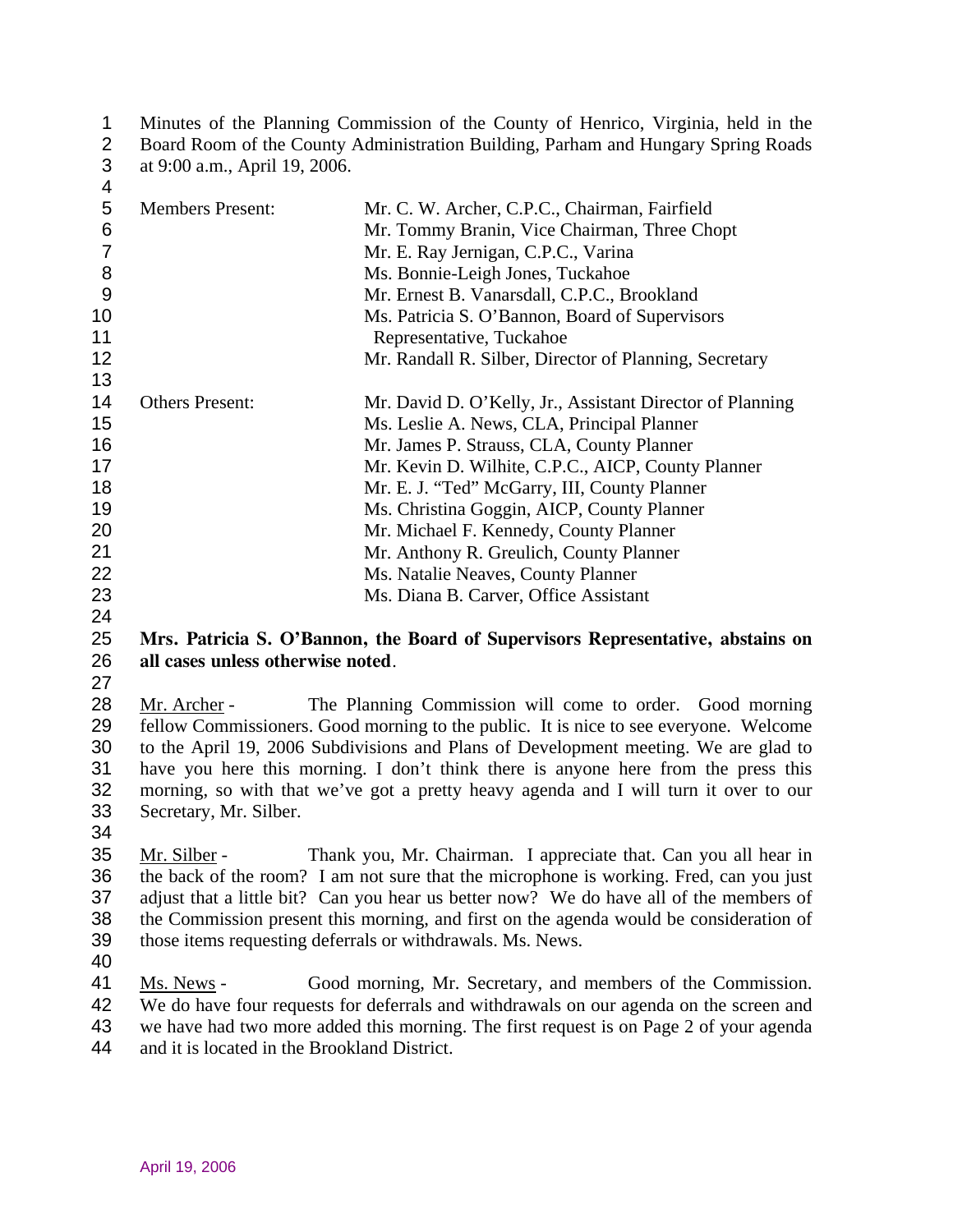| Minutes of the Planning Commission of the County of Henrico, Virginia, held in the  |
|-------------------------------------------------------------------------------------|
| 2 Board Room of the County Administration Building, Parham and Hungary Spring Roads |
| 3 at 9:00 a.m., April 19, 2006.                                                     |

| 4  |                         |                                                           |
|----|-------------------------|-----------------------------------------------------------|
| 5  | <b>Members Present:</b> | Mr. C. W. Archer, C.P.C., Chairman, Fairfield             |
| 6  |                         | Mr. Tommy Branin, Vice Chairman, Three Chopt              |
| 7  |                         | Mr. E. Ray Jernigan, C.P.C., Varina                       |
| 8  |                         | Ms. Bonnie-Leigh Jones, Tuckahoe                          |
| 9  |                         | Mr. Ernest B. Vanarsdall, C.P.C., Brookland               |
| 10 |                         | Ms. Patricia S. O'Bannon, Board of Supervisors            |
| 11 |                         | Representative, Tuckahoe                                  |
| 12 |                         | Mr. Randall R. Silber, Director of Planning, Secretary    |
| 13 |                         |                                                           |
| 14 | <b>Others Present:</b>  | Mr. David D. O'Kelly, Jr., Assistant Director of Planning |
| 15 |                         | Ms. Leslie A. News, CLA, Principal Planner                |
| 16 |                         | Mr. James P. Strauss, CLA, County Planner                 |
| 17 |                         | Mr. Kevin D. Wilhite, C.P.C., AICP, County Planner        |
| 18 |                         | Mr. E. J. "Ted" McGarry, III, County Planner              |
| 19 |                         | Ms. Christina Goggin, AICP, County Planner                |
| 20 |                         | Mr. Michael F. Kennedy, County Planner                    |
| 21 |                         | Mr. Anthony R. Greulich, County Planner                   |
| 22 |                         | Ms. Natalie Neaves, County Planner                        |
| 23 |                         | Ms. Diana B. Carver, Office Assistant                     |

24

### 25 26 **Mrs. Patricia S. O'Bannon, the Board of Supervisors Representative, abstains on all cases unless otherwise noted**.

27

Mr. Archer - The Planning Commission will come to order. Good morning fellow Commissioners. Good morning to the public. It is nice to see everyone. Welcome to the April 19, 2006 Subdivisions and Plans of Development meeting. We are glad to have you here this morning. I don't think there is anyone here from the press this morning, so with that we've got a pretty heavy agenda and I will turn it over to our Secretary, Mr. Silber. 28 29 30 31 32 33

34

Mr. Silber - Thank you, Mr. Chairman. I appreciate that. Can you all hear in the back of the room? I am not sure that the microphone is working. Fred, can you just adjust that a little bit? Can you hear us better now? We do have all of the members of the Commission present this morning, and first on the agenda would be consideration of those items requesting deferrals or withdrawals. Ms. News. 35 36 37 38 39

40

Ms. News - Good morning, Mr. Secretary, and members of the Commission. We do have four requests for deferrals and withdrawals on our agenda on the screen and we have had two more added this morning. The first request is on Page 2 of your agenda and it is located in the Brookland District. 41 42 43 44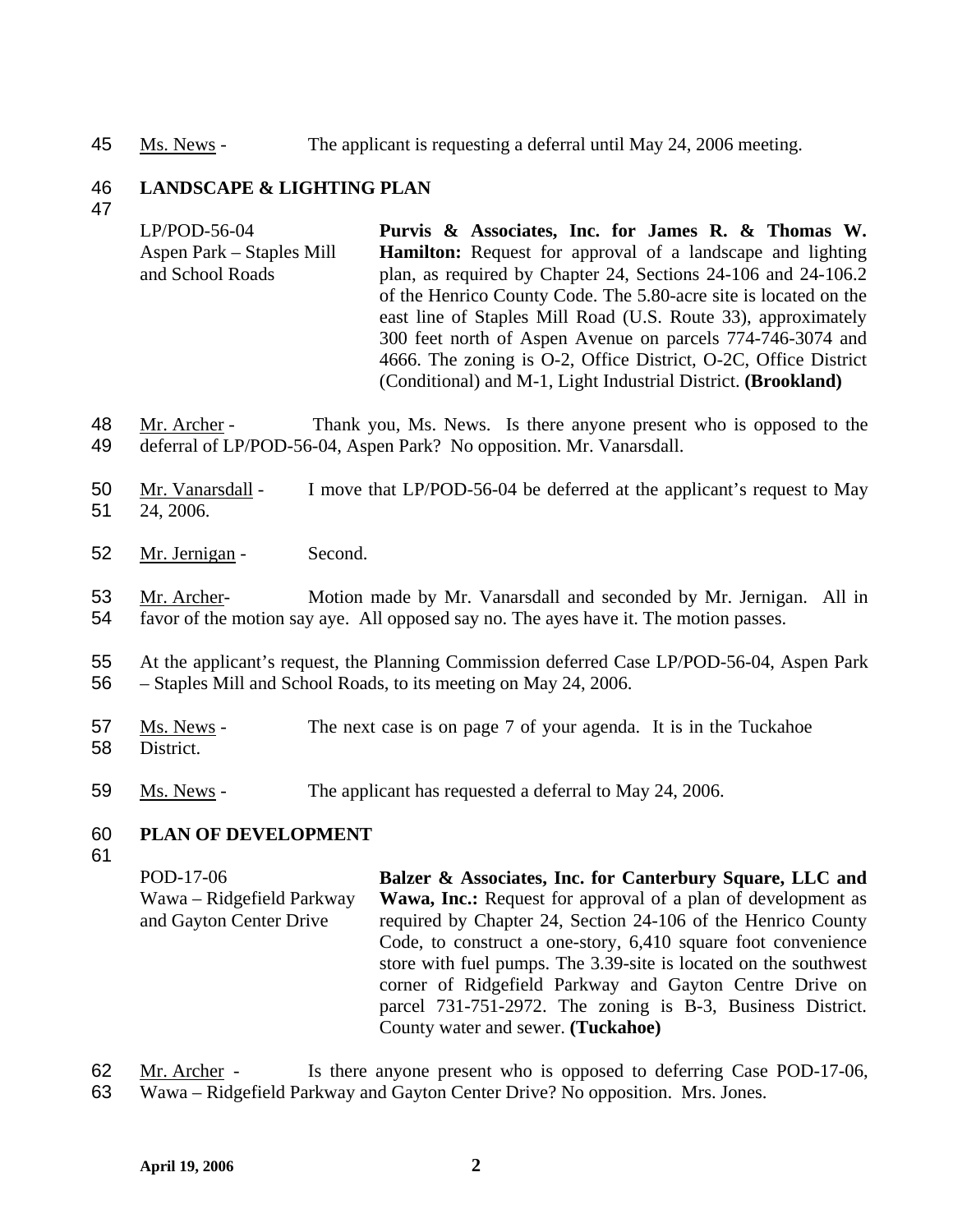45 Ms. News - The applicant is requesting a deferral until May 24, 2006 meeting.

#### 46 **LANDSCAPE & LIGHTING PLAN**

47

LP/POD-56-04 Aspen Park – Staples Mill and School Roads **Purvis & Associates, Inc. for James R. & Thomas W. Hamilton:** Request for approval of a landscape and lighting plan, as required by Chapter 24, Sections 24-106 and 24-106.2 of the Henrico County Code. The 5.80-acre site is located on the east line of Staples Mill Road (U.S. Route 33), approximately 300 feet north of Aspen Avenue on parcels 774-746-3074 and 4666. The zoning is O-2, Office District, O-2C, Office District (Conditional) and M-1, Light Industrial District. **(Brookland)** 

- Mr. Archer Thank you, Ms. News. Is there anyone present who is opposed to the deferral of LP/POD-56-04, Aspen Park? No opposition. Mr. Vanarsdall. 48 49
- Mr. Vanarsdall I move that LP/POD-56-04 be deferred at the applicant's request to May 24, 2006. 50 51
- 52 Mr. Jernigan Second.
- Mr. Archer- Motion made by Mr. Vanarsdall and seconded by Mr. Jernigan. All in favor of the motion say aye. All opposed say no. The ayes have it. The motion passes. 53 54
- 55 56 At the applicant's request, the Planning Commission deferred Case LP/POD-56-04, Aspen Park – Staples Mill and School Roads, to its meeting on May 24, 2006.
- Ms. News The next case is on page 7 of your agenda. It is in the Tuckahoe **District** 57 58
- 59 Ms. News The applicant has requested a deferral to May 24, 2006.

#### 60 **PLAN OF DEVELOPMENT**

61

POD-17-06 Wawa – Ridgefield Parkway and Gayton Center Drive **Balzer & Associates, Inc. for Canterbury Square, LLC and**  Wawa, Inc.: Request for approval of a plan of development as required by Chapter 24, Section 24-106 of the Henrico County Code, to construct a one-story, 6,410 square foot convenience store with fuel pumps. The 3.39-site is located on the southwest corner of Ridgefield Parkway and Gayton Centre Drive on parcel 731-751-2972. The zoning is B-3, Business District. County water and sewer. **(Tuckahoe)** 

Mr. Archer - Is there anyone present who is opposed to deferring Case POD-17-06, Wawa – Ridgefield Parkway and Gayton Center Drive? No opposition. Mrs. Jones. 62 63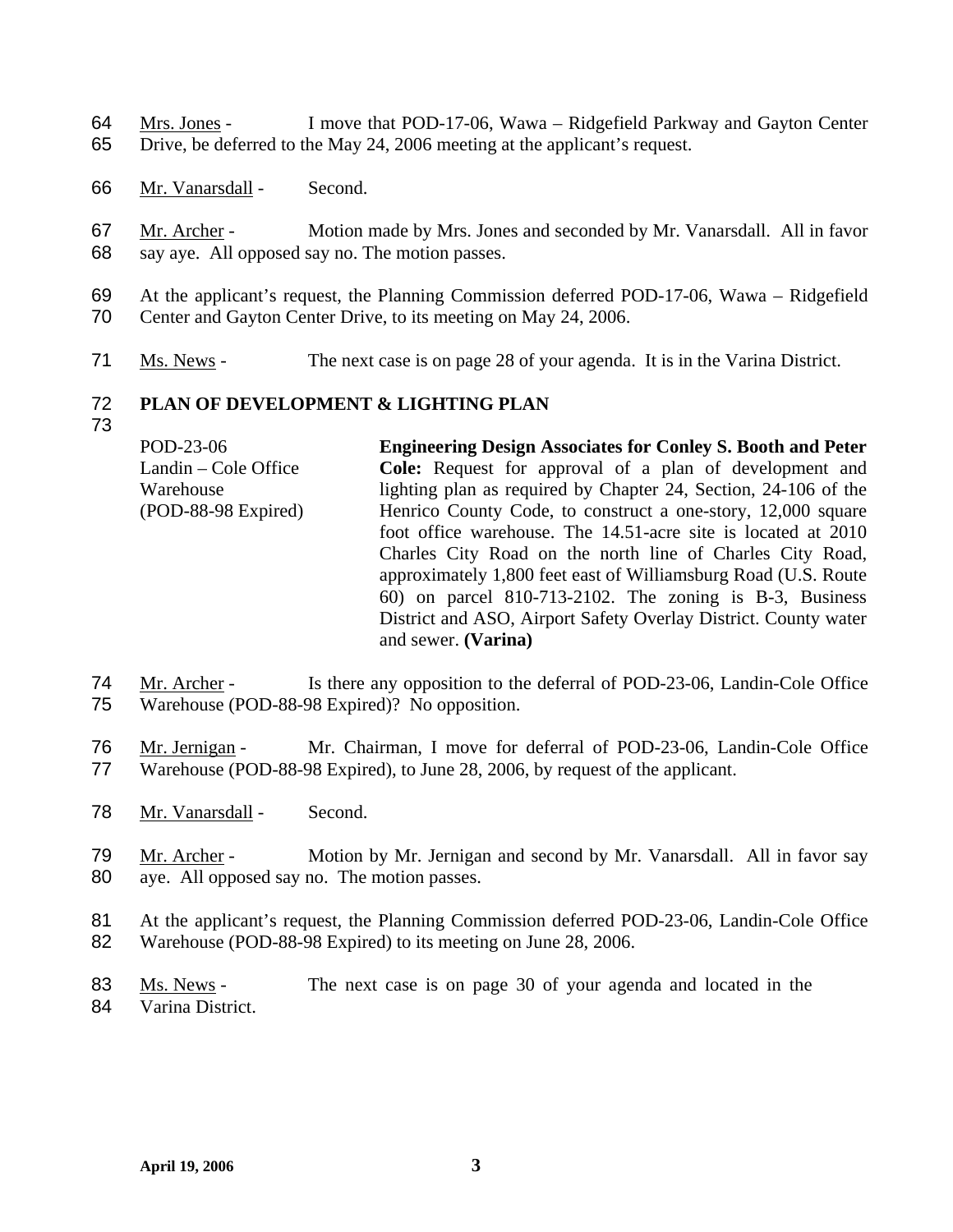Mrs. Jones - I move that POD-17-06, Wawa – Ridgefield Parkway and Gayton Center Drive, be deferred to the May 24, 2006 meeting at the applicant's request. 64 65

- 66 Mr. Vanarsdall Second.
- Mr. Archer Motion made by Mrs. Jones and seconded by Mr. Vanarsdall. All in favor say aye. All opposed say no. The motion passes. 67 68
- 69 70 At the applicant's request, the Planning Commission deferred POD-17-06, Wawa – Ridgefield Center and Gayton Center Drive, to its meeting on May 24, 2006.
- 71 Ms. News The next case is on page 28 of your agenda. It is in the Varina District.

#### 72 **PLAN OF DEVELOPMENT & LIGHTING PLAN**

73

POD-23-06 Landin – Cole Office Warehouse (POD-88-98 Expired) **Engineering Design Associates for Conley S. Booth and Peter Cole:** Request for approval of a plan of development and lighting plan as required by Chapter 24, Section, 24-106 of the Henrico County Code, to construct a one-story, 12,000 square foot office warehouse. The 14.51-acre site is located at 2010 Charles City Road on the north line of Charles City Road, approximately 1,800 feet east of Williamsburg Road (U.S. Route 60) on parcel 810-713-2102. The zoning is B-3, Business District and ASO, Airport Safety Overlay District. County water and sewer. **(Varina)** 

- Mr. Archer Is there any opposition to the deferral of POD-23-06, Landin-Cole Office Warehouse (POD-88-98 Expired)? No opposition. 74 75
- Mr. Jernigan Mr. Chairman, I move for deferral of POD-23-06, Landin-Cole Office Warehouse (POD-88-98 Expired), to June 28, 2006, by request of the applicant. 76 77
- 78 Mr. Vanarsdall Second.
- Mr. Archer Motion by Mr. Jernigan and second by Mr. Vanarsdall. All in favor say aye. All opposed say no. The motion passes. 79 80
- 81 82 At the applicant's request, the Planning Commission deferred POD-23-06, Landin-Cole Office Warehouse (POD-88-98 Expired) to its meeting on June 28, 2006.
- Ms. News The next case is on page 30 of your agenda and located in the Varina District. 83 84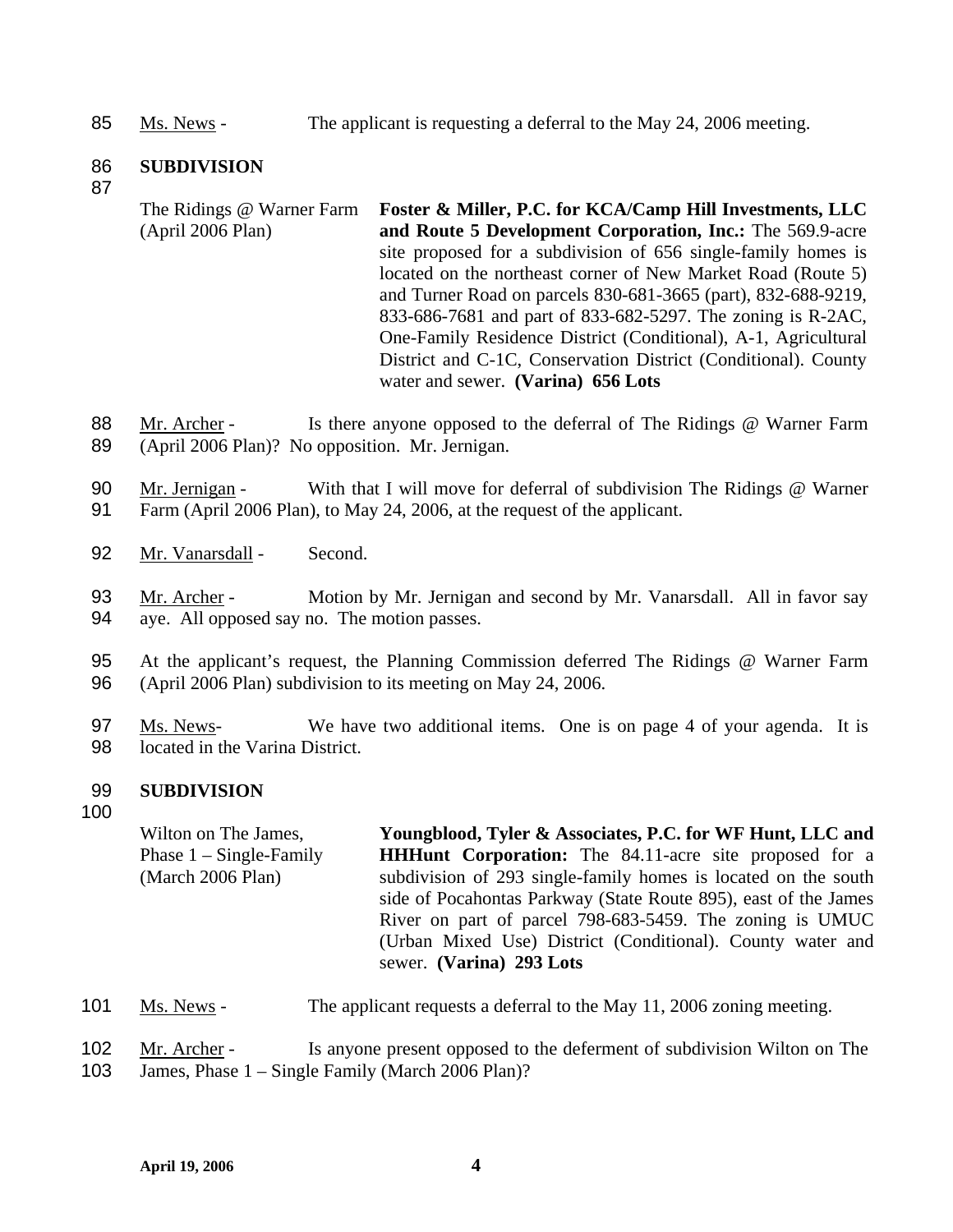85 Ms. News - The applicant is requesting a deferral to the May 24, 2006 meeting.

#### 86 **SUBDIVISION**

- 87
- The Ridings @ Warner Farm (April 2006 Plan) **Foster & Miller, P.C. for KCA/Camp Hill Investments, LLC and Route 5 Development Corporation, Inc.:** The 569.9-acre site proposed for a subdivision of 656 single-family homes is located on the northeast corner of New Market Road (Route 5) and Turner Road on parcels 830-681-3665 (part), 832-688-9219, 833-686-7681 and part of 833-682-5297. The zoning is R-2AC, One-Family Residence District (Conditional), A-1, Agricultural District and C-1C, Conservation District (Conditional). County water and sewer. **(Varina) 656 Lots**
- Mr. Archer Is there anyone opposed to the deferral of The Ridings @ Warner Farm (April 2006 Plan)? No opposition. Mr. Jernigan. 88 89
- Mr. Jernigan With that I will move for deferral of subdivision The Ridings @ Warner Farm (April 2006 Plan), to May 24, 2006, at the request of the applicant. 90 91
- 92 Mr. Vanarsdall Second.
- Mr. Archer Motion by Mr. Jernigan and second by Mr. Vanarsdall. All in favor say aye. All opposed say no. The motion passes. 93 94
- 95 96 At the applicant's request, the Planning Commission deferred The Ridings @ Warner Farm (April 2006 Plan) subdivision to its meeting on May 24, 2006.
- Ms. News-<br>We have two additional items. One is on page 4 of your agenda. It is located in the Varina District. 97 98

#### 99 **SUBDIVISION**

100

Wilton on The James, Phase 1 – Single-Family (March 2006 Plan) **Youngblood, Tyler & Associates, P.C. for WF Hunt, LLC and HHHunt Corporation:** The 84.11-acre site proposed for a subdivision of 293 single-family homes is located on the south side of Pocahontas Parkway (State Route 895), east of the James River on part of parcel 798-683-5459. The zoning is UMUC (Urban Mixed Use) District (Conditional). County water and sewer. **(Varina) 293 Lots** 

- 101 Ms. News The applicant requests a deferral to the May 11, 2006 zoning meeting.
- Mr. Archer Is anyone present opposed to the deferment of subdivision Wilton on The 102
- James, Phase 1 Single Family (March 2006 Plan)? 103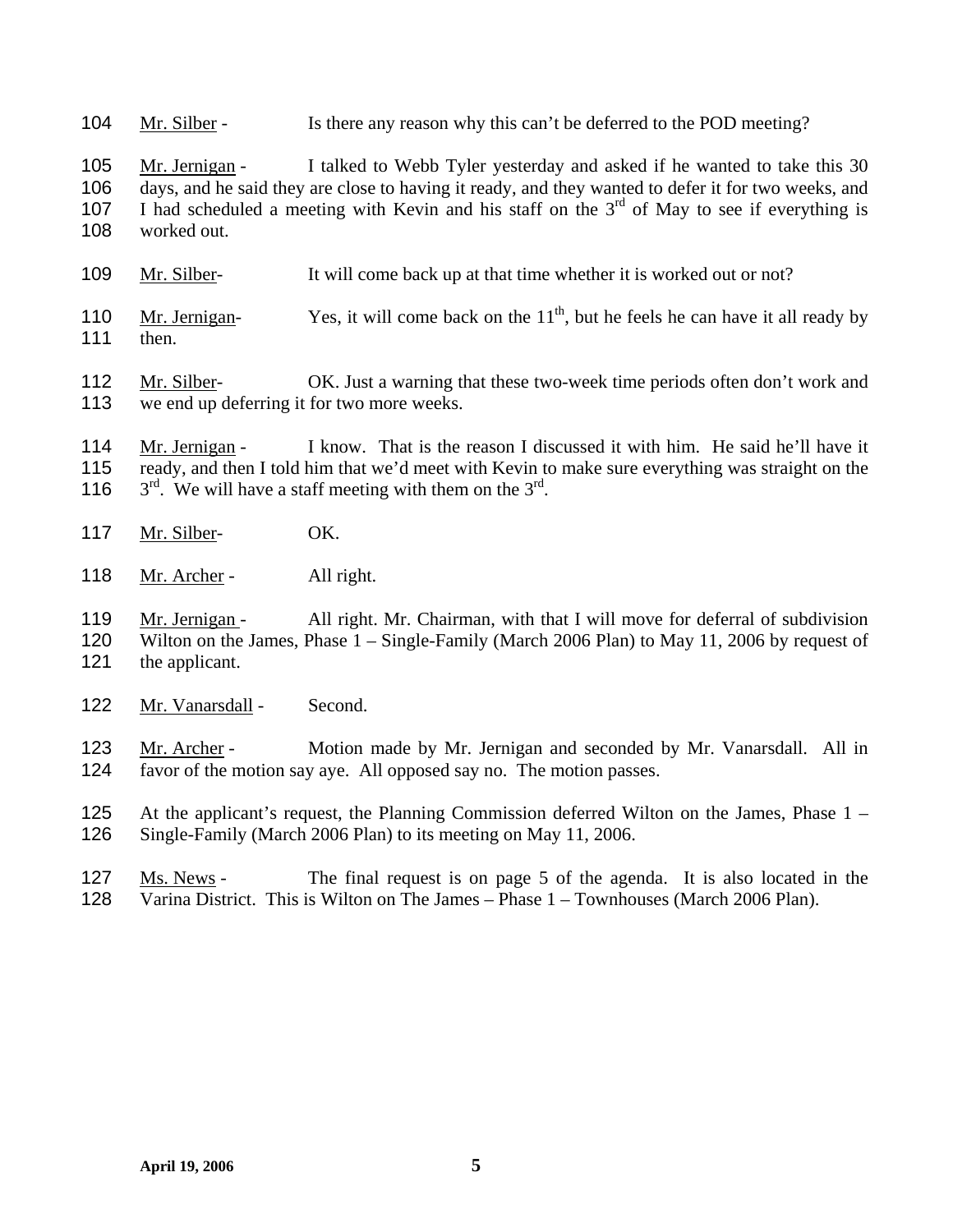104 Mr. Silber - Is there any reason why this can't be deferred to the POD meeting?

Mr. Jernigan - I talked to Webb Tyler yesterday and asked if he wanted to take this 30 days, and he said they are close to having it ready, and they wanted to defer it for two weeks, and I had scheduled a meeting with Kevin and his staff on the  $3<sup>rd</sup>$  of May to see if everything is 105 106 107 108 worked out.

- 109 Mr. Silber- It will come back up at that time whether it is worked out or not?
- Mr. Jernigan- Yes, it will come back on the  $11<sup>th</sup>$ , but he feels he can have it all ready by then. 110 111
- Mr. Silber- OK. Just a warning that these two-week time periods often don't work and we end up deferring it for two more weeks. 112 113
- Mr. Jernigan I know. That is the reason I discussed it with him. He said he'll have it ready, and then I told him that we'd meet with Kevin to make sure everything was straight on the 116  $3<sup>rd</sup>$ . We will have a staff meeting with them on the  $3<sup>rd</sup>$ . 114 115
- 117 Mr. Silber- OK.
- 118 Mr. Archer All right.

Mr. Jernigan - All right. Mr. Chairman, with that I will move for deferral of subdivision Wilton on the James, Phase 1 – Single-Family (March 2006 Plan) to May 11, 2006 by request of the applicant. 119 120 121

122 Mr. Vanarsdall - Second.

Mr. Archer - Motion made by Mr. Jernigan and seconded by Mr. Vanarsdall. All in favor of the motion say aye. All opposed say no. The motion passes. 123 124

125 126 At the applicant's request, the Planning Commission deferred Wilton on the James, Phase 1 – Single-Family (March 2006 Plan) to its meeting on May 11, 2006.

Ms. News - The final request is on page 5 of the agenda. It is also located in the Varina District. This is Wilton on The James – Phase 1 – Townhouses (March 2006 Plan). 127 128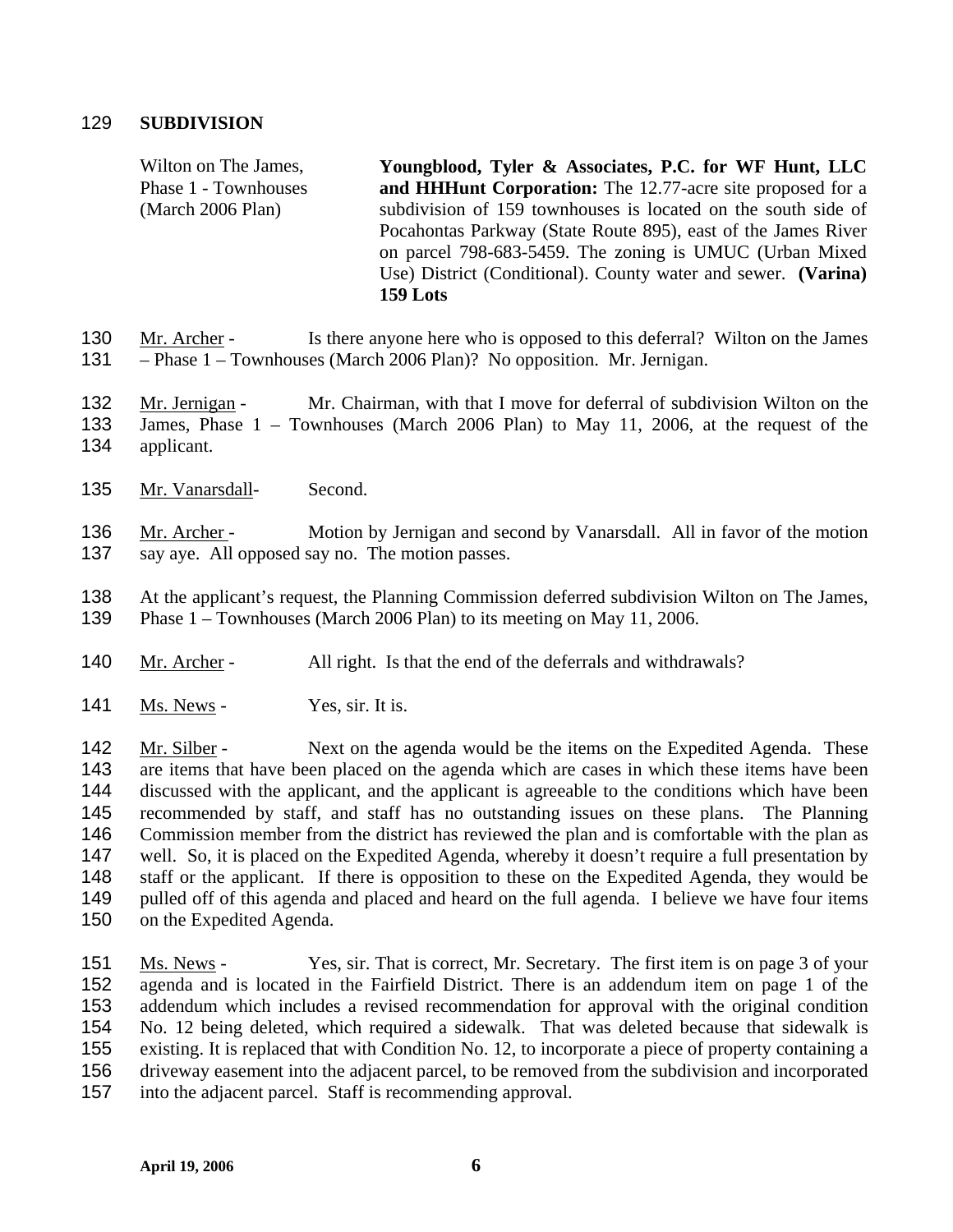## 129 **SUBDIVISION**

Wilton on The James, Phase 1 - Townhouses (March 2006 Plan) **Youngblood, Tyler & Associates, P.C. for WF Hunt, LLC and HHHunt Corporation:** The 12.77-acre site proposed for a subdivision of 159 townhouses is located on the south side of Pocahontas Parkway (State Route 895), east of the James River on parcel 798-683-5459. The zoning is UMUC (Urban Mixed Use) District (Conditional). County water and sewer. **(Varina) 159 Lots** 

- Mr. Archer Is there anyone here who is opposed to this deferral? Wilton on the James – Phase 1 – Townhouses (March 2006 Plan)? No opposition. Mr. Jernigan. 130 131
- Mr. Jernigan Mr. Chairman, with that I move for deferral of subdivision Wilton on the James, Phase 1 – Townhouses (March 2006 Plan) to May 11, 2006, at the request of the 132 133
- applicant. 134
- 135 Mr. Vanarsdall- Second.

Mr. Archer - Motion by Jernigan and second by Vanarsdall. All in favor of the motion say aye. All opposed say no. The motion passes. 136 137

138 139 At the applicant's request, the Planning Commission deferred subdivision Wilton on The James, Phase 1 – Townhouses (March 2006 Plan) to its meeting on May 11, 2006.

- 140 Mr. Archer All right. Is that the end of the deferrals and withdrawals?
- 141 Ms. News Yes, sir. It is.

Mr. Silber - Next on the agenda would be the items on the Expedited Agenda. These are items that have been placed on the agenda which are cases in which these items have been discussed with the applicant, and the applicant is agreeable to the conditions which have been recommended by staff, and staff has no outstanding issues on these plans. The Planning Commission member from the district has reviewed the plan and is comfortable with the plan as well. So, it is placed on the Expedited Agenda, whereby it doesn't require a full presentation by staff or the applicant. If there is opposition to these on the Expedited Agenda, they would be pulled off of this agenda and placed and heard on the full agenda. I believe we have four items on the Expedited Agenda. 142 143 144 145 146 147 148 149 150

Ms. News - Yes, sir. That is correct, Mr. Secretary. The first item is on page 3 of your agenda and is located in the Fairfield District. There is an addendum item on page 1 of the addendum which includes a revised recommendation for approval with the original condition No. 12 being deleted, which required a sidewalk. That was deleted because that sidewalk is existing. It is replaced that with Condition No. 12, to incorporate a piece of property containing a driveway easement into the adjacent parcel, to be removed from the subdivision and incorporated into the adjacent parcel. Staff is recommending approval. 151 152 153 154 155 156 157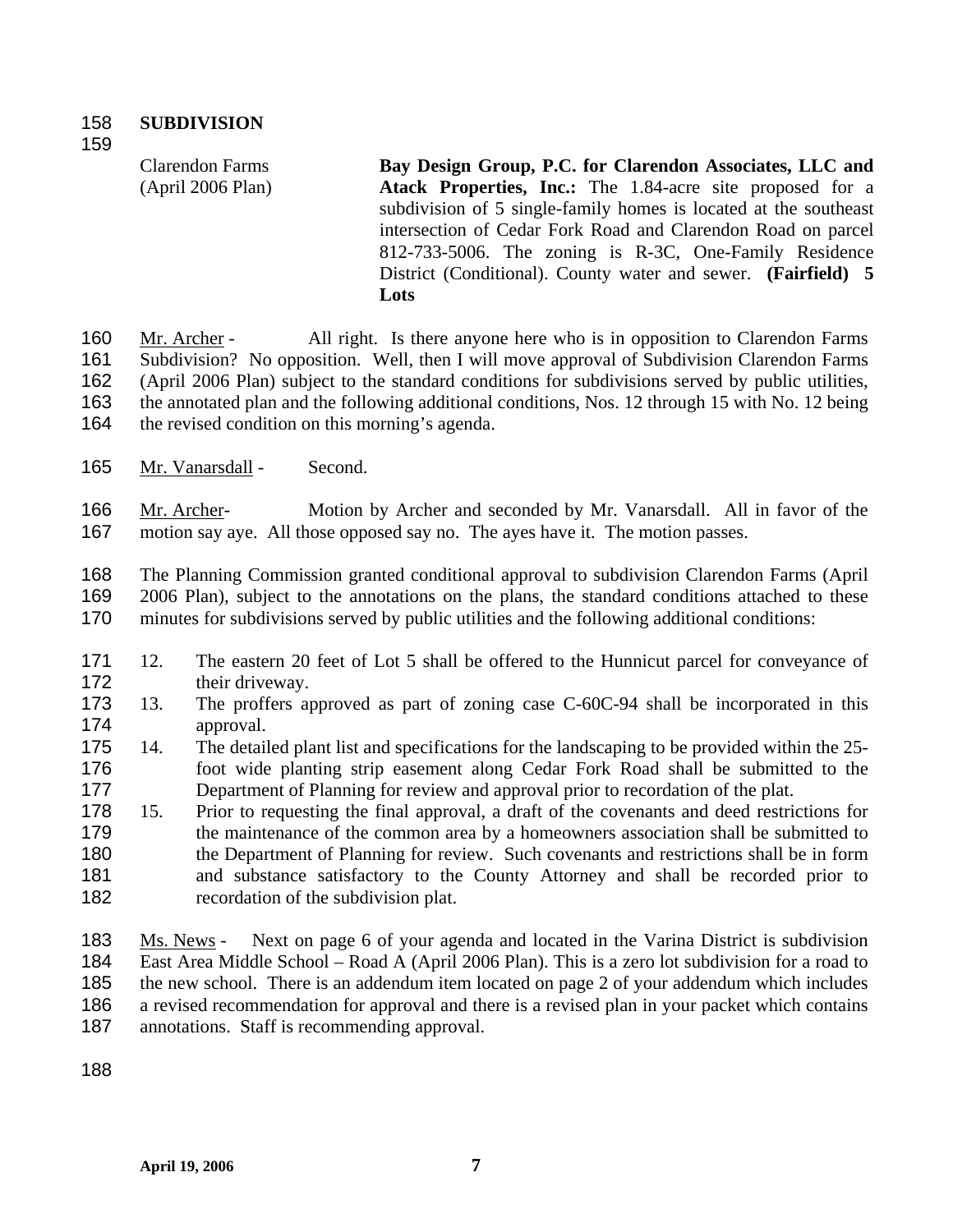159

Clarendon Farms (April 2006 Plan) **Bay Design Group, P.C. for Clarendon Associates, LLC and Atack Properties, Inc.:** The 1.84-acre site proposed for a subdivision of 5 single-family homes is located at the southeast intersection of Cedar Fork Road and Clarendon Road on parcel 812-733-5006. The zoning is R-3C, One-Family Residence District (Conditional). County water and sewer. **(Fairfield) 5 Lots** 

Mr. Archer - All right. Is there anyone here who is in opposition to Clarendon Farms Subdivision? No opposition. Well, then I will move approval of Subdivision Clarendon Farms (April 2006 Plan) subject to the standard conditions for subdivisions served by public utilities, the annotated plan and the following additional conditions, Nos. 12 through 15 with No. 12 being the revised condition on this morning's agenda. 160 161 162 163 164

165 Mr. Vanarsdall - Second.

Mr. Archer- Motion by Archer and seconded by Mr. Vanarsdall. All in favor of the motion say aye. All those opposed say no. The ayes have it. The motion passes. 166 167

168 169 170 The Planning Commission granted conditional approval to subdivision Clarendon Farms (April 2006 Plan), subject to the annotations on the plans, the standard conditions attached to these minutes for subdivisions served by public utilities and the following additional conditions:

- 171 172 12. The eastern 20 feet of Lot 5 shall be offered to the Hunnicut parcel for conveyance of their driveway.
- 173 174 13. The proffers approved as part of zoning case C-60C-94 shall be incorporated in this approval.
- 175 176 177 14. The detailed plant list and specifications for the landscaping to be provided within the 25 foot wide planting strip easement along Cedar Fork Road shall be submitted to the Department of Planning for review and approval prior to recordation of the plat.
- 178 179 180 181 182 15. Prior to requesting the final approval, a draft of the covenants and deed restrictions for the maintenance of the common area by a homeowners association shall be submitted to the Department of Planning for review. Such covenants and restrictions shall be in form and substance satisfactory to the County Attorney and shall be recorded prior to recordation of the subdivision plat.
- Ms. News Next on page 6 of your agenda and located in the Varina District is subdivision East Area Middle School – Road A (April 2006 Plan). This is a zero lot subdivision for a road to the new school. There is an addendum item located on page 2 of your addendum which includes a revised recommendation for approval and there is a revised plan in your packet which contains annotations. Staff is recommending approval. 183 184 185 186 187

188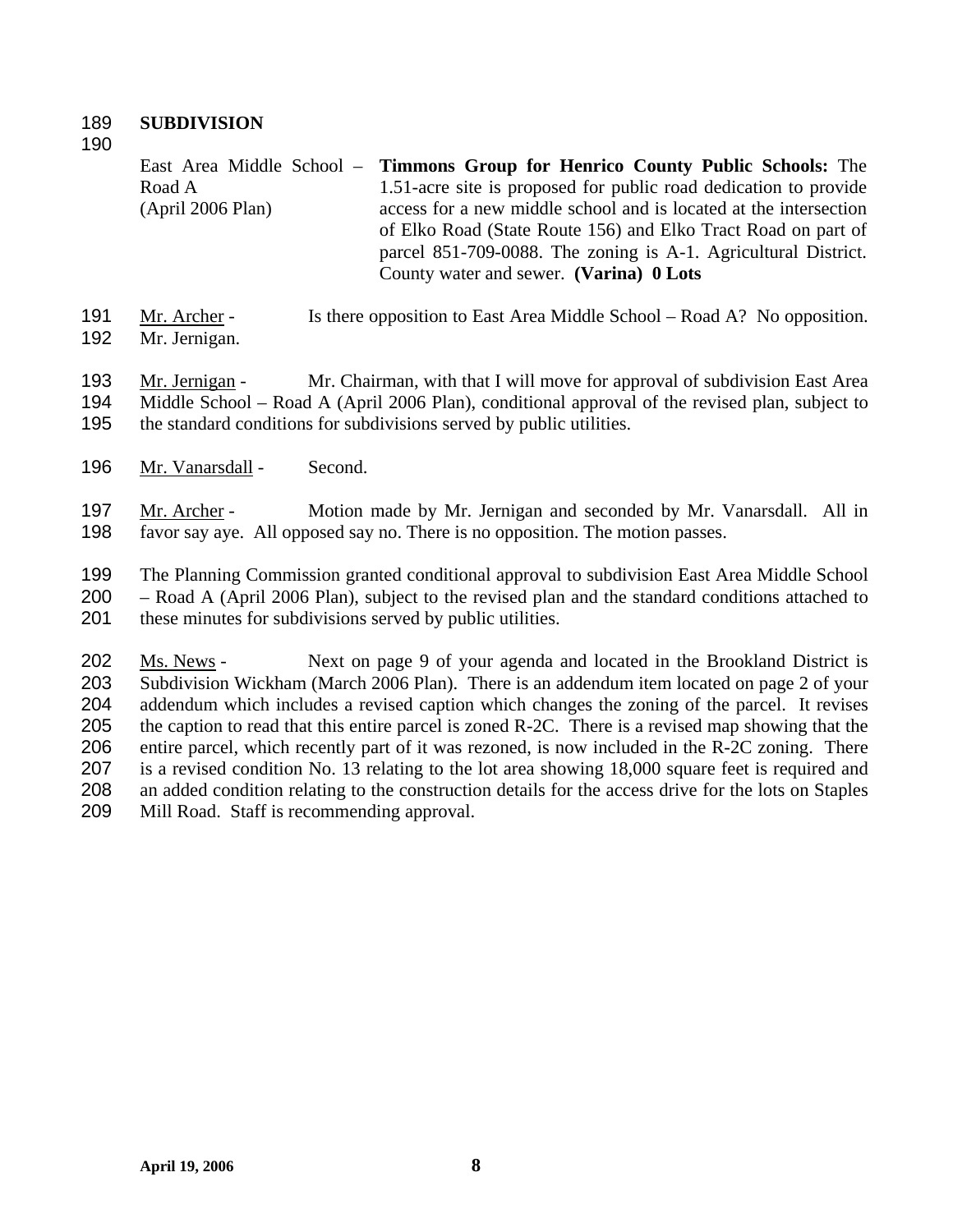## 189 **SUBDIVISION**

190

East Area Middle School – Road A (April 2006 Plan) **Timmons Group for Henrico County Public Schools:** The 1.51-acre site is proposed for public road dedication to provide access for a new middle school and is located at the intersection of Elko Road (State Route 156) and Elko Tract Road on part of parcel 851-709-0088. The zoning is A-1. Agricultural District. County water and sewer. **(Varina) 0 Lots** 

Mr. Archer - Is there opposition to East Area Middle School – Road A? No opposition. Mr. Jernigan. 191 192

Mr. Jernigan - Mr. Chairman, with that I will move for approval of subdivision East Area Middle School – Road A (April 2006 Plan), conditional approval of the revised plan, subject to the standard conditions for subdivisions served by public utilities. 193 194 195

196 Mr. Vanarsdall - Second.

Mr. Archer - Motion made by Mr. Jernigan and seconded by Mr. Vanarsdall. All in favor say aye. All opposed say no. There is no opposition. The motion passes. 197 198

199 200 201 The Planning Commission granted conditional approval to subdivision East Area Middle School – Road A (April 2006 Plan), subject to the revised plan and the standard conditions attached to these minutes for subdivisions served by public utilities.

Ms. News - Next on page 9 of your agenda and located in the Brookland District is Subdivision Wickham (March 2006 Plan). There is an addendum item located on page 2 of your addendum which includes a revised caption which changes the zoning of the parcel. It revises the caption to read that this entire parcel is zoned R-2C. There is a revised map showing that the entire parcel, which recently part of it was rezoned, is now included in the R-2C zoning. There is a revised condition No. 13 relating to the lot area showing 18,000 square feet is required and an added condition relating to the construction details for the access drive for the lots on Staples Mill Road. Staff is recommending approval. 202 203 204 205 206 207 208 209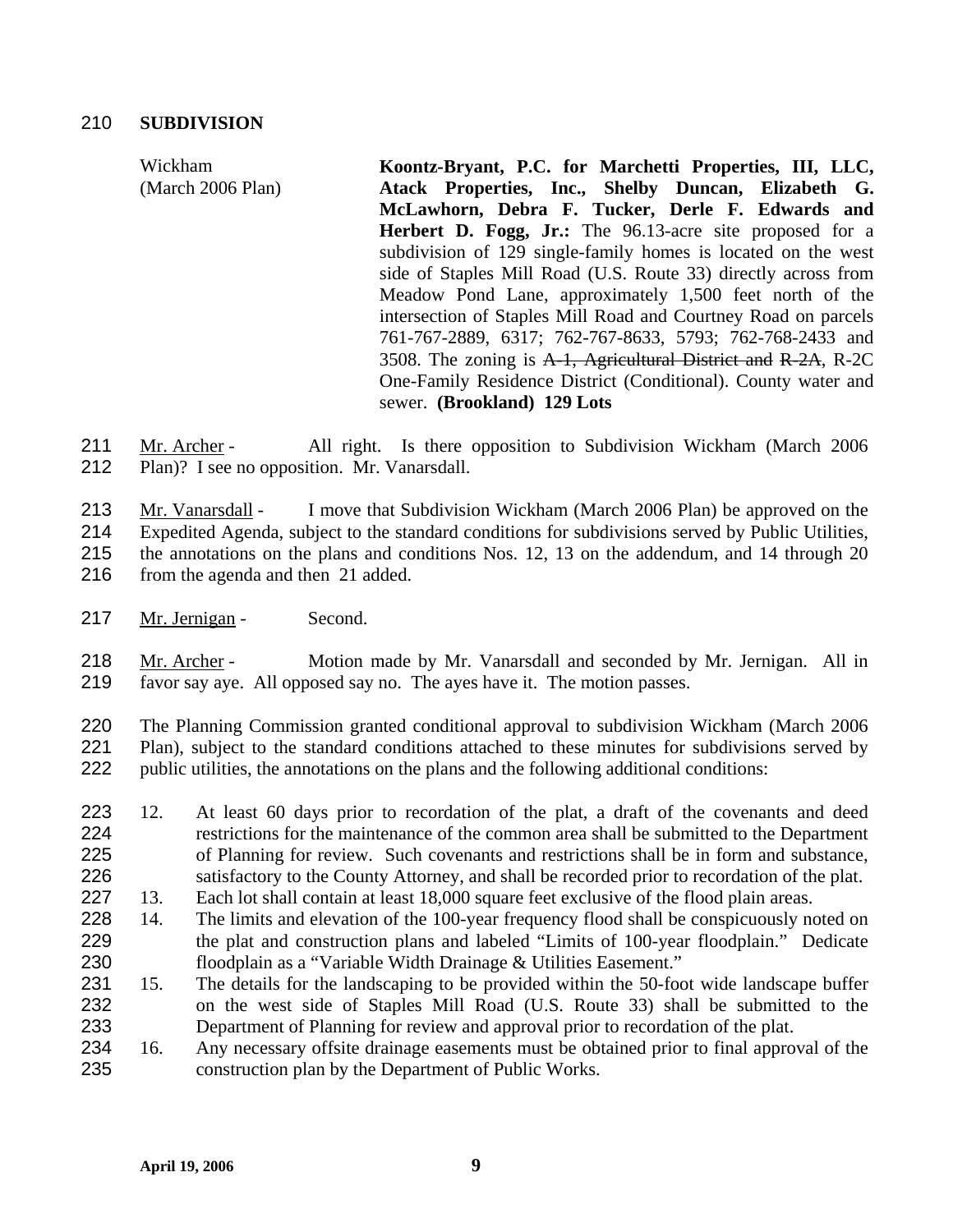# 210 **SUBDIVISION**

Wickham (March 2006 Plan) **Koontz-Bryant, P.C. for Marchetti Properties, III, LLC, Atack Properties, Inc., Shelby Duncan, Elizabeth G. McLawhorn, Debra F. Tucker, Derle F. Edwards and Herbert D. Fogg, Jr.:** The 96.13-acre site proposed for a subdivision of 129 single-family homes is located on the west side of Staples Mill Road (U.S. Route 33) directly across from Meadow Pond Lane, approximately 1,500 feet north of the intersection of Staples Mill Road and Courtney Road on parcels 761-767-2889, 6317; 762-767-8633, 5793; 762-768-2433 and 3508. The zoning is A-1, Agricultural District and R-2A, R-2C One-Family Residence District (Conditional). County water and sewer. **(Brookland) 129 Lots** 

Mr. Archer - All right. Is there opposition to Subdivision Wickham (March 2006 Plan)? I see no opposition. Mr. Vanarsdall. 211 212

Mr. Vanarsdall - I move that Subdivision Wickham (March 2006 Plan) be approved on the Expedited Agenda, subject to the standard conditions for subdivisions served by Public Utilities, the annotations on the plans and conditions Nos. 12, 13 on the addendum, and 14 through 20 from the agenda and then 21 added. 213 214 215 216

217 Mr. Jernigan - Second.

Mr. Archer - Motion made by Mr. Vanarsdall and seconded by Mr. Jernigan. All in favor say aye. All opposed say no. The ayes have it. The motion passes. 218 219

220 221 222 The Planning Commission granted conditional approval to subdivision Wickham (March 2006 Plan), subject to the standard conditions attached to these minutes for subdivisions served by public utilities, the annotations on the plans and the following additional conditions:

- 223 224 225 226 12. At least 60 days prior to recordation of the plat, a draft of the covenants and deed restrictions for the maintenance of the common area shall be submitted to the Department of Planning for review. Such covenants and restrictions shall be in form and substance, satisfactory to the County Attorney, and shall be recorded prior to recordation of the plat.
- 227 13. Each lot shall contain at least 18,000 square feet exclusive of the flood plain areas.
- 228 229 230 14. The limits and elevation of the 100-year frequency flood shall be conspicuously noted on the plat and construction plans and labeled "Limits of 100-year floodplain." Dedicate floodplain as a "Variable Width Drainage & Utilities Easement."
- 231 232 233 15. The details for the landscaping to be provided within the 50-foot wide landscape buffer on the west side of Staples Mill Road (U.S. Route 33) shall be submitted to the Department of Planning for review and approval prior to recordation of the plat.
- 234 235 16. Any necessary offsite drainage easements must be obtained prior to final approval of the construction plan by the Department of Public Works.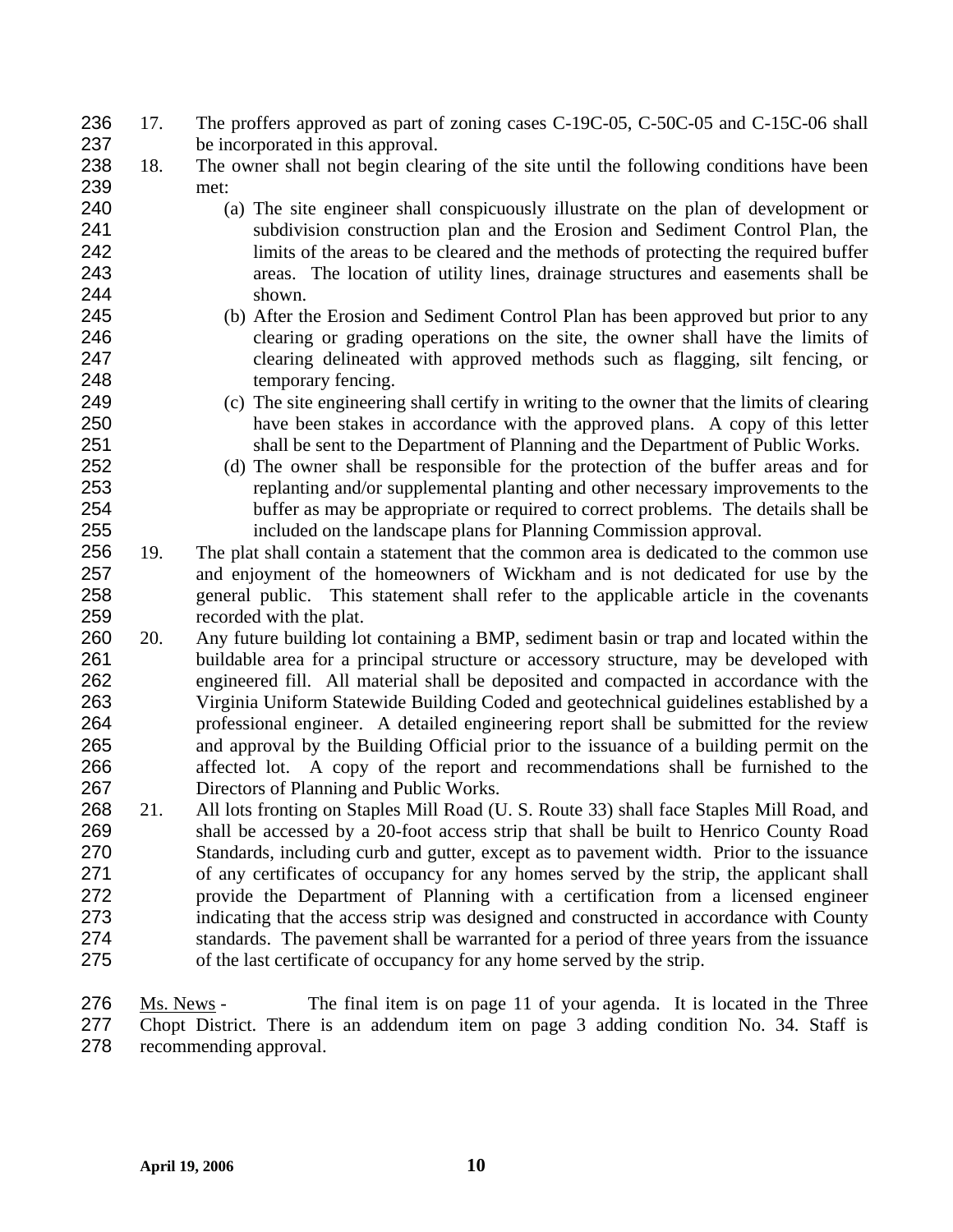- 17. The proffers approved as part of zoning cases C-19C-05, C-50C-05 and C-15C-06 shall be incorporated in this approval. 236 237
- 238 239 18. The owner shall not begin clearing of the site until the following conditions have been met:
- 240 241 242 243 244 (a) The site engineer shall conspicuously illustrate on the plan of development or subdivision construction plan and the Erosion and Sediment Control Plan, the limits of the areas to be cleared and the methods of protecting the required buffer areas. The location of utility lines, drainage structures and easements shall be shown.
	- (b) After the Erosion and Sediment Control Plan has been approved but prior to any clearing or grading operations on the site, the owner shall have the limits of clearing delineated with approved methods such as flagging, silt fencing, or temporary fencing.
- 249 250 251 252 (c) The site engineering shall certify in writing to the owner that the limits of clearing have been stakes in accordance with the approved plans. A copy of this letter shall be sent to the Department of Planning and the Department of Public Works.
	- (d) The owner shall be responsible for the protection of the buffer areas and for replanting and/or supplemental planting and other necessary improvements to the buffer as may be appropriate or required to correct problems. The details shall be included on the landscape plans for Planning Commission approval.
- 256 257 258 259 19. The plat shall contain a statement that the common area is dedicated to the common use and enjoyment of the homeowners of Wickham and is not dedicated for use by the general public. This statement shall refer to the applicable article in the covenants recorded with the plat.
- 260 261 262 263 264 265 266 267 20. Any future building lot containing a BMP, sediment basin or trap and located within the buildable area for a principal structure or accessory structure, may be developed with engineered fill. All material shall be deposited and compacted in accordance with the Virginia Uniform Statewide Building Coded and geotechnical guidelines established by a professional engineer. A detailed engineering report shall be submitted for the review and approval by the Building Official prior to the issuance of a building permit on the affected lot. A copy of the report and recommendations shall be furnished to the Directors of Planning and Public Works.
- 268 269 270 271 272 273 274 275 21. All lots fronting on Staples Mill Road (U. S. Route 33) shall face Staples Mill Road, and shall be accessed by a 20-foot access strip that shall be built to Henrico County Road Standards, including curb and gutter, except as to pavement width. Prior to the issuance of any certificates of occupancy for any homes served by the strip, the applicant shall provide the Department of Planning with a certification from a licensed engineer indicating that the access strip was designed and constructed in accordance with County standards. The pavement shall be warranted for a period of three years from the issuance of the last certificate of occupancy for any home served by the strip.

Ms. News - The final item is on page 11 of your agenda. It is located in the Three Chopt District. There is an addendum item on page 3 adding condition No. 34. Staff is recommending approval. 276 277 278

253 254 255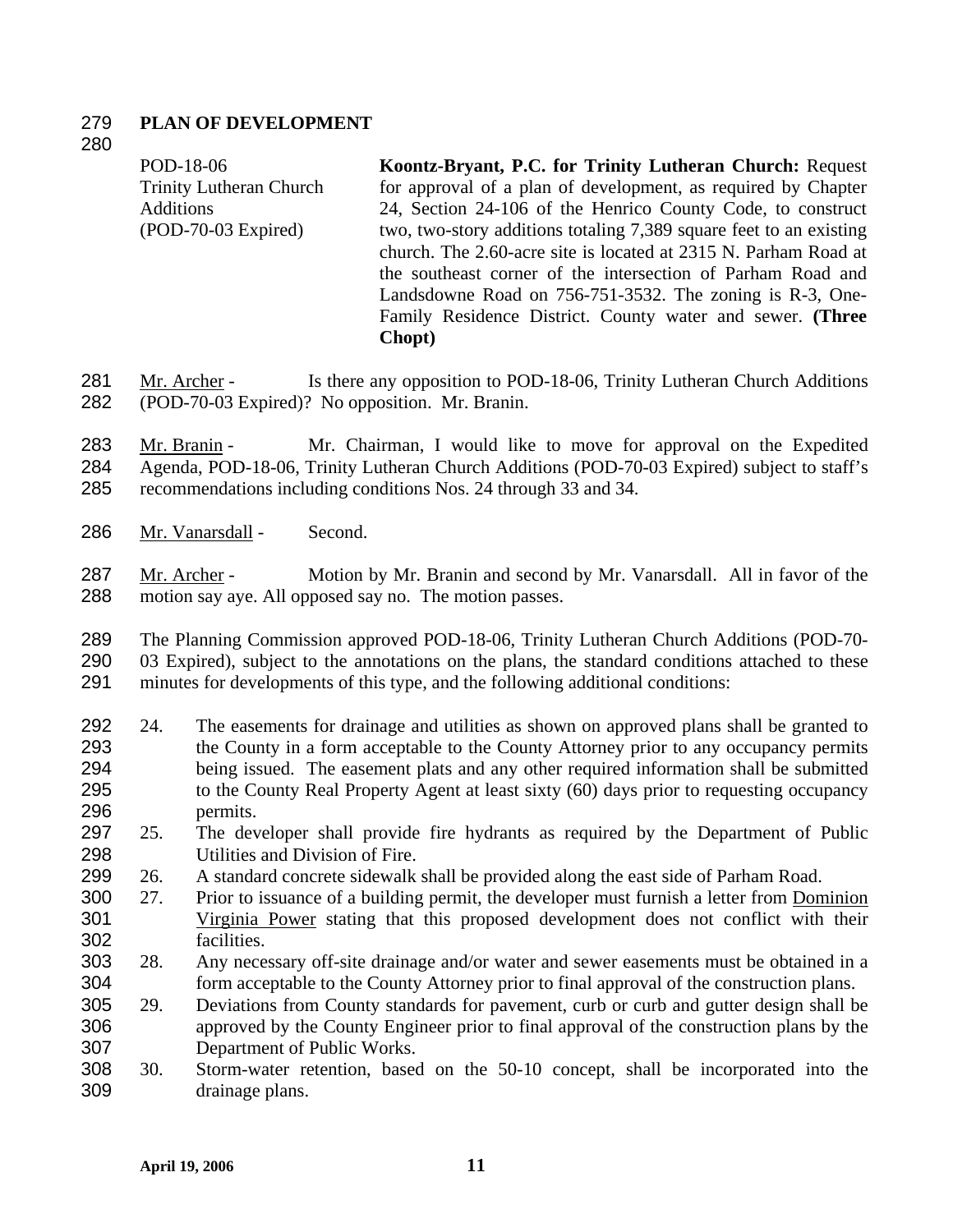# 279 **PLAN OF DEVELOPMENT**

## 280

POD-18-06 Trinity Lutheran Church Additions (POD-70-03 Expired) **Koontz-Bryant, P.C. for Trinity Lutheran Church:** Request for approval of a plan of development, as required by Chapter 24, Section 24-106 of the Henrico County Code, to construct two, two-story additions totaling 7,389 square feet to an existing church. The 2.60-acre site is located at 2315 N. Parham Road at the southeast corner of the intersection of Parham Road and Landsdowne Road on 756-751-3532. The zoning is R-3, One-Family Residence District. County water and sewer. **(Three Chopt)** 

Mr. Archer - Is there any opposition to POD-18-06, Trinity Lutheran Church Additions (POD-70-03 Expired)? No opposition. Mr. Branin. 281 282

Mr. Branin - Mr. Chairman, I would like to move for approval on the Expedited Agenda, POD-18-06, Trinity Lutheran Church Additions (POD-70-03 Expired) subject to staff's recommendations including conditions Nos. 24 through 33 and 34. 283 284 285

286 Mr. Vanarsdall - Second.

Mr. Archer - Motion by Mr. Branin and second by Mr. Vanarsdall. All in favor of the motion say aye. All opposed say no. The motion passes. 287 288

289 The Planning Commission approved POD-18-06, Trinity Lutheran Church Additions (POD-70-

290 291 03 Expired), subject to the annotations on the plans, the standard conditions attached to these minutes for developments of this type, and the following additional conditions:

- 292 293 294 295 296 24. The easements for drainage and utilities as shown on approved plans shall be granted to the County in a form acceptable to the County Attorney prior to any occupancy permits being issued. The easement plats and any other required information shall be submitted to the County Real Property Agent at least sixty (60) days prior to requesting occupancy permits.
- 297 298 25. The developer shall provide fire hydrants as required by the Department of Public Utilities and Division of Fire.
- 299 26. A standard concrete sidewalk shall be provided along the east side of Parham Road.
- 300 27. Prior to issuance of a building permit, the developer must furnish a letter from Dominion Virginia Power stating that this proposed development does not conflict with their facilities. 301 302
- 303 304 28. Any necessary off-site drainage and/or water and sewer easements must be obtained in a form acceptable to the County Attorney prior to final approval of the construction plans.
- 305 306 307 29. Deviations from County standards for pavement, curb or curb and gutter design shall be approved by the County Engineer prior to final approval of the construction plans by the Department of Public Works.
- 308 309 30. Storm-water retention, based on the 50-10 concept, shall be incorporated into the drainage plans.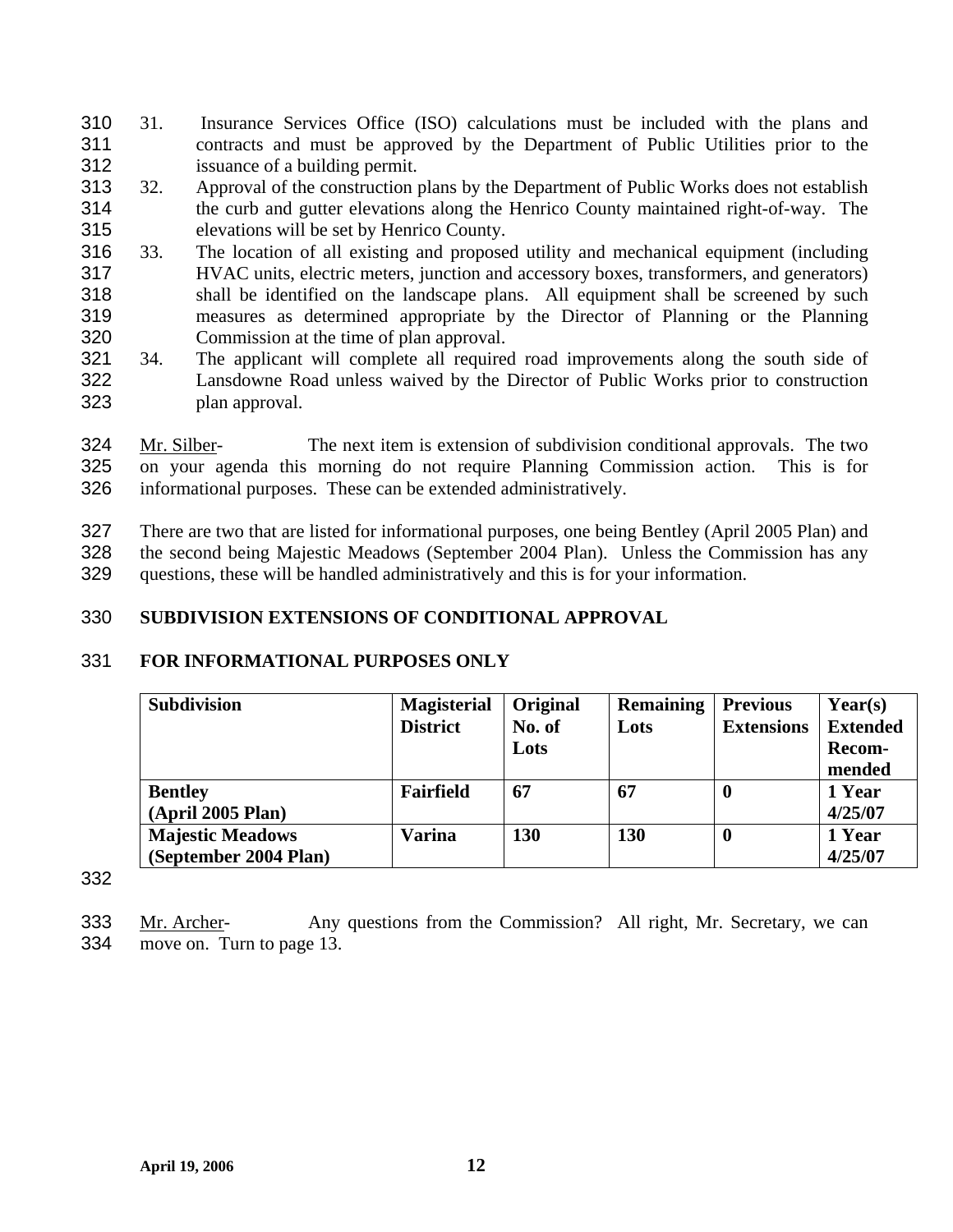- 31. Insurance Services Office (ISO) calculations must be included with the plans and contracts and must be approved by the Department of Public Utilities prior to the issuance of a building permit. 310 311 312
- 313 314 315 32. Approval of the construction plans by the Department of Public Works does not establish the curb and gutter elevations along the Henrico County maintained right-of-way. The elevations will be set by Henrico County.
- 316 317 318 319 320 33. The location of all existing and proposed utility and mechanical equipment (including HVAC units, electric meters, junction and accessory boxes, transformers, and generators) shall be identified on the landscape plans. All equipment shall be screened by such measures as determined appropriate by the Director of Planning or the Planning Commission at the time of plan approval.
- 321 322 323 34. The applicant will complete all required road improvements along the south side of Lansdowne Road unless waived by the Director of Public Works prior to construction plan approval.

Mr. Silber- The next item is extension of subdivision conditional approvals. The two on your agenda this morning do not require Planning Commission action. This is for informational purposes. These can be extended administratively. 324 325 326

327 328 329 There are two that are listed for informational purposes, one being Bentley (April 2005 Plan) and the second being Majestic Meadows (September 2004 Plan). Unless the Commission has any questions, these will be handled administratively and this is for your information.

### 330 **SUBDIVISION EXTENSIONS OF CONDITIONAL APPROVAL**

### 331 **FOR INFORMATIONAL PURPOSES ONLY**

| <b>Subdivision</b>      | <b>Magisterial</b> | Original   | <b>Remaining</b> | <b>Previous</b>   | $\text{Year}(s)$ |
|-------------------------|--------------------|------------|------------------|-------------------|------------------|
|                         | <b>District</b>    | No. of     | Lots             | <b>Extensions</b> | <b>Extended</b>  |
|                         |                    | Lots       |                  |                   | <b>Recom-</b>    |
|                         |                    |            |                  |                   | mended           |
| <b>Bentley</b>          | Fairfield          | 67         | 67               | -0                | 1 Year           |
| (April 2005 Plan)       |                    |            |                  |                   | 4/25/07          |
| <b>Majestic Meadows</b> | Varina             | <b>130</b> | <b>130</b>       | -0                | 1 Year           |
| (September 2004 Plan)   |                    |            |                  |                   | 4/25/07          |

332

Mr. Archer- Any questions from the Commission? All right, Mr. Secretary, we can move on. Turn to page 13. 333 334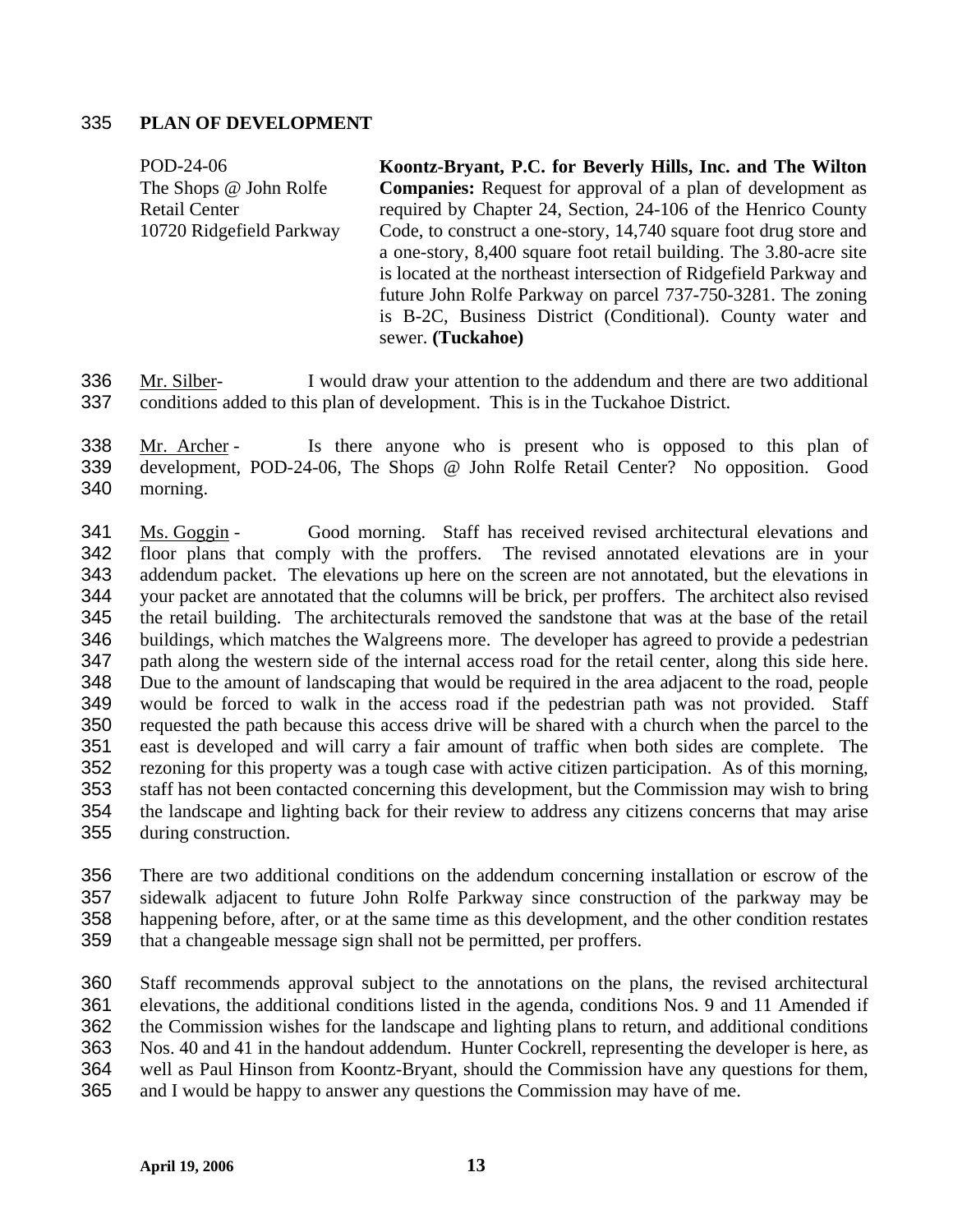## 335 **PLAN OF DEVELOPMENT**

POD-24-06 The Shops @ John Rolfe Retail Center 10720 Ridgefield Parkway **Koontz-Bryant, P.C. for Beverly Hills, Inc. and The Wilton Companies:** Request for approval of a plan of development as required by Chapter 24, Section, 24-106 of the Henrico County Code, to construct a one-story, 14,740 square foot drug store and a one-story, 8,400 square foot retail building. The 3.80-acre site is located at the northeast intersection of Ridgefield Parkway and future John Rolfe Parkway on parcel 737-750-3281. The zoning is B-2C, Business District (Conditional). County water and sewer. **(Tuckahoe)** 

Mr. Silber- I would draw your attention to the addendum and there are two additional conditions added to this plan of development. This is in the Tuckahoe District. 336 337

Mr. Archer - Is there anyone who is present who is opposed to this plan of development, POD-24-06, The Shops @ John Rolfe Retail Center? No opposition. Good morning. 338 339 340

Ms. Goggin - Good morning. Staff has received revised architectural elevations and floor plans that comply with the proffers. The revised annotated elevations are in your addendum packet. The elevations up here on the screen are not annotated, but the elevations in your packet are annotated that the columns will be brick, per proffers. The architect also revised the retail building. The architecturals removed the sandstone that was at the base of the retail buildings, which matches the Walgreens more. The developer has agreed to provide a pedestrian path along the western side of the internal access road for the retail center, along this side here. Due to the amount of landscaping that would be required in the area adjacent to the road, people would be forced to walk in the access road if the pedestrian path was not provided. Staff requested the path because this access drive will be shared with a church when the parcel to the east is developed and will carry a fair amount of traffic when both sides are complete. The rezoning for this property was a tough case with active citizen participation. As of this morning, staff has not been contacted concerning this development, but the Commission may wish to bring the landscape and lighting back for their review to address any citizens concerns that may arise during construction. 341 342 343 344 345 346 347 348 349 350 351 352 353 354 355

356 357 358 359 There are two additional conditions on the addendum concerning installation or escrow of the sidewalk adjacent to future John Rolfe Parkway since construction of the parkway may be happening before, after, or at the same time as this development, and the other condition restates that a changeable message sign shall not be permitted, per proffers.

360 361 362 363 364 365 Staff recommends approval subject to the annotations on the plans, the revised architectural elevations, the additional conditions listed in the agenda, conditions Nos. 9 and 11 Amended if the Commission wishes for the landscape and lighting plans to return, and additional conditions Nos. 40 and 41 in the handout addendum. Hunter Cockrell, representing the developer is here, as well as Paul Hinson from Koontz-Bryant, should the Commission have any questions for them, and I would be happy to answer any questions the Commission may have of me.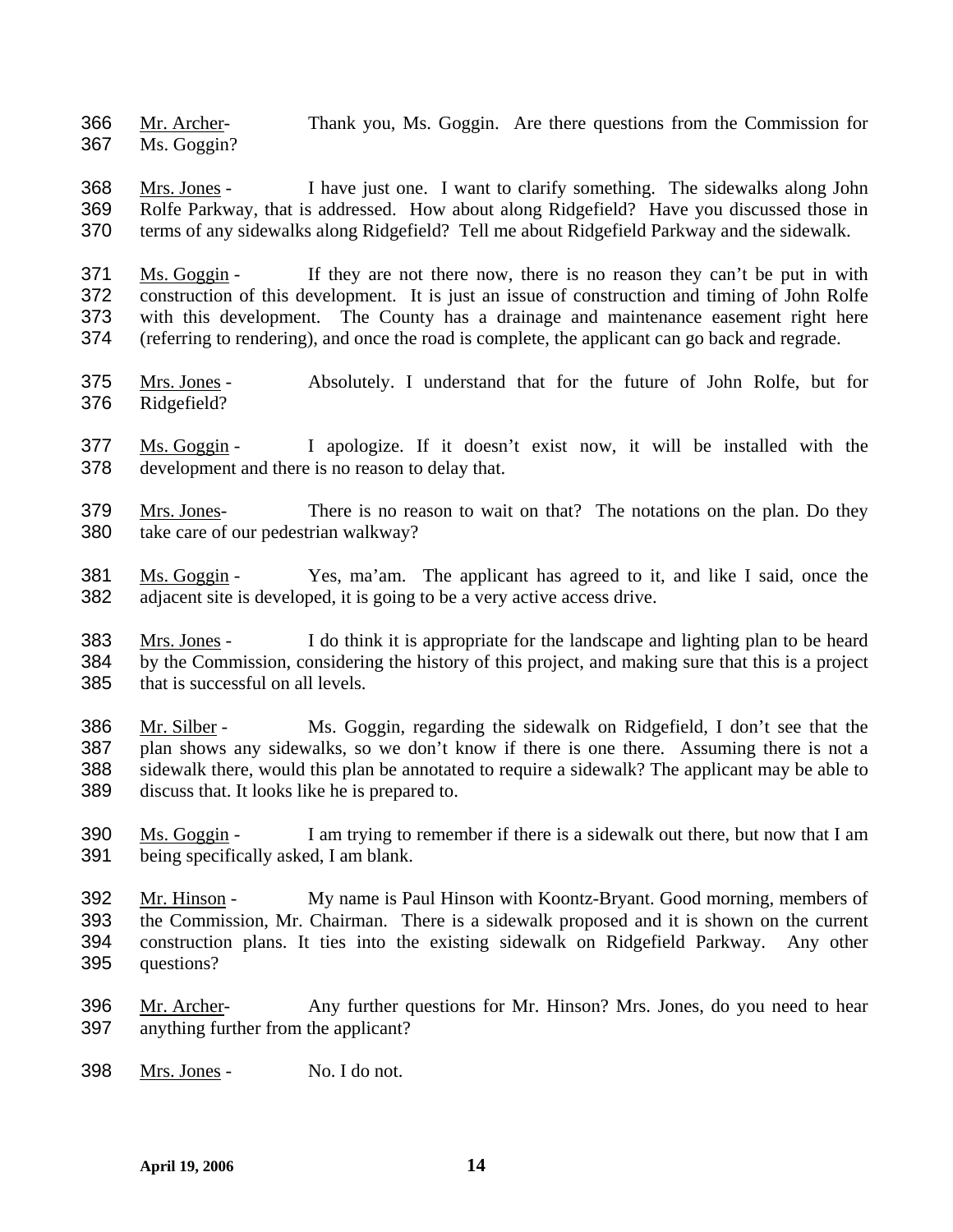Mr. Archer- Thank you, Ms. Goggin. Are there questions from the Commission for Ms. Goggin? 366 367

Mrs. Jones - I have just one. I want to clarify something. The sidewalks along John Rolfe Parkway, that is addressed. How about along Ridgefield? Have you discussed those in terms of any sidewalks along Ridgefield? Tell me about Ridgefield Parkway and the sidewalk. 368 369 370

Ms. Goggin - If they are not there now, there is no reason they can't be put in with construction of this development. It is just an issue of construction and timing of John Rolfe with this development. The County has a drainage and maintenance easement right here (referring to rendering), and once the road is complete, the applicant can go back and regrade. 371 372 373 374

- Mrs. Jones Absolutely. I understand that for the future of John Rolfe, but for Ridgefield? 375 376
- Ms. Goggin I apologize. If it doesn't exist now, it will be installed with the development and there is no reason to delay that. 377 378
- Mrs. Jones- There is no reason to wait on that? The notations on the plan. Do they take care of our pedestrian walkway? 379 380
- Ms. Goggin Yes, ma'am. The applicant has agreed to it, and like I said, once the adjacent site is developed, it is going to be a very active access drive. 381 382

Mrs. Jones - I do think it is appropriate for the landscape and lighting plan to be heard by the Commission, considering the history of this project, and making sure that this is a project that is successful on all levels. 383 384 385

Mr. Silber - Ms. Goggin, regarding the sidewalk on Ridgefield, I don't see that the plan shows any sidewalks, so we don't know if there is one there. Assuming there is not a sidewalk there, would this plan be annotated to require a sidewalk? The applicant may be able to discuss that. It looks like he is prepared to. 386 387 388 389

- Ms. Goggin I am trying to remember if there is a sidewalk out there, but now that I am being specifically asked, I am blank. 390 391
- Mr. Hinson My name is Paul Hinson with Koontz-Bryant. Good morning, members of the Commission, Mr. Chairman. There is a sidewalk proposed and it is shown on the current construction plans. It ties into the existing sidewalk on Ridgefield Parkway. Any other questions? 392 393 394 395
- Mr. Archer- Any further questions for Mr. Hinson? Mrs. Jones, do you need to hear anything further from the applicant? 396 397
- 398 Mrs. Jones No. I do not.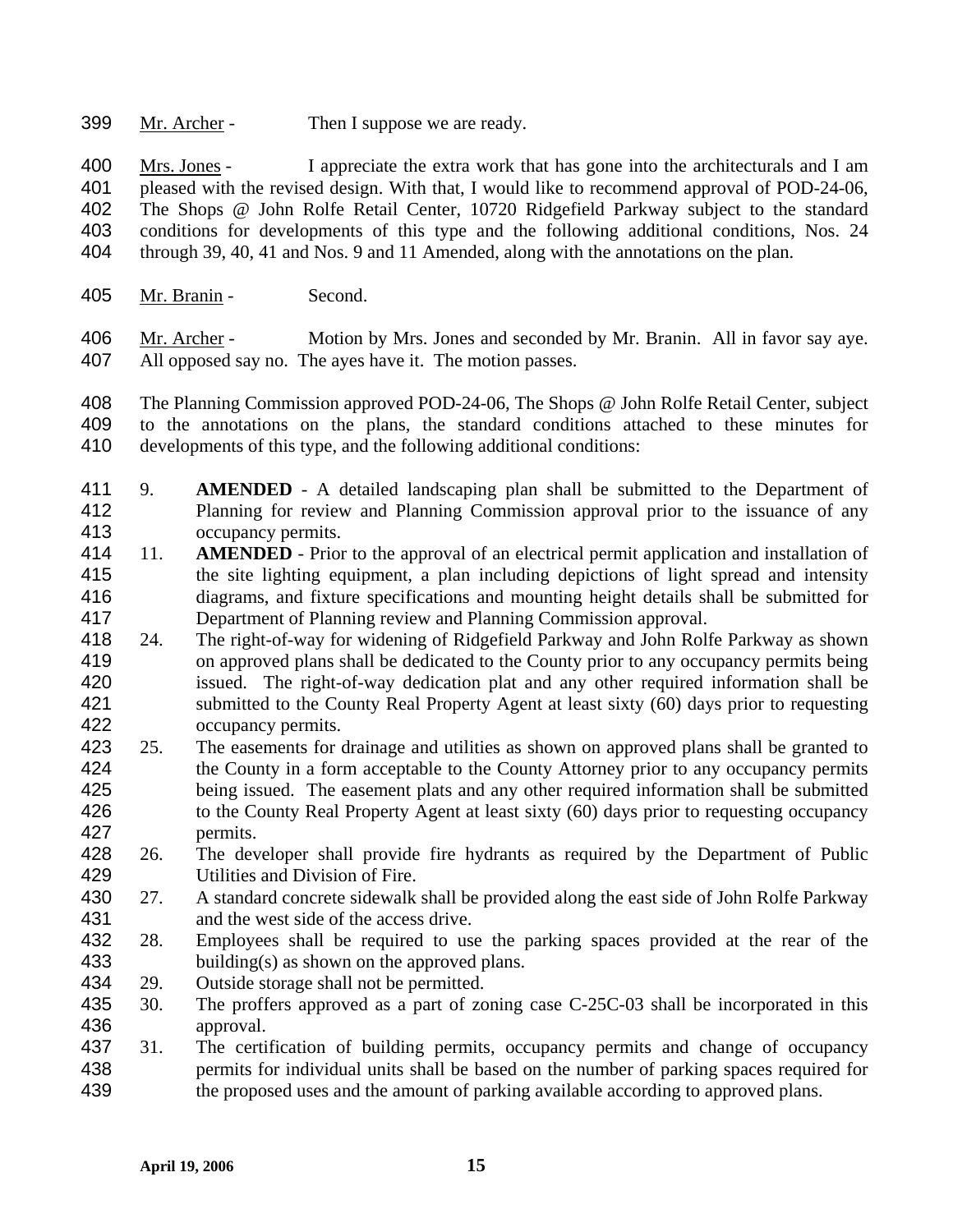399 Mr. Archer - Then I suppose we are ready.

Mrs. Jones - I appreciate the extra work that has gone into the architecturals and I am pleased with the revised design. With that, I would like to recommend approval of POD-24-06, The Shops @ John Rolfe Retail Center, 10720 Ridgefield Parkway subject to the standard conditions for developments of this type and the following additional conditions, Nos. 24 through 39, 40, 41 and Nos. 9 and 11 Amended, along with the annotations on the plan. 400 401 402 403 404

405 Mr. Branin - Second.

Mr. Archer - Motion by Mrs. Jones and seconded by Mr. Branin. All in favor say aye. All opposed say no. The ayes have it. The motion passes. 406 407

408 409 410 The Planning Commission approved POD-24-06, The Shops @ John Rolfe Retail Center, subject to the annotations on the plans, the standard conditions attached to these minutes for developments of this type, and the following additional conditions:

- 411 412 413 9. **AMENDED** - A detailed landscaping plan shall be submitted to the Department of Planning for review and Planning Commission approval prior to the issuance of any occupancy permits.
- 414 415 416 417 11. **AMENDED** - Prior to the approval of an electrical permit application and installation of the site lighting equipment, a plan including depictions of light spread and intensity diagrams, and fixture specifications and mounting height details shall be submitted for Department of Planning review and Planning Commission approval.
- 418 419 420 421 422 24. The right-of-way for widening of Ridgefield Parkway and John Rolfe Parkway as shown on approved plans shall be dedicated to the County prior to any occupancy permits being issued. The right-of-way dedication plat and any other required information shall be submitted to the County Real Property Agent at least sixty (60) days prior to requesting occupancy permits.
- 423 424 425 426 427 25. The easements for drainage and utilities as shown on approved plans shall be granted to the County in a form acceptable to the County Attorney prior to any occupancy permits being issued. The easement plats and any other required information shall be submitted to the County Real Property Agent at least sixty (60) days prior to requesting occupancy permits.
- 428 429 26. The developer shall provide fire hydrants as required by the Department of Public Utilities and Division of Fire.
- 430 431 27. A standard concrete sidewalk shall be provided along the east side of John Rolfe Parkway and the west side of the access drive.
- 432 433 28. Employees shall be required to use the parking spaces provided at the rear of the building(s) as shown on the approved plans.
- 434 29. Outside storage shall not be permitted.
- 435 436 30. The proffers approved as a part of zoning case C-25C-03 shall be incorporated in this approval.
- 437 438 439 31. The certification of building permits, occupancy permits and change of occupancy permits for individual units shall be based on the number of parking spaces required for the proposed uses and the amount of parking available according to approved plans.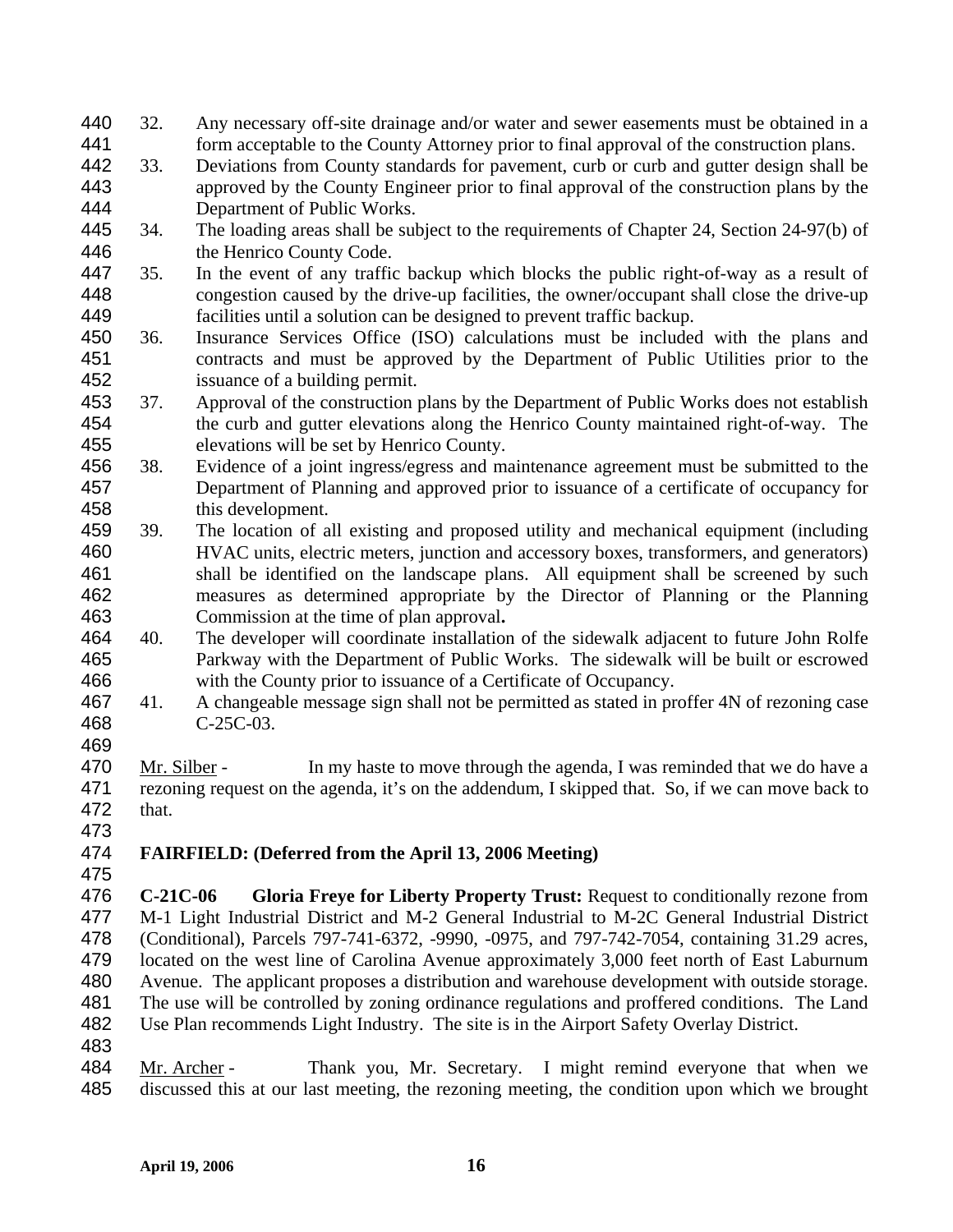- 32. Any necessary off-site drainage and/or water and sewer easements must be obtained in a form acceptable to the County Attorney prior to final approval of the construction plans. 440 441
- 442 443 444 33. Deviations from County standards for pavement, curb or curb and gutter design shall be approved by the County Engineer prior to final approval of the construction plans by the Department of Public Works.
- 445 446 34. The loading areas shall be subject to the requirements of Chapter 24, Section 24-97(b) of the Henrico County Code.
- 447 448 449 35. In the event of any traffic backup which blocks the public right-of-way as a result of congestion caused by the drive-up facilities, the owner/occupant shall close the drive-up facilities until a solution can be designed to prevent traffic backup.
- 450 451 452 36. Insurance Services Office (ISO) calculations must be included with the plans and contracts and must be approved by the Department of Public Utilities prior to the issuance of a building permit.
- 453 454 455 37. Approval of the construction plans by the Department of Public Works does not establish the curb and gutter elevations along the Henrico County maintained right-of-way. The elevations will be set by Henrico County.
- 456 457 458 38. Evidence of a joint ingress/egress and maintenance agreement must be submitted to the Department of Planning and approved prior to issuance of a certificate of occupancy for this development.
- 459 460 461 462 463 39. The location of all existing and proposed utility and mechanical equipment (including HVAC units, electric meters, junction and accessory boxes, transformers, and generators) shall be identified on the landscape plans. All equipment shall be screened by such measures as determined appropriate by the Director of Planning or the Planning Commission at the time of plan approval**.**
- 464 465 466 40. The developer will coordinate installation of the sidewalk adjacent to future John Rolfe Parkway with the Department of Public Works. The sidewalk will be built or escrowed with the County prior to issuance of a Certificate of Occupancy.
- 467 468 41. A changeable message sign shall not be permitted as stated in proffer 4N of rezoning case C-25C-03.
- 469
- Mr. Silber In my haste to move through the agenda, I was reminded that we do have a rezoning request on the agenda, it's on the addendum, I skipped that. So, if we can move back to that. 470 471 472
- 473
- 474 **FAIRFIELD: (Deferred from the April 13, 2006 Meeting)**
- 475
- 476 477 478 479 480 481 482 **C-21C-06 Gloria Freye for Liberty Property Trust:** Request to conditionally rezone from M-1 Light Industrial District and M-2 General Industrial to M-2C General Industrial District (Conditional), Parcels 797-741-6372, -9990, -0975, and 797-742-7054, containing 31.29 acres, located on the west line of Carolina Avenue approximately 3,000 feet north of East Laburnum Avenue. The applicant proposes a distribution and warehouse development with outside storage. The use will be controlled by zoning ordinance regulations and proffered conditions. The Land Use Plan recommends Light Industry. The site is in the Airport Safety Overlay District.
- 483
- Mr. Archer Thank you, Mr. Secretary. I might remind everyone that when we discussed this at our last meeting, the rezoning meeting, the condition upon which we brought 484 485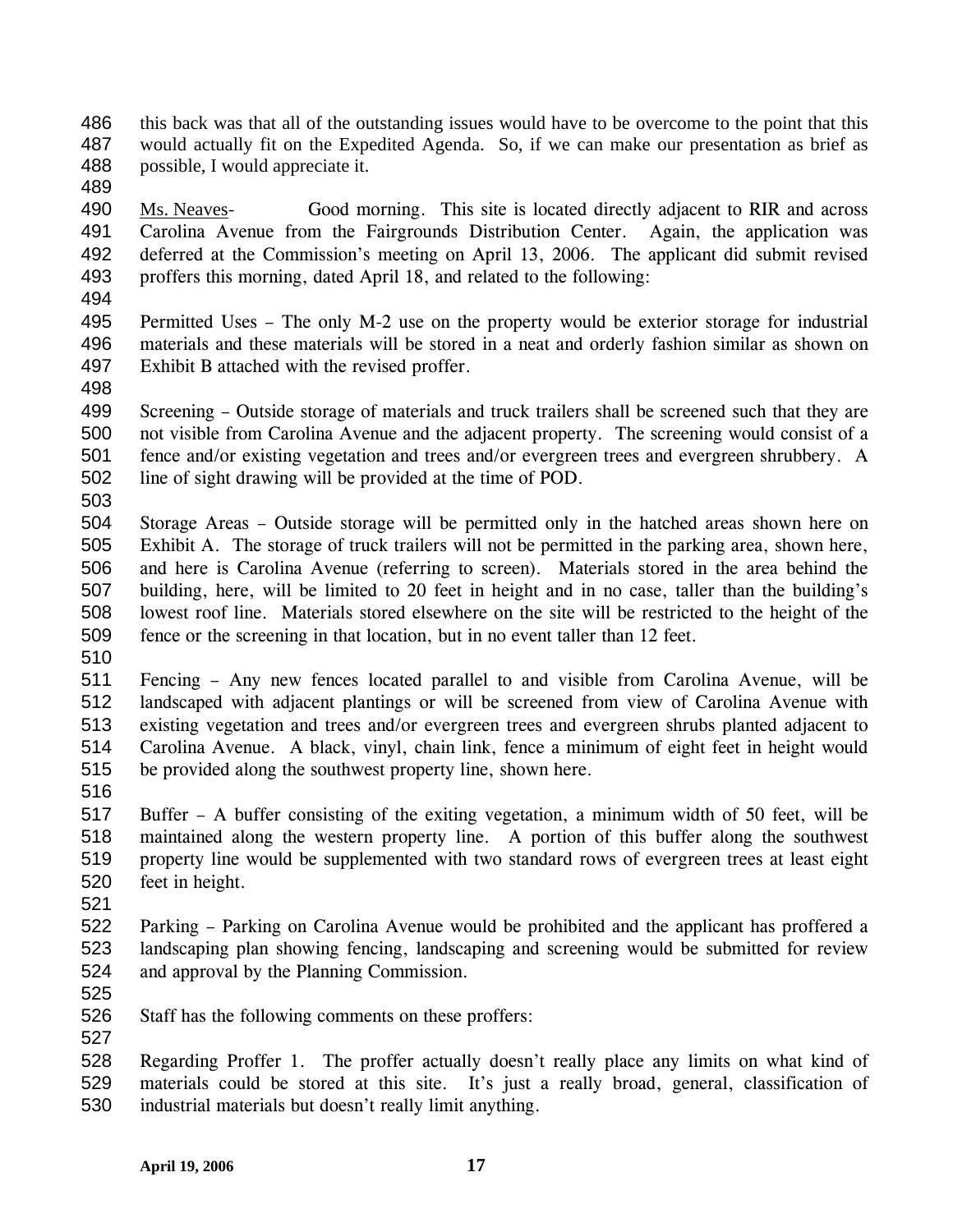- this back was that all of the outstanding issues would have to be overcome to the point that this would actually fit on the Expedited Agenda. So, if we can make our presentation as brief as possible, I would appreciate it. 486 487 488
- 489

Ms. Neaves- Good morning. This site is located directly adjacent to RIR and across Carolina Avenue from the Fairgrounds Distribution Center. Again, the application was deferred at the Commission's meeting on April 13, 2006. The applicant did submit revised proffers this morning, dated April 18, and related to the following: 490 491 492 493

- 494
- 495 496 497 Permitted Uses – The only M-2 use on the property would be exterior storage for industrial materials and these materials will be stored in a neat and orderly fashion similar as shown on Exhibit B attached with the revised proffer.
- 498

499 500 501 502 Screening – Outside storage of materials and truck trailers shall be screened such that they are not visible from Carolina Avenue and the adjacent property. The screening would consist of a fence and/or existing vegetation and trees and/or evergreen trees and evergreen shrubbery. A line of sight drawing will be provided at the time of POD.

503

504 505 506 507 508 509 Storage Areas – Outside storage will be permitted only in the hatched areas shown here on Exhibit A. The storage of truck trailers will not be permitted in the parking area, shown here, and here is Carolina Avenue (referring to screen). Materials stored in the area behind the building, here, will be limited to 20 feet in height and in no case, taller than the building's lowest roof line. Materials stored elsewhere on the site will be restricted to the height of the fence or the screening in that location, but in no event taller than 12 feet.

510

511 512 513 514 515 Fencing – Any new fences located parallel to and visible from Carolina Avenue, will be landscaped with adjacent plantings or will be screened from view of Carolina Avenue with existing vegetation and trees and/or evergreen trees and evergreen shrubs planted adjacent to Carolina Avenue. A black, vinyl, chain link, fence a minimum of eight feet in height would be provided along the southwest property line, shown here.

516

517 518 519 520 Buffer – A buffer consisting of the exiting vegetation, a minimum width of 50 feet, will be maintained along the western property line. A portion of this buffer along the southwest property line would be supplemented with two standard rows of evergreen trees at least eight feet in height.

521

522 523 524 Parking – Parking on Carolina Avenue would be prohibited and the applicant has proffered a landscaping plan showing fencing, landscaping and screening would be submitted for review and approval by the Planning Commission.

- 525
- 526 527 Staff has the following comments on these proffers:

528 529 530 Regarding Proffer 1. The proffer actually doesn't really place any limits on what kind of materials could be stored at this site. It's just a really broad, general, classification of industrial materials but doesn't really limit anything.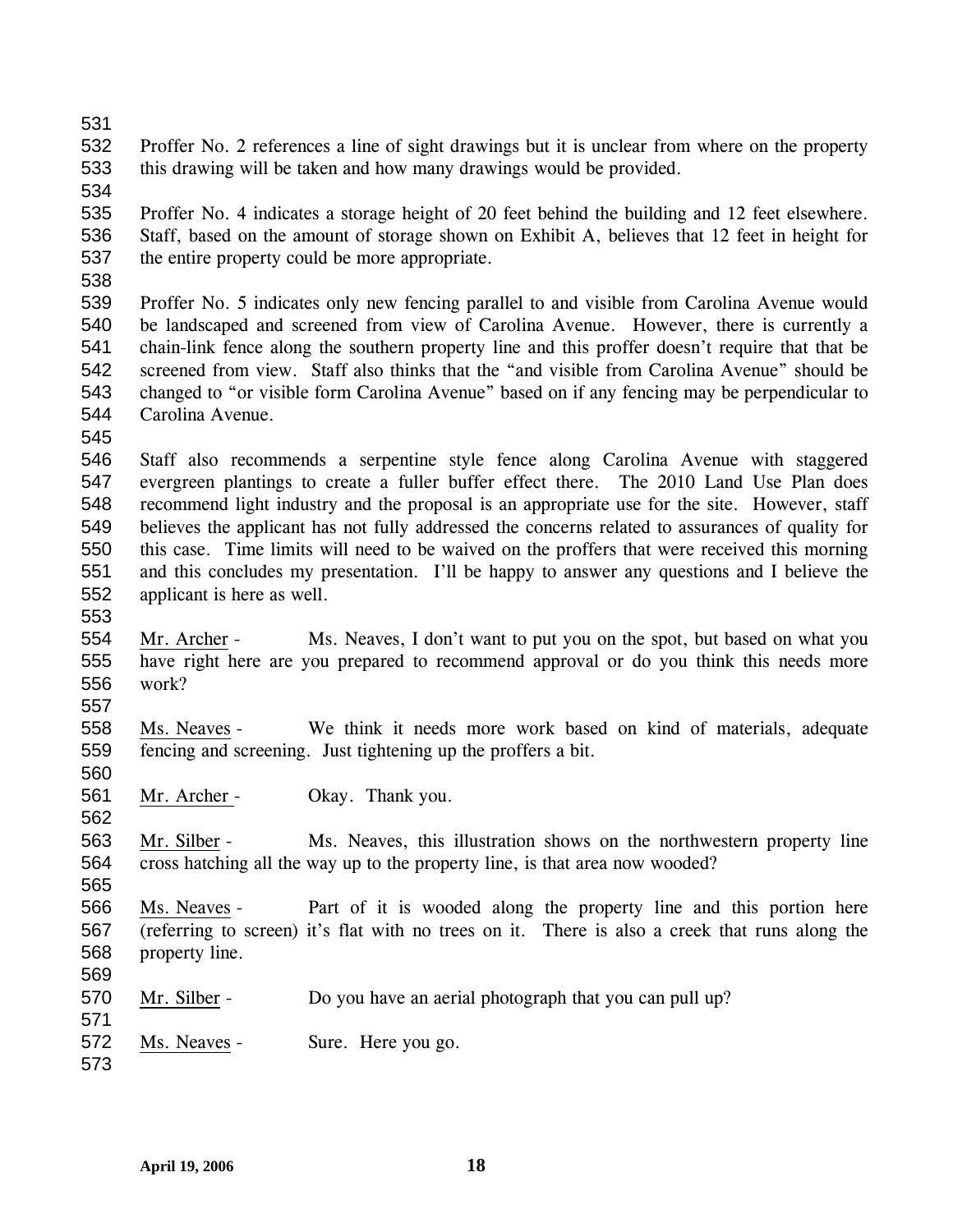531

532 533 Proffer No. 2 references a line of sight drawings but it is unclear from where on the property this drawing will be taken and how many drawings would be provided.

534

535 536 537 Proffer No. 4 indicates a storage height of 20 feet behind the building and 12 feet elsewhere. Staff, based on the amount of storage shown on Exhibit A, believes that 12 feet in height for the entire property could be more appropriate.

538

539 540 541 542 543 544 Proffer No. 5 indicates only new fencing parallel to and visible from Carolina Avenue would be landscaped and screened from view of Carolina Avenue. However, there is currently a chain-link fence along the southern property line and this proffer doesn't require that that be screened from view. Staff also thinks that the "and visible from Carolina Avenue" should be changed to "or visible form Carolina Avenue" based on if any fencing may be perpendicular to Carolina Avenue.

545

546 547 548 549 550 551 552 Staff also recommends a serpentine style fence along Carolina Avenue with staggered evergreen plantings to create a fuller buffer effect there. The 2010 Land Use Plan does recommend light industry and the proposal is an appropriate use for the site. However, staff believes the applicant has not fully addressed the concerns related to assurances of quality for this case. Time limits will need to be waived on the proffers that were received this morning and this concludes my presentation. I'll be happy to answer any questions and I believe the applicant is here as well.

553

562

565

554 555 556 557 Mr. Archer - Ms. Neaves, I don't want to put you on the spot, but based on what you have right here are you prepared to recommend approval or do you think this needs more work?

558 559 560 Ms. Neaves - We think it needs more work based on kind of materials, adequate fencing and screening. Just tightening up the proffers a bit.

561 Mr. Archer - Okay. Thank you.

563 564 Mr. Silber - Ms. Neaves, this illustration shows on the northwestern property line cross hatching all the way up to the property line, is that area now wooded?

566 567 568 569 Ms. Neaves - Part of it is wooded along the property line and this portion here (referring to screen) it's flat with no trees on it. There is also a creek that runs along the property line.

- 570 Mr. Silber - Do you have an aerial photograph that you can pull up?
- 572 Ms. Neaves - Sure. Here you go.
- 573

571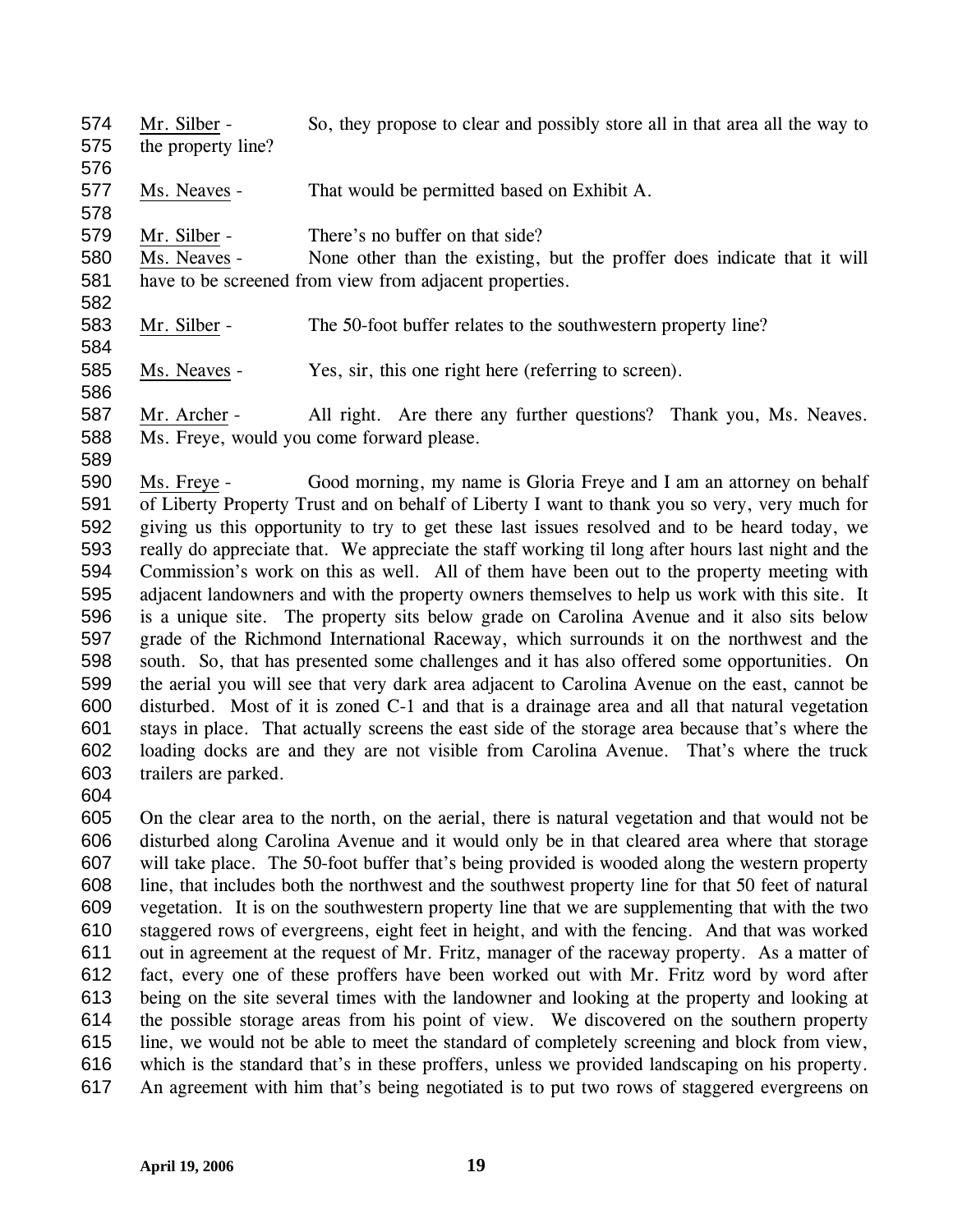574 575 Mr. Silber - So, they propose to clear and possibly store all in that area all the way to the property line?

577 Ms. Neaves - That would be permitted based on Exhibit A.

579 Mr. Silber - There's no buffer on that side?

580 581 Ms. Neaves - None other than the existing, but the proffer does indicate that it will have to be screened from view from adjacent properties.

583 Mr. Silber - The 50-foot buffer relates to the southwestern property line?

585 Ms. Neaves - Yes, sir, this one right here (referring to screen).

587 588 Mr. Archer - All right. Are there any further questions? Thank you, Ms. Neaves. Ms. Freye, would you come forward please.

590 591 592 593 594 595 596 597 598 599 600 601 602 603 Ms. Freye - Good morning, my name is Gloria Freye and I am an attorney on behalf of Liberty Property Trust and on behalf of Liberty I want to thank you so very, very much for giving us this opportunity to try to get these last issues resolved and to be heard today, we really do appreciate that. We appreciate the staff working til long after hours last night and the Commission's work on this as well. All of them have been out to the property meeting with adjacent landowners and with the property owners themselves to help us work with this site. It is a unique site. The property sits below grade on Carolina Avenue and it also sits below grade of the Richmond International Raceway, which surrounds it on the northwest and the south. So, that has presented some challenges and it has also offered some opportunities. On the aerial you will see that very dark area adjacent to Carolina Avenue on the east, cannot be disturbed. Most of it is zoned C-1 and that is a drainage area and all that natural vegetation stays in place. That actually screens the east side of the storage area because that's where the loading docks are and they are not visible from Carolina Avenue. That's where the truck trailers are parked.

604

576

578

582

584

586

589

605 606 607 608 609 610 611 612 613 614 615 616 617 On the clear area to the north, on the aerial, there is natural vegetation and that would not be disturbed along Carolina Avenue and it would only be in that cleared area where that storage will take place. The 50-foot buffer that's being provided is wooded along the western property line, that includes both the northwest and the southwest property line for that 50 feet of natural vegetation. It is on the southwestern property line that we are supplementing that with the two staggered rows of evergreens, eight feet in height, and with the fencing. And that was worked out in agreement at the request of Mr. Fritz, manager of the raceway property. As a matter of fact, every one of these proffers have been worked out with Mr. Fritz word by word after being on the site several times with the landowner and looking at the property and looking at the possible storage areas from his point of view. We discovered on the southern property line, we would not be able to meet the standard of completely screening and block from view, which is the standard that's in these proffers, unless we provided landscaping on his property. An agreement with him that's being negotiated is to put two rows of staggered evergreens on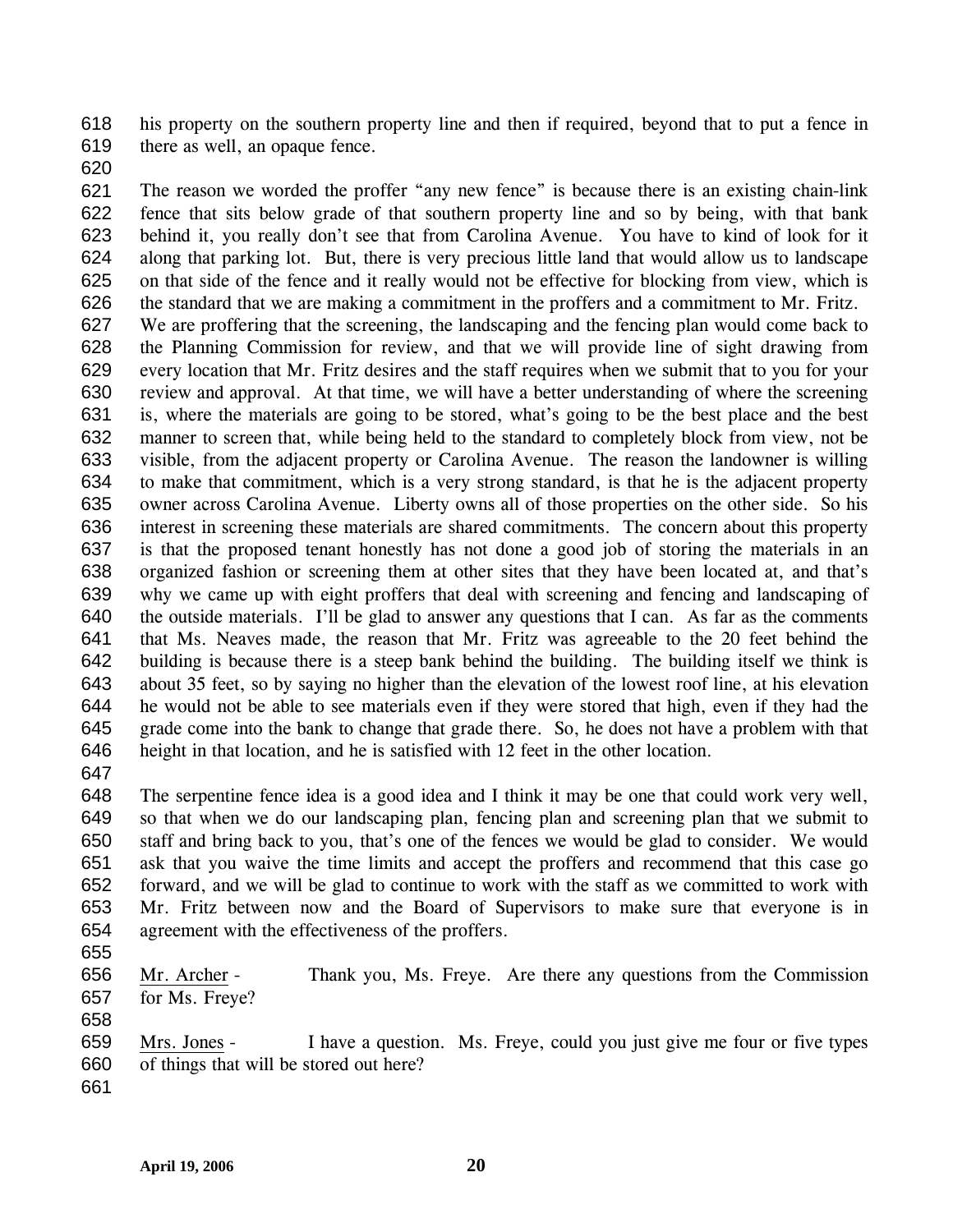618 619 his property on the southern property line and then if required, beyond that to put a fence in there as well, an opaque fence.

620

621 622 623 624 625 626 627 628 629 630 631 632 633 634 635 636 637 638 639 640 641 642 643 644 645 646 The reason we worded the proffer "any new fence" is because there is an existing chain-link fence that sits below grade of that southern property line and so by being, with that bank behind it, you really don't see that from Carolina Avenue. You have to kind of look for it along that parking lot. But, there is very precious little land that would allow us to landscape on that side of the fence and it really would not be effective for blocking from view, which is the standard that we are making a commitment in the proffers and a commitment to Mr. Fritz. We are proffering that the screening, the landscaping and the fencing plan would come back to the Planning Commission for review, and that we will provide line of sight drawing from every location that Mr. Fritz desires and the staff requires when we submit that to you for your review and approval. At that time, we will have a better understanding of where the screening is, where the materials are going to be stored, what's going to be the best place and the best manner to screen that, while being held to the standard to completely block from view, not be visible, from the adjacent property or Carolina Avenue. The reason the landowner is willing to make that commitment, which is a very strong standard, is that he is the adjacent property owner across Carolina Avenue. Liberty owns all of those properties on the other side. So his interest in screening these materials are shared commitments. The concern about this property is that the proposed tenant honestly has not done a good job of storing the materials in an organized fashion or screening them at other sites that they have been located at, and that's why we came up with eight proffers that deal with screening and fencing and landscaping of the outside materials. I'll be glad to answer any questions that I can. As far as the comments that Ms. Neaves made, the reason that Mr. Fritz was agreeable to the 20 feet behind the building is because there is a steep bank behind the building. The building itself we think is about 35 feet, so by saying no higher than the elevation of the lowest roof line, at his elevation he would not be able to see materials even if they were stored that high, even if they had the grade come into the bank to change that grade there. So, he does not have a problem with that height in that location, and he is satisfied with 12 feet in the other location.

647

648 649 650 651 652 653 654 The serpentine fence idea is a good idea and I think it may be one that could work very well, so that when we do our landscaping plan, fencing plan and screening plan that we submit to staff and bring back to you, that's one of the fences we would be glad to consider. We would ask that you waive the time limits and accept the proffers and recommend that this case go forward, and we will be glad to continue to work with the staff as we committed to work with Mr. Fritz between now and the Board of Supervisors to make sure that everyone is in agreement with the effectiveness of the proffers.

655

658

656 657 Mr. Archer - Thank you, Ms. Freye. Are there any questions from the Commission for Ms. Freye?

659 660 Mrs. Jones - I have a question. Ms. Freye, could you just give me four or five types of things that will be stored out here?

661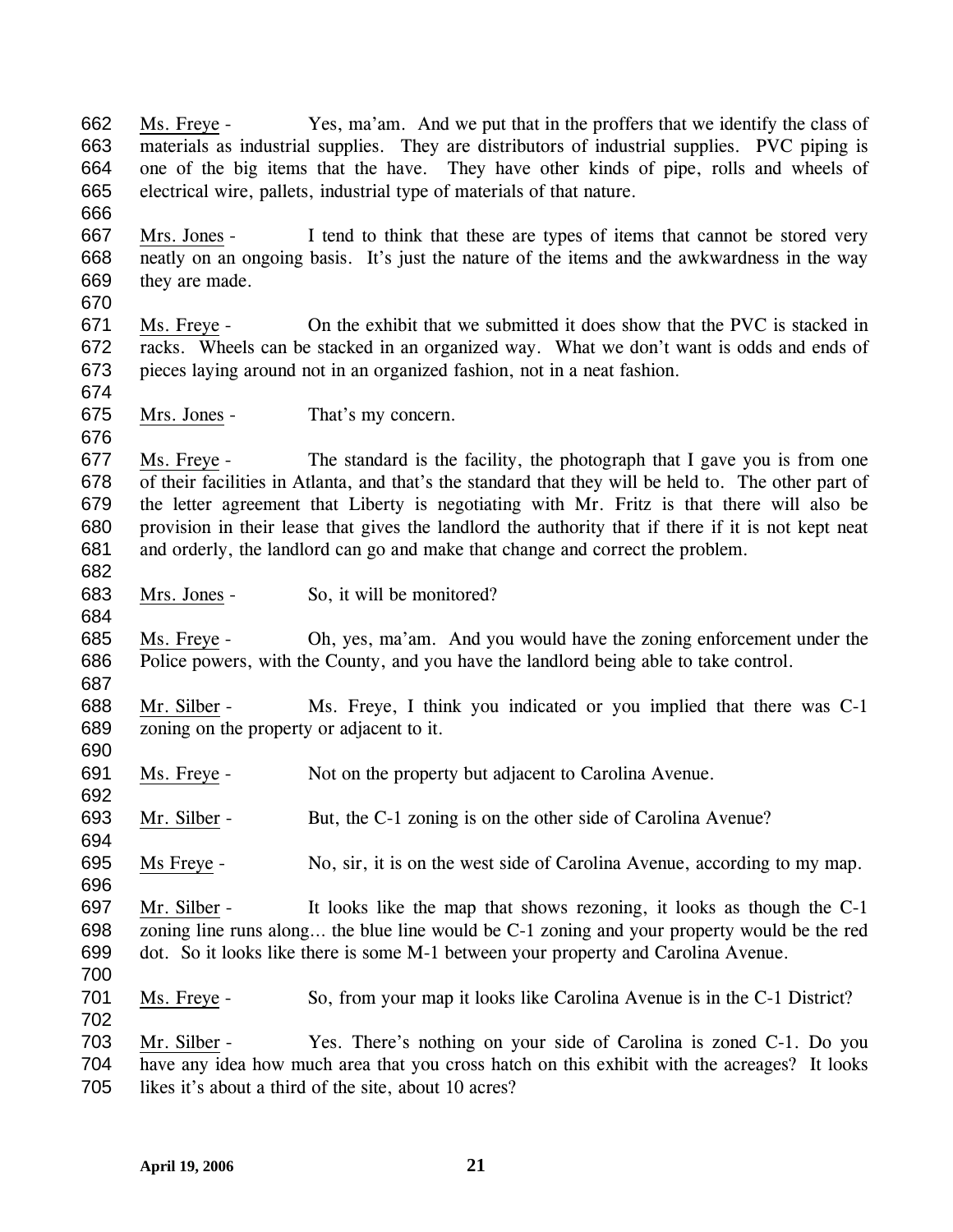662 663 664 665 666 Ms. Freye - Yes, ma'am. And we put that in the proffers that we identify the class of materials as industrial supplies. They are distributors of industrial supplies. PVC piping is one of the big items that the have. They have other kinds of pipe, rolls and wheels of electrical wire, pallets, industrial type of materials of that nature. 667 668 669 670 Mrs. Jones - I tend to think that these are types of items that cannot be stored very neatly on an ongoing basis. It's just the nature of the items and the awkwardness in the way they are made. 671 672 673 674 Ms. Freye - On the exhibit that we submitted it does show that the PVC is stacked in racks. Wheels can be stacked in an organized way. What we don't want is odds and ends of pieces laying around not in an organized fashion, not in a neat fashion. 675 676 Mrs. Jones - That's my concern. 677 678 679 680 681 682 Ms. Freye - The standard is the facility, the photograph that I gave you is from one of their facilities in Atlanta, and that's the standard that they will be held to. The other part of the letter agreement that Liberty is negotiating with Mr. Fritz is that there will also be provision in their lease that gives the landlord the authority that if there if it is not kept neat and orderly, the landlord can go and make that change and correct the problem. 683 684 Mrs. Jones - So, it will be monitored? 685 686 687 Ms. Freye - Oh, yes, ma'am. And you would have the zoning enforcement under the Police powers, with the County, and you have the landlord being able to take control. 688 689 690 Mr. Silber - Ms. Freye, I think you indicated or you implied that there was C-1 zoning on the property or adjacent to it. 691 692 Ms. Freye - Not on the property but adjacent to Carolina Avenue. 693 694 Mr. Silber - But, the C-1 zoning is on the other side of Carolina Avenue? 695 696 Ms Freye - No, sir, it is on the west side of Carolina Avenue, according to my map. 697 698 699 700 Mr. Silber - It looks like the map that shows rezoning, it looks as though the C-1 zoning line runs along… the blue line would be C-1 zoning and your property would be the red dot. So it looks like there is some M-1 between your property and Carolina Avenue. 701 702 Ms. Freye - So, from your map it looks like Carolina Avenue is in the C-1 District? 703 704 705 Mr. Silber - Yes. There's nothing on your side of Carolina is zoned C-1. Do you have any idea how much area that you cross hatch on this exhibit with the acreages? It looks likes it's about a third of the site, about 10 acres?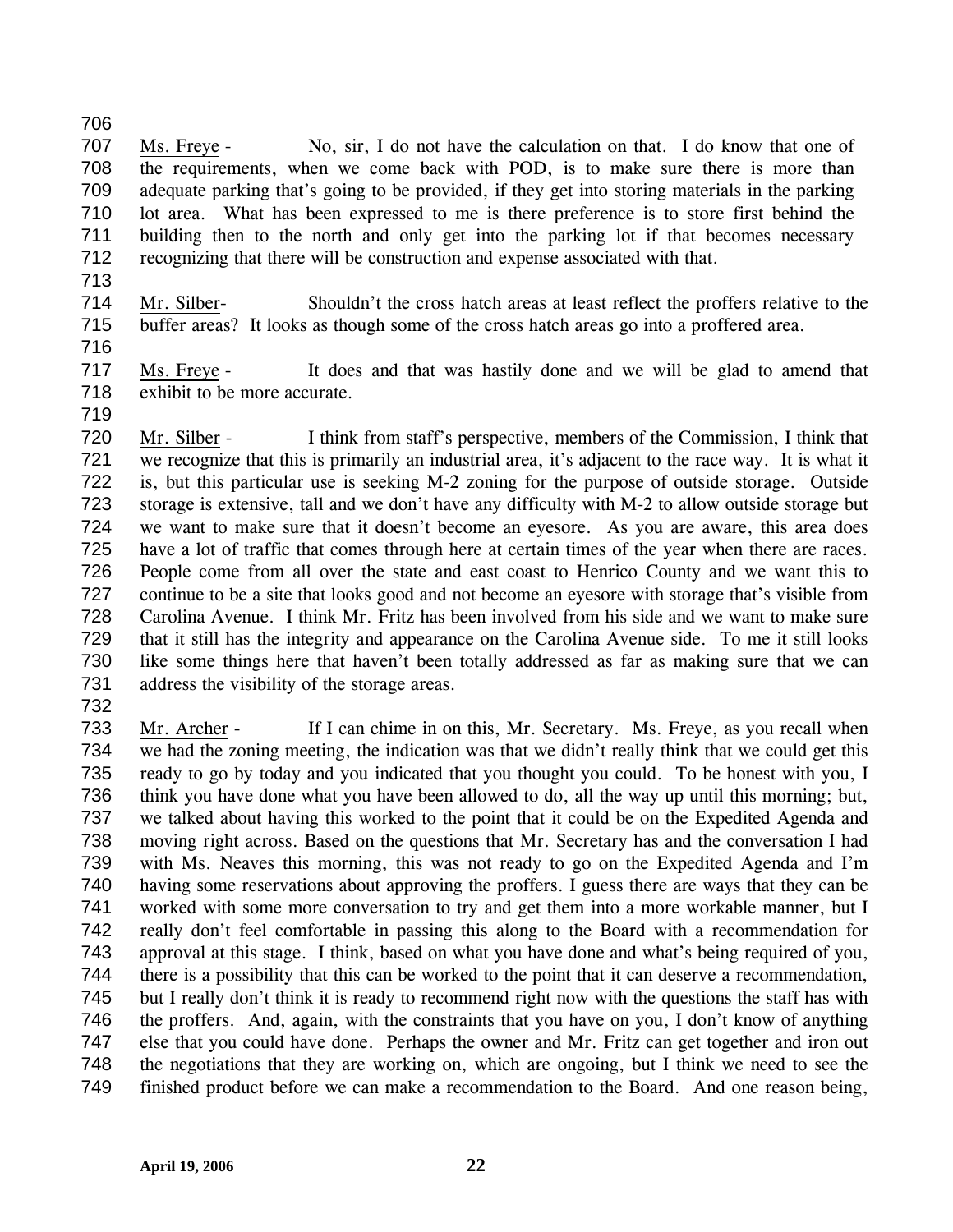707 708 709 710 711 712 Ms. Freye - No, sir, I do not have the calculation on that. I do know that one of the requirements, when we come back with POD, is to make sure there is more than adequate parking that's going to be provided, if they get into storing materials in the parking lot area. What has been expressed to me is there preference is to store first behind the building then to the north and only get into the parking lot if that becomes necessary recognizing that there will be construction and expense associated with that.

713

706

714

715 716 Mr. Silber- Shouldn't the cross hatch areas at least reflect the proffers relative to the buffer areas? It looks as though some of the cross hatch areas go into a proffered area.

- 717 718 Ms. Freye - It does and that was hastily done and we will be glad to amend that exhibit to be more accurate.
- 719

720 721 722 723 724 725 726 727 728 729 730 731 Mr. Silber - I think from staff's perspective, members of the Commission, I think that we recognize that this is primarily an industrial area, it's adjacent to the race way. It is what it is, but this particular use is seeking M-2 zoning for the purpose of outside storage. Outside storage is extensive, tall and we don't have any difficulty with M-2 to allow outside storage but we want to make sure that it doesn't become an eyesore. As you are aware, this area does have a lot of traffic that comes through here at certain times of the year when there are races. People come from all over the state and east coast to Henrico County and we want this to continue to be a site that looks good and not become an eyesore with storage that's visible from Carolina Avenue. I think Mr. Fritz has been involved from his side and we want to make sure that it still has the integrity and appearance on the Carolina Avenue side. To me it still looks like some things here that haven't been totally addressed as far as making sure that we can address the visibility of the storage areas.

732

733 734 735 736 737 738 739 740 741 742 743 744 745 746 747 748 749 Mr. Archer - If I can chime in on this, Mr. Secretary. Ms. Freye, as you recall when we had the zoning meeting, the indication was that we didn't really think that we could get this ready to go by today and you indicated that you thought you could. To be honest with you, I think you have done what you have been allowed to do, all the way up until this morning; but, we talked about having this worked to the point that it could be on the Expedited Agenda and moving right across. Based on the questions that Mr. Secretary has and the conversation I had with Ms. Neaves this morning, this was not ready to go on the Expedited Agenda and I'm having some reservations about approving the proffers. I guess there are ways that they can be worked with some more conversation to try and get them into a more workable manner, but I really don't feel comfortable in passing this along to the Board with a recommendation for approval at this stage. I think, based on what you have done and what's being required of you, there is a possibility that this can be worked to the point that it can deserve a recommendation, but I really don't think it is ready to recommend right now with the questions the staff has with the proffers. And, again, with the constraints that you have on you, I don't know of anything else that you could have done. Perhaps the owner and Mr. Fritz can get together and iron out the negotiations that they are working on, which are ongoing, but I think we need to see the finished product before we can make a recommendation to the Board. And one reason being,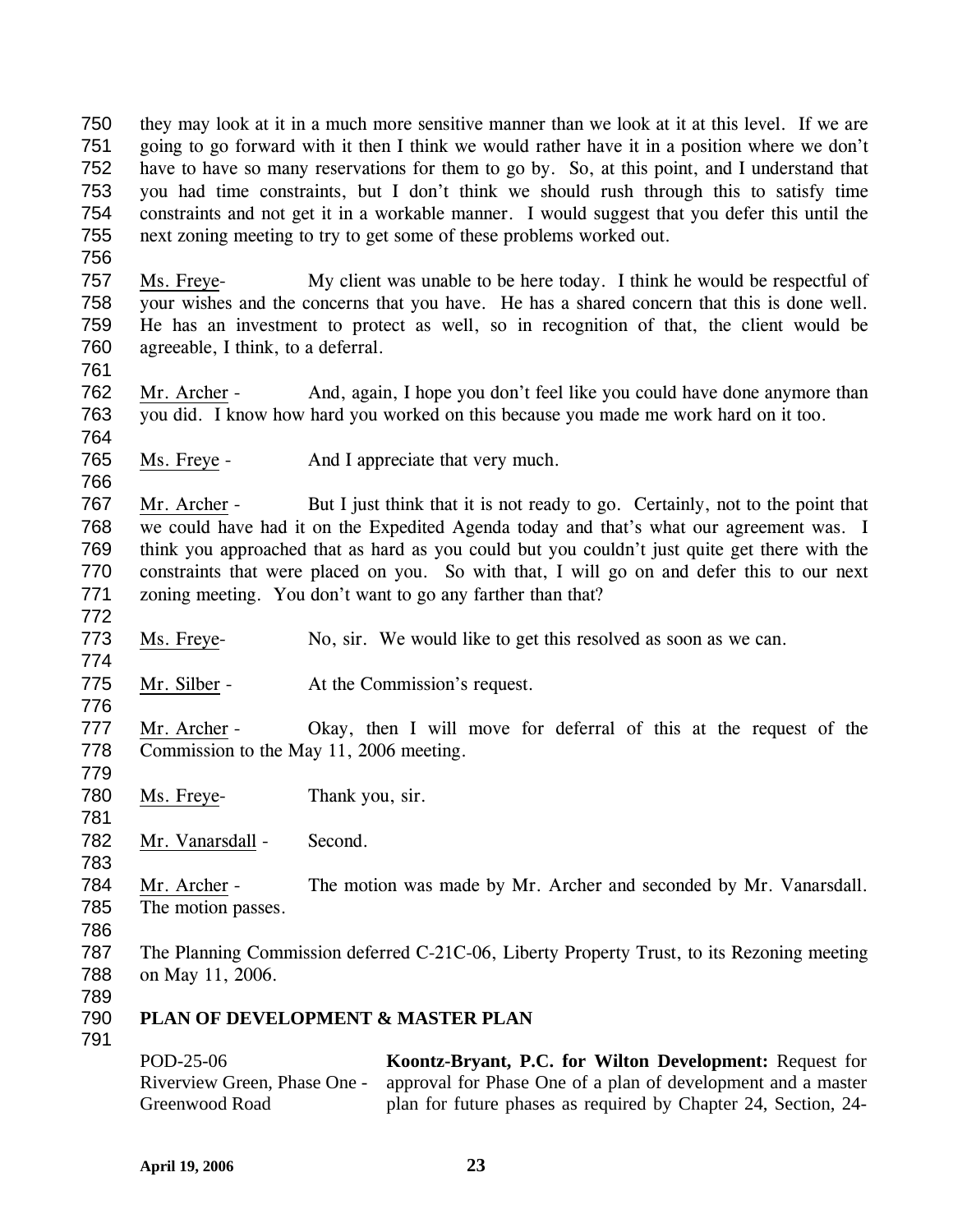750 751 752 753 754 755 they may look at it in a much more sensitive manner than we look at it at this level. If we are going to go forward with it then I think we would rather have it in a position where we don't have to have so many reservations for them to go by. So, at this point, and I understand that you had time constraints, but I don't think we should rush through this to satisfy time constraints and not get it in a workable manner. I would suggest that you defer this until the next zoning meeting to try to get some of these problems worked out.

756

757 758 759 760 Ms. Freye- My client was unable to be here today. I think he would be respectful of your wishes and the concerns that you have. He has a shared concern that this is done well. He has an investment to protect as well, so in recognition of that, the client would be agreeable, I think, to a deferral.

761

766

772

774

776

779

781

783

762 763 764 Mr. Archer - And, again, I hope you don't feel like you could have done anymore than you did. I know how hard you worked on this because you made me work hard on it too.

765 Ms. Freye - And I appreciate that very much.

767 768 769 770 771 Mr. Archer - But I just think that it is not ready to go. Certainly, not to the point that we could have had it on the Expedited Agenda today and that's what our agreement was. I think you approached that as hard as you could but you couldn't just quite get there with the constraints that were placed on you. So with that, I will go on and defer this to our next zoning meeting. You don't want to go any farther than that?

773 Ms. Freye- No, sir. We would like to get this resolved as soon as we can.

- 775 Mr. Silber - At the Commission's request.
- 777 778 Mr. Archer - Okay, then I will move for deferral of this at the request of the Commission to the May 11, 2006 meeting.
- 780 Ms. Freye- Thank you, sir.
- 782 Mr. Vanarsdall - Second.
- 784 785 Mr. Archer - The motion was made by Mr. Archer and seconded by Mr. Vanarsdall. The motion passes.
- 786
- 787 788 The Planning Commission deferred C-21C-06, Liberty Property Trust, to its Rezoning meeting on May 11, 2006.
- 789
- 790 **PLAN OF DEVELOPMENT & MASTER PLAN**
- 791

POD-25-06 Riverview Green, Phase One - Greenwood Road **Koontz-Bryant, P.C. for Wilton Development:** Request for approval for Phase One of a plan of development and a master plan for future phases as required by Chapter 24, Section, 24-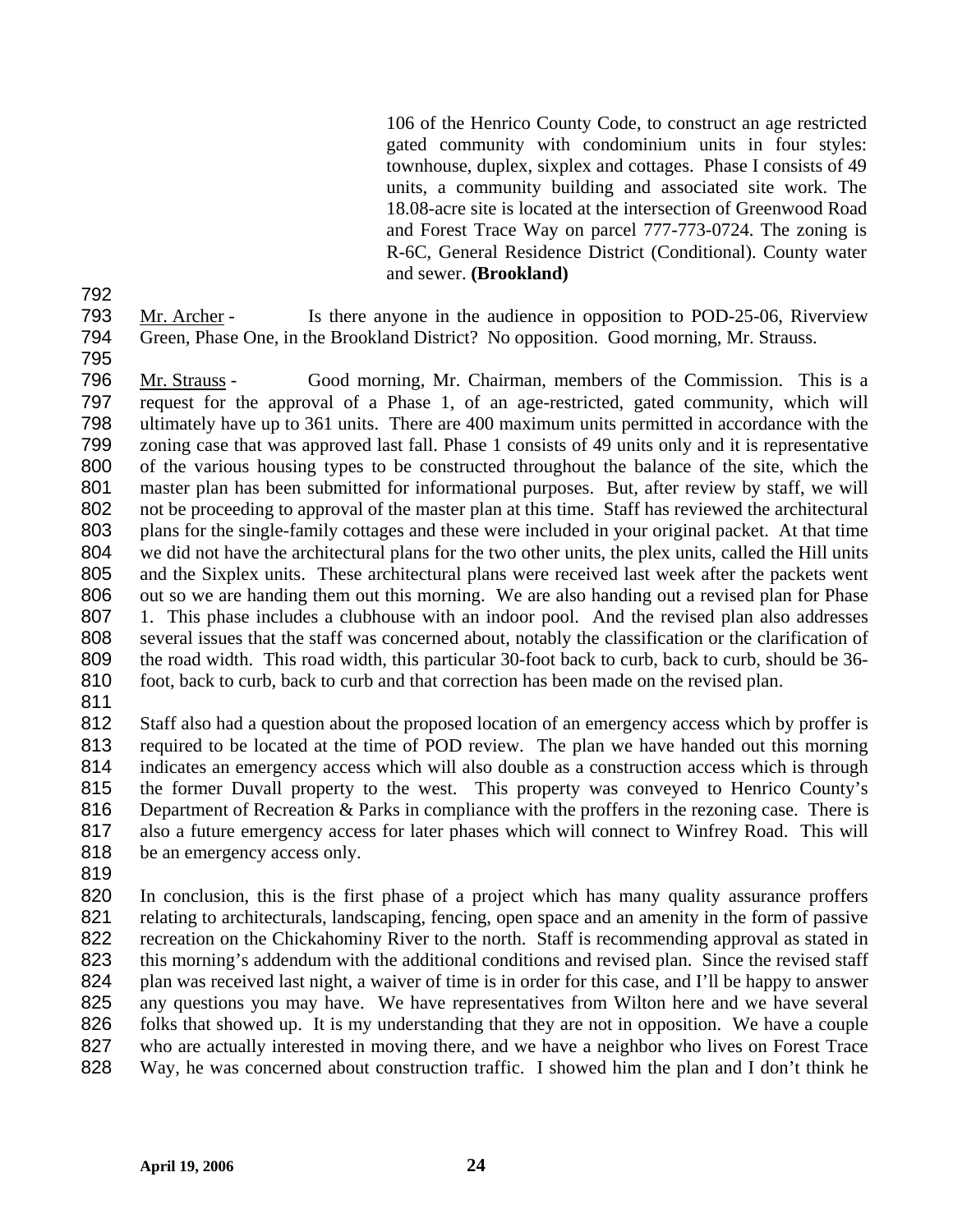106 of the Henrico County Code, to construct an age restricted gated community with condominium units in four styles: townhouse, duplex, sixplex and cottages. Phase I consists of 49 units, a community building and associated site work. The 18.08-acre site is located at the intersection of Greenwood Road and Forest Trace Way on parcel 777-773-0724. The zoning is R-6C, General Residence District (Conditional). County water and sewer. **(Brookland)** 

Mr. Archer - Is there anyone in the audience in opposition to POD-25-06, Riverview Green, Phase One, in the Brookland District? No opposition. Good morning, Mr. Strauss.

Mr. Strauss - Good morning, Mr. Chairman, members of the Commission. This is a request for the approval of a Phase 1, of an age-restricted, gated community, which will ultimately have up to 361 units. There are 400 maximum units permitted in accordance with the zoning case that was approved last fall. Phase 1 consists of 49 units only and it is representative of the various housing types to be constructed throughout the balance of the site, which the master plan has been submitted for informational purposes. But, after review by staff, we will not be proceeding to approval of the master plan at this time. Staff has reviewed the architectural plans for the single-family cottages and these were included in your original packet. At that time we did not have the architectural plans for the two other units, the plex units, called the Hill units and the Sixplex units. These architectural plans were received last week after the packets went out so we are handing them out this morning. We are also handing out a revised plan for Phase 1. This phase includes a clubhouse with an indoor pool. And the revised plan also addresses several issues that the staff was concerned about, notably the classification or the clarification of the road width. This road width, this particular 30-foot back to curb, back to curb, should be 36- foot, back to curb, back to curb and that correction has been made on the revised plan.

Staff also had a question about the proposed location of an emergency access which by proffer is required to be located at the time of POD review. The plan we have handed out this morning indicates an emergency access which will also double as a construction access which is through the former Duvall property to the west. This property was conveyed to Henrico County's 816 Department of Recreation & Parks in compliance with the proffers in the rezoning case. There is also a future emergency access for later phases which will connect to Winfrey Road. This will 818 be an emergency access only.

In conclusion, this is the first phase of a project which has many quality assurance proffers relating to architecturals, landscaping, fencing, open space and an amenity in the form of passive recreation on the Chickahominy River to the north. Staff is recommending approval as stated in 823 this morning's addendum with the additional conditions and revised plan. Since the revised staff plan was received last night, a waiver of time is in order for this case, and I'll be happy to answer any questions you may have. We have representatives from Wilton here and we have several folks that showed up. It is my understanding that they are not in opposition. We have a couple who are actually interested in moving there, and we have a neighbor who lives on Forest Trace Way, he was concerned about construction traffic. I showed him the plan and I don't think he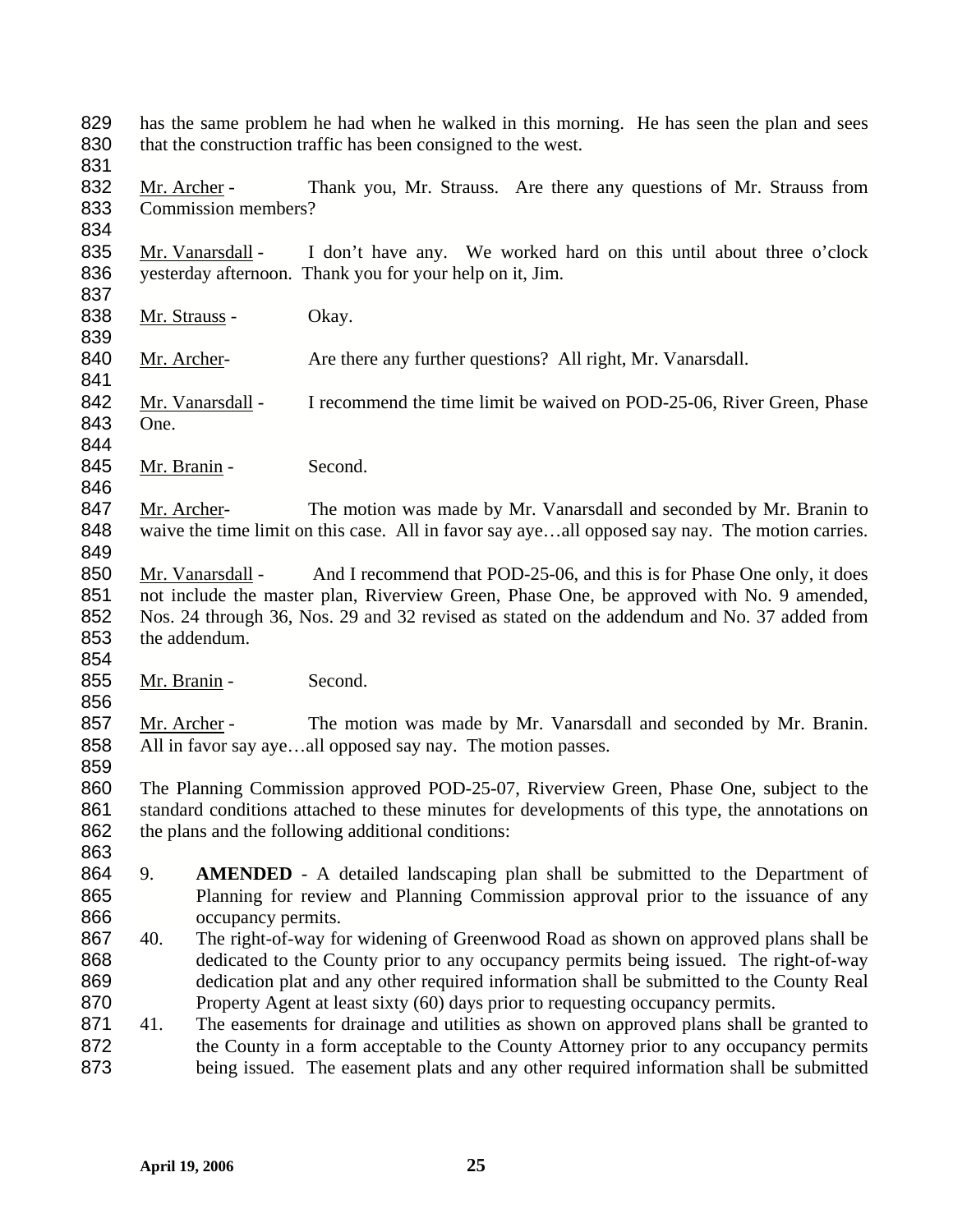829 has the same problem he had when he walked in this morning. He has seen the plan and sees 830 that the construction traffic has been consigned to the west.

831

832 Mr. Archer - Thank you, Mr. Strauss. Are there any questions of Mr. Strauss from 833 Commission members?

834

839

841

835 Mr. Vanarsdall - I don't have any. We worked hard on this until about three o'clock 836 yesterday afternoon. Thank you for your help on it, Jim. 837

838 Mr. Strauss - Okay.

840 Mr. Archer- Are there any further questions? All right, Mr. Vanarsdall.

842 Mr. Vanarsdall - I recommend the time limit be waived on POD-25-06, River Green, Phase 843 One.

844

846

854

856

859

863

845 Mr. Branin - Second.

847 Mr. Archer- The motion was made by Mr. Vanarsdall and seconded by Mr. Branin to 848 waive the time limit on this case. All in favor say aye...all opposed say nay. The motion carries. 849

850 Mr. Vanarsdall - And I recommend that POD-25-06, and this is for Phase One only, it does not include the master plan, Riverview Green, Phase One, be approved with No. 9 amended, Nos. 24 through 36, Nos. 29 and 32 revised as stated on the addendum and No. 37 added from the addendum.

855 Mr. Branin - Second.

857 Mr. Archer - The motion was made by Mr. Vanarsdall and seconded by Mr. Branin. 858 All in favor say aye…all opposed say nay. The motion passes.

860 The Planning Commission approved POD-25-07, Riverview Green, Phase One, subject to the 861 standard conditions attached to these minutes for developments of this type, the annotations on 862 the plans and the following additional conditions:

- 864 9. **AMENDED** A detailed landscaping plan shall be submitted to the Department of 865 Planning for review and Planning Commission approval prior to the issuance of any 866 occupancy permits.
- 867 868 869 870 40. The right-of-way for widening of Greenwood Road as shown on approved plans shall be dedicated to the County prior to any occupancy permits being issued. The right-of-way dedication plat and any other required information shall be submitted to the County Real Property Agent at least sixty (60) days prior to requesting occupancy permits.
- 871 872 873 41. The easements for drainage and utilities as shown on approved plans shall be granted to the County in a form acceptable to the County Attorney prior to any occupancy permits being issued. The easement plats and any other required information shall be submitted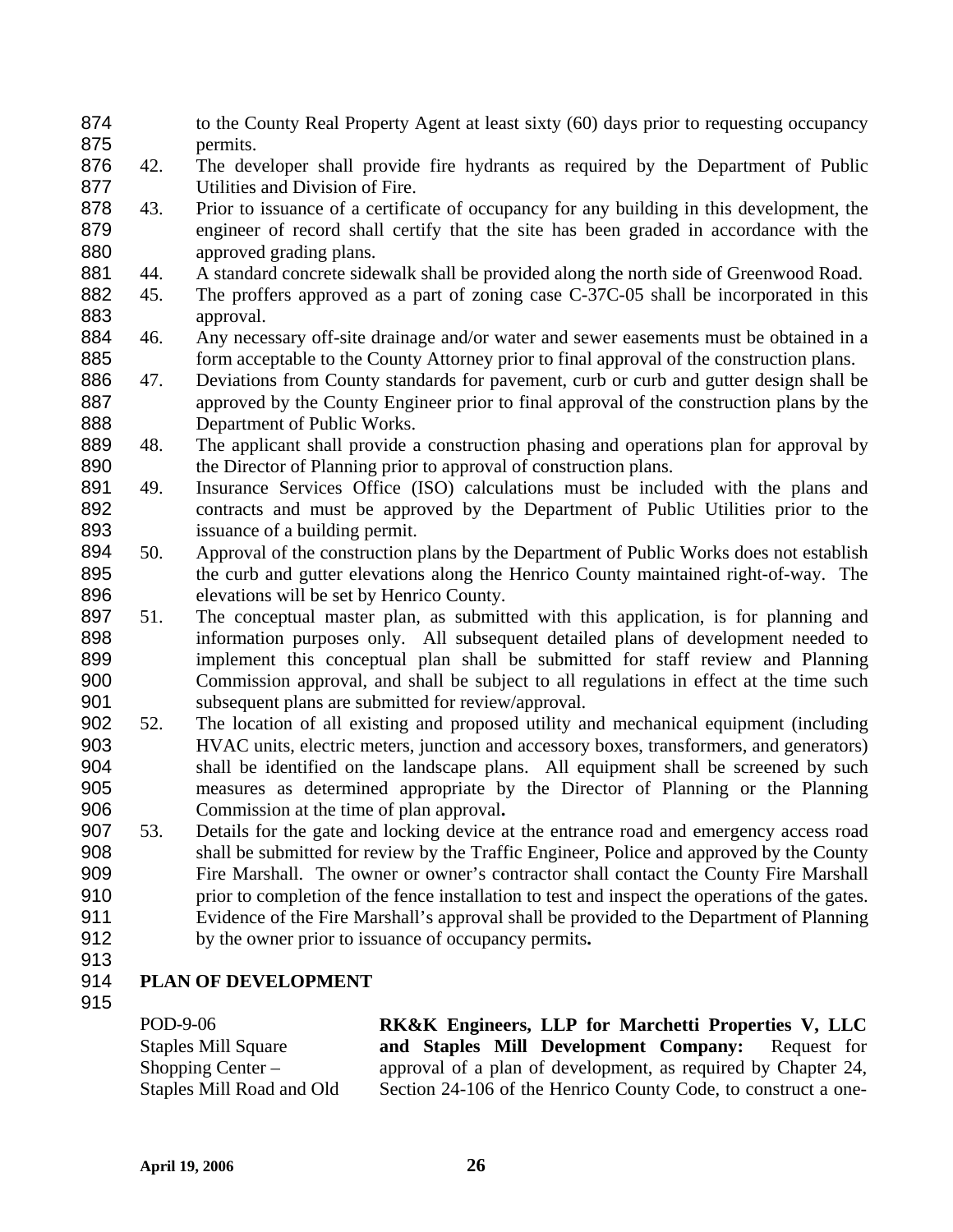- to the County Real Property Agent at least sixty (60) days prior to requesting occupancy permits. 874 875
- 876 877 42. The developer shall provide fire hydrants as required by the Department of Public Utilities and Division of Fire.
- 878 879 880 43. Prior to issuance of a certificate of occupancy for any building in this development, the engineer of record shall certify that the site has been graded in accordance with the approved grading plans.
- 881 44. A standard concrete sidewalk shall be provided along the north side of Greenwood Road.
- 882 883 45. The proffers approved as a part of zoning case C-37C-05 shall be incorporated in this approval.
- 884 885 46. Any necessary off-site drainage and/or water and sewer easements must be obtained in a form acceptable to the County Attorney prior to final approval of the construction plans.
- 886 887 888 47. Deviations from County standards for pavement, curb or curb and gutter design shall be approved by the County Engineer prior to final approval of the construction plans by the Department of Public Works.
- 889 890 48. The applicant shall provide a construction phasing and operations plan for approval by the Director of Planning prior to approval of construction plans.
- 891 892 893 49. Insurance Services Office (ISO) calculations must be included with the plans and contracts and must be approved by the Department of Public Utilities prior to the issuance of a building permit.
- 894 895 896 50. Approval of the construction plans by the Department of Public Works does not establish the curb and gutter elevations along the Henrico County maintained right-of-way. The elevations will be set by Henrico County.
- 897 898 899 900 901 51. The conceptual master plan, as submitted with this application, is for planning and information purposes only. All subsequent detailed plans of development needed to implement this conceptual plan shall be submitted for staff review and Planning Commission approval, and shall be subject to all regulations in effect at the time such subsequent plans are submitted for review/approval.
- 902 903 904 905 906 52. The location of all existing and proposed utility and mechanical equipment (including HVAC units, electric meters, junction and accessory boxes, transformers, and generators) shall be identified on the landscape plans. All equipment shall be screened by such measures as determined appropriate by the Director of Planning or the Planning Commission at the time of plan approval**.**
- 907 908 909 910 911 912 53. Details for the gate and locking device at the entrance road and emergency access road shall be submitted for review by the Traffic Engineer, Police and approved by the County Fire Marshall. The owner or owner's contractor shall contact the County Fire Marshall prior to completion of the fence installation to test and inspect the operations of the gates. Evidence of the Fire Marshall's approval shall be provided to the Department of Planning by the owner prior to issuance of occupancy permits**.**
- 913

### 914 **PLAN OF DEVELOPMENT**

915

| POD-9-06                   | <b>RK&amp;K</b> Engineers, LLP for Marchetti Properties V, LLC |
|----------------------------|----------------------------------------------------------------|
| <b>Staples Mill Square</b> | and Staples Mill Development Company: Request for              |
| Shopping Center $-$        | approval of a plan of development, as required by Chapter 24,  |
| Staples Mill Road and Old  | Section 24-106 of the Henrico County Code, to construct a one- |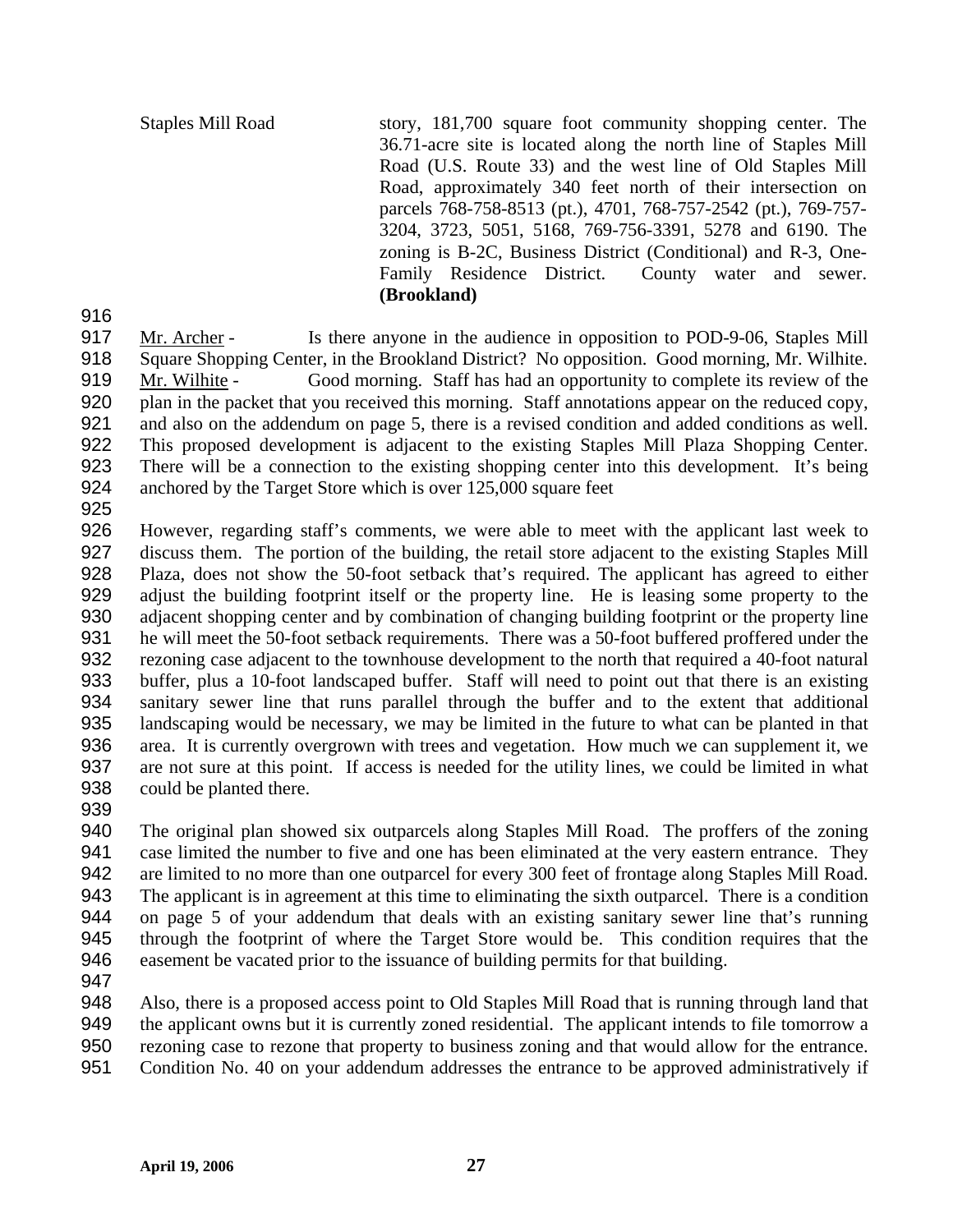Staples Mill Road story, 181,700 square foot community shopping center. The 36.71-acre site is located along the north line of Staples Mill Road (U.S. Route 33) and the west line of Old Staples Mill Road, approximately 340 feet north of their intersection on parcels 768-758-8513 (pt.), 4701, 768-757-2542 (pt.), 769-757- 3204, 3723, 5051, 5168, 769-756-3391, 5278 and 6190. The zoning is B-2C, Business District (Conditional) and R-3, One-Family Residence District. County water and sewer. **(Brookland)**

916

Mr. Archer - Is there anyone in the audience in opposition to POD-9-06, Staples Mill Square Shopping Center, in the Brookland District? No opposition. Good morning, Mr. Wilhite. 917 918 Mr. Wilhite - Good morning. Staff has had an opportunity to complete its review of the plan in the packet that you received this morning. Staff annotations appear on the reduced copy, and also on the addendum on page 5, there is a revised condition and added conditions as well. This proposed development is adjacent to the existing Staples Mill Plaza Shopping Center. There will be a connection to the existing shopping center into this development. It's being anchored by the Target Store which is over 125,000 square feet 919 920 921 922 923 924

925

926 927 928 929 930 931 932 933 934 935 936 937 938 However, regarding staff's comments, we were able to meet with the applicant last week to discuss them. The portion of the building, the retail store adjacent to the existing Staples Mill Plaza, does not show the 50-foot setback that's required. The applicant has agreed to either adjust the building footprint itself or the property line. He is leasing some property to the adjacent shopping center and by combination of changing building footprint or the property line he will meet the 50-foot setback requirements. There was a 50-foot buffered proffered under the rezoning case adjacent to the townhouse development to the north that required a 40-foot natural buffer, plus a 10-foot landscaped buffer. Staff will need to point out that there is an existing sanitary sewer line that runs parallel through the buffer and to the extent that additional landscaping would be necessary, we may be limited in the future to what can be planted in that area. It is currently overgrown with trees and vegetation. How much we can supplement it, we are not sure at this point. If access is needed for the utility lines, we could be limited in what could be planted there.

939

940 941 942 943 944 945 946 The original plan showed six outparcels along Staples Mill Road. The proffers of the zoning case limited the number to five and one has been eliminated at the very eastern entrance. They are limited to no more than one outparcel for every 300 feet of frontage along Staples Mill Road. The applicant is in agreement at this time to eliminating the sixth outparcel. There is a condition on page 5 of your addendum that deals with an existing sanitary sewer line that's running through the footprint of where the Target Store would be. This condition requires that the easement be vacated prior to the issuance of building permits for that building.

947

948 949 950 951 Also, there is a proposed access point to Old Staples Mill Road that is running through land that the applicant owns but it is currently zoned residential. The applicant intends to file tomorrow a rezoning case to rezone that property to business zoning and that would allow for the entrance. Condition No. 40 on your addendum addresses the entrance to be approved administratively if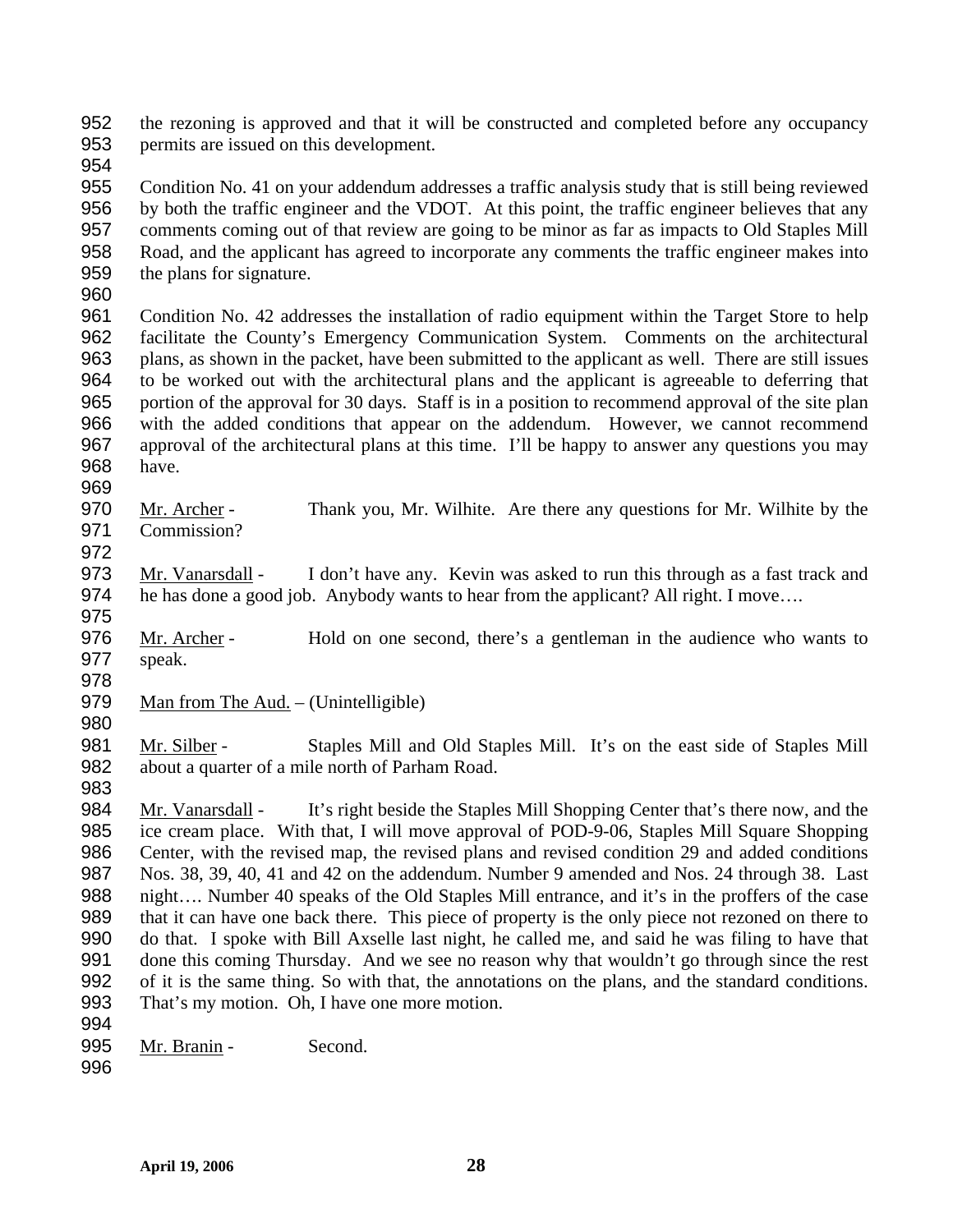the rezoning is approved and that it will be constructed and completed before any occupancy permits are issued on this development. 952 953

954

955 956 957 958 959 Condition No. 41 on your addendum addresses a traffic analysis study that is still being reviewed by both the traffic engineer and the VDOT. At this point, the traffic engineer believes that any comments coming out of that review are going to be minor as far as impacts to Old Staples Mill Road, and the applicant has agreed to incorporate any comments the traffic engineer makes into the plans for signature.

960

961 962 963 964 965 966 967 968 Condition No. 42 addresses the installation of radio equipment within the Target Store to help facilitate the County's Emergency Communication System. Comments on the architectural plans, as shown in the packet, have been submitted to the applicant as well. There are still issues to be worked out with the architectural plans and the applicant is agreeable to deferring that portion of the approval for 30 days. Staff is in a position to recommend approval of the site plan with the added conditions that appear on the addendum. However, we cannot recommend approval of the architectural plans at this time. I'll be happy to answer any questions you may have.

- 969
- Mr. Archer Thank you, Mr. Wilhite. Are there any questions for Mr. Wilhite by the Commission? 970 971 972

Mr. Vanarsdall - I don't have any. Kevin was asked to run this through as a fast track and he has done a good job. Anybody wants to hear from the applicant? All right. I move…. 973 974

Mr. Archer - Hold on one second, there's a gentleman in the audience who wants to speak. 976 977

978

983

975

979 Man from The Aud. – (Unintelligible)

980 Mr. Silber - Staples Mill and Old Staples Mill. It's on the east side of Staples Mill about a quarter of a mile north of Parham Road. 981 982

Mr. Vanarsdall - It's right beside the Staples Mill Shopping Center that's there now, and the ice cream place. With that, I will move approval of POD-9-06, Staples Mill Square Shopping Center, with the revised map, the revised plans and revised condition 29 and added conditions Nos. 38, 39, 40, 41 and 42 on the addendum. Number 9 amended and Nos. 24 through 38. Last night…. Number 40 speaks of the Old Staples Mill entrance, and it's in the proffers of the case that it can have one back there. This piece of property is the only piece not rezoned on there to do that. I spoke with Bill Axselle last night, he called me, and said he was filing to have that done this coming Thursday. And we see no reason why that wouldn't go through since the rest of it is the same thing. So with that, the annotations on the plans, and the standard conditions. That's my motion. Oh, I have one more motion. 984 985 986 987 988 989 990 991 992 993

- 995 Mr. Branin Second.
- 996

994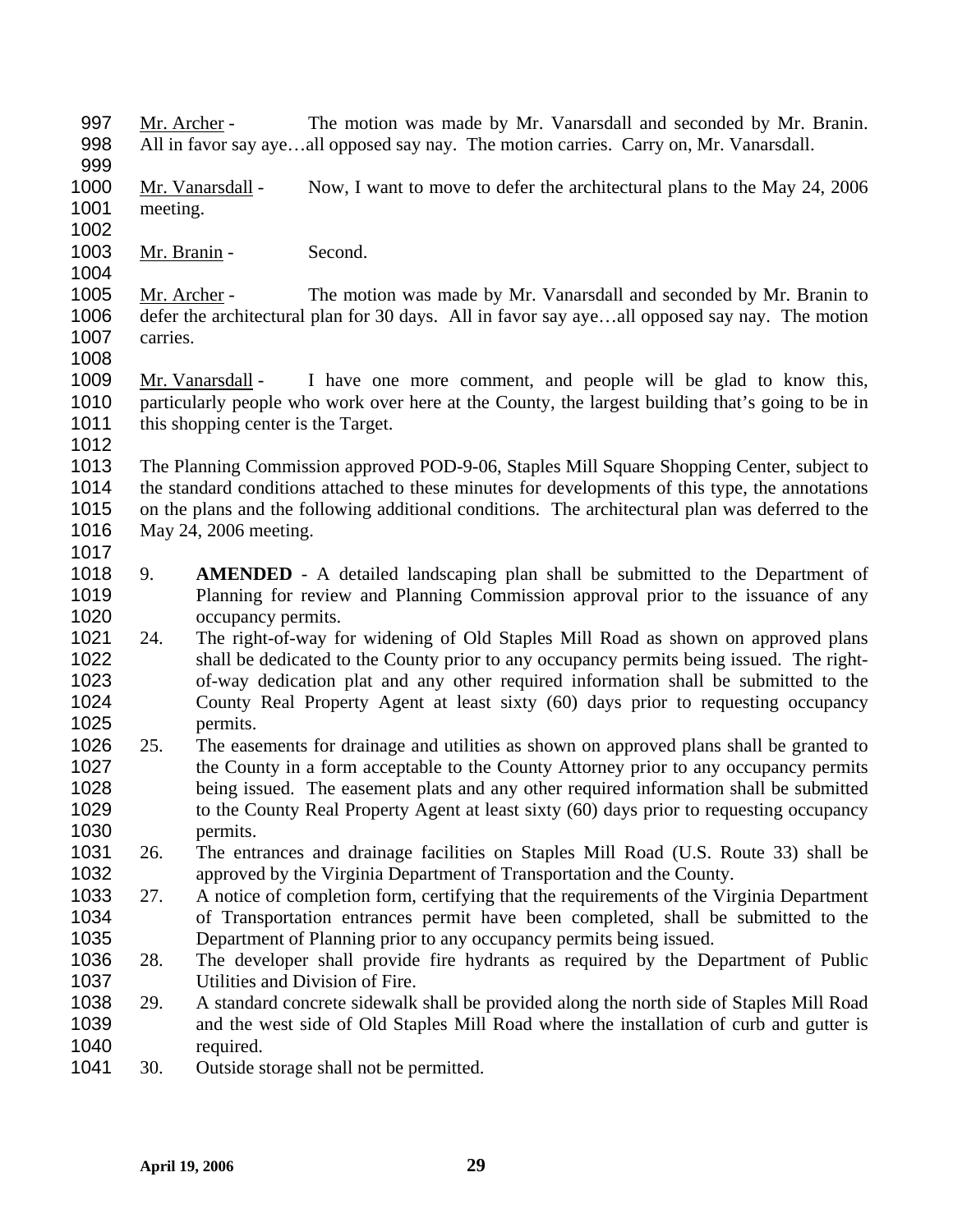- Mr. Archer The motion was made by Mr. Vanarsdall and seconded by Mr. Branin. All in favor say aye…all opposed say nay. The motion carries. Carry on, Mr. Vanarsdall. 997 998
- 999
- Mr. Vanarsdall Now, I want to move to defer the architectural plans to the May 24, 2006 meeting. 1000 1001
- 1002
- 1003 Mr. Branin Second. 1004

Mr. Archer - The motion was made by Mr. Vanarsdall and seconded by Mr. Branin to defer the architectural plan for 30 days. All in favor say aye…all opposed say nay. The motion carries. 1005 1006 1007

1008

1017

Mr. Vanarsdall - I have one more comment, and people will be glad to know this, particularly people who work over here at the County, the largest building that's going to be in this shopping center is the Target. 1009 1010 1011 1012

1013 1014 1015 1016 The Planning Commission approved POD-9-06, Staples Mill Square Shopping Center, subject to the standard conditions attached to these minutes for developments of this type, the annotations on the plans and the following additional conditions. The architectural plan was deferred to the May 24, 2006 meeting.

- 1018 1019 1020 9. **AMENDED** - A detailed landscaping plan shall be submitted to the Department of Planning for review and Planning Commission approval prior to the issuance of any occupancy permits.
- 1021 1022 1023 1024 1025 24. The right-of-way for widening of Old Staples Mill Road as shown on approved plans shall be dedicated to the County prior to any occupancy permits being issued. The rightof-way dedication plat and any other required information shall be submitted to the County Real Property Agent at least sixty (60) days prior to requesting occupancy permits.
- 1026 1027 1028 1029 1030 25. The easements for drainage and utilities as shown on approved plans shall be granted to the County in a form acceptable to the County Attorney prior to any occupancy permits being issued. The easement plats and any other required information shall be submitted to the County Real Property Agent at least sixty (60) days prior to requesting occupancy permits.
- 1031 1032 26. The entrances and drainage facilities on Staples Mill Road (U.S. Route 33) shall be approved by the Virginia Department of Transportation and the County.
- 1033 1034 1035 27. A notice of completion form, certifying that the requirements of the Virginia Department of Transportation entrances permit have been completed, shall be submitted to the Department of Planning prior to any occupancy permits being issued.
- 1036 1037 28. The developer shall provide fire hydrants as required by the Department of Public Utilities and Division of Fire.
- 1038 1039 1040 29. A standard concrete sidewalk shall be provided along the north side of Staples Mill Road and the west side of Old Staples Mill Road where the installation of curb and gutter is required.
- 1041 30. Outside storage shall not be permitted.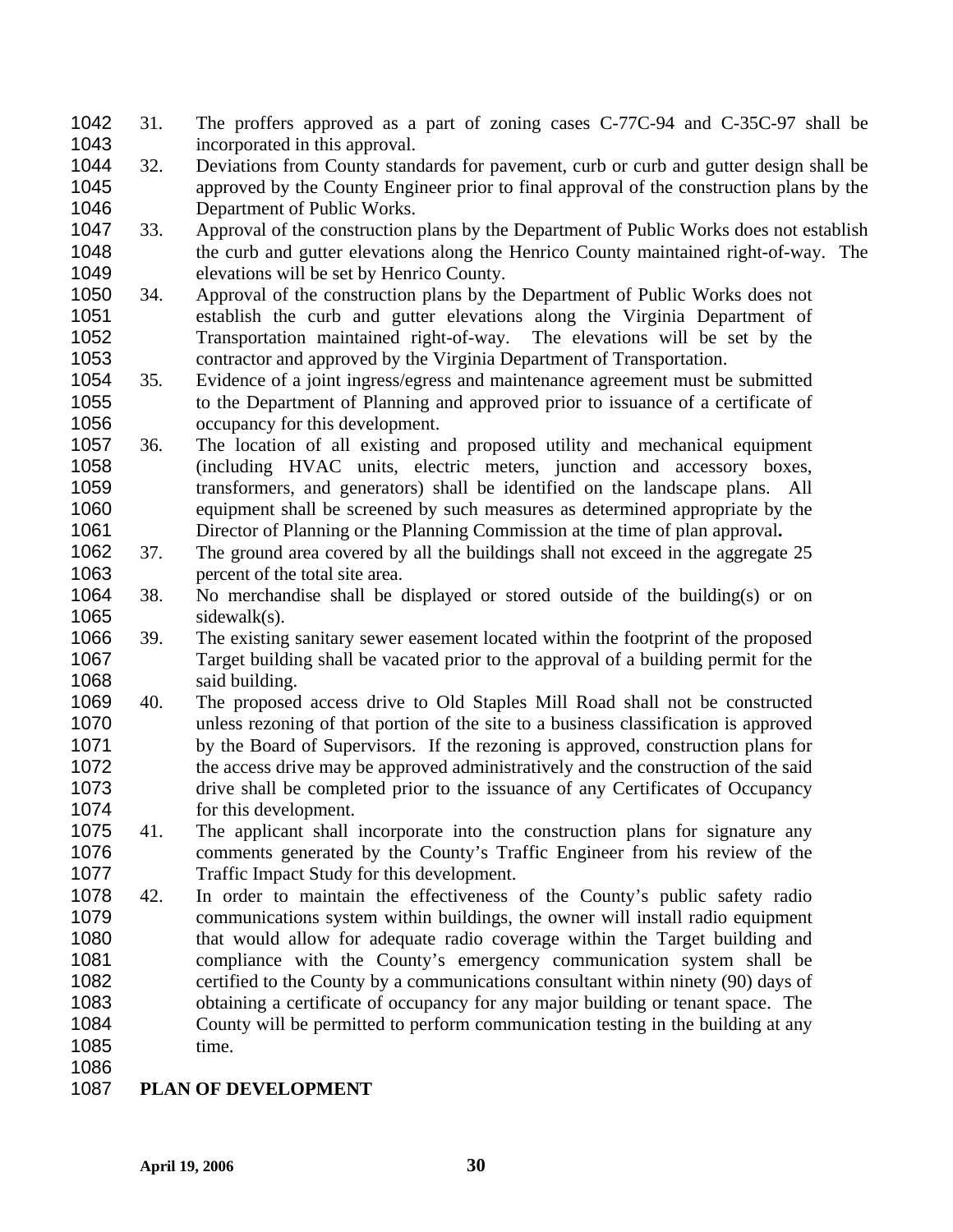- 31. The proffers approved as a part of zoning cases C-77C-94 and C-35C-97 shall be incorporated in this approval. 1042 1043
- 1044 1045 1046 32. Deviations from County standards for pavement, curb or curb and gutter design shall be approved by the County Engineer prior to final approval of the construction plans by the Department of Public Works.
- 1047 1048 1049 33. Approval of the construction plans by the Department of Public Works does not establish the curb and gutter elevations along the Henrico County maintained right-of-way. The elevations will be set by Henrico County.
- 1050 1051 1052 1053 34. Approval of the construction plans by the Department of Public Works does not establish the curb and gutter elevations along the Virginia Department of Transportation maintained right-of-way. The elevations will be set by the contractor and approved by the Virginia Department of Transportation.
- 1054 1055 1056 35. Evidence of a joint ingress/egress and maintenance agreement must be submitted to the Department of Planning and approved prior to issuance of a certificate of occupancy for this development.
- 1057 1058 1059 1060 1061 36. The location of all existing and proposed utility and mechanical equipment (including HVAC units, electric meters, junction and accessory boxes, transformers, and generators) shall be identified on the landscape plans. All equipment shall be screened by such measures as determined appropriate by the Director of Planning or the Planning Commission at the time of plan approval**.**
- 1062 1063 37. The ground area covered by all the buildings shall not exceed in the aggregate 25 percent of the total site area.
- 1064 1065 38. No merchandise shall be displayed or stored outside of the building(s) or on sidewalk(s).
- 1066 1067 1068 39. The existing sanitary sewer easement located within the footprint of the proposed Target building shall be vacated prior to the approval of a building permit for the said building.
- 1069 1070 1071 1072 1073 1074 40. The proposed access drive to Old Staples Mill Road shall not be constructed unless rezoning of that portion of the site to a business classification is approved by the Board of Supervisors. If the rezoning is approved, construction plans for the access drive may be approved administratively and the construction of the said drive shall be completed prior to the issuance of any Certificates of Occupancy for this development.
- 1075 1076 1077 41. The applicant shall incorporate into the construction plans for signature any comments generated by the County's Traffic Engineer from his review of the Traffic Impact Study for this development.
- 1078 1079 1080 1081 1082 1083 1084 1085 42. In order to maintain the effectiveness of the County's public safety radio communications system within buildings, the owner will install radio equipment that would allow for adequate radio coverage within the Target building and compliance with the County's emergency communication system shall be certified to the County by a communications consultant within ninety (90) days of obtaining a certificate of occupancy for any major building or tenant space. The County will be permitted to perform communication testing in the building at any time.
- 1086
- 1087 **PLAN OF DEVELOPMENT**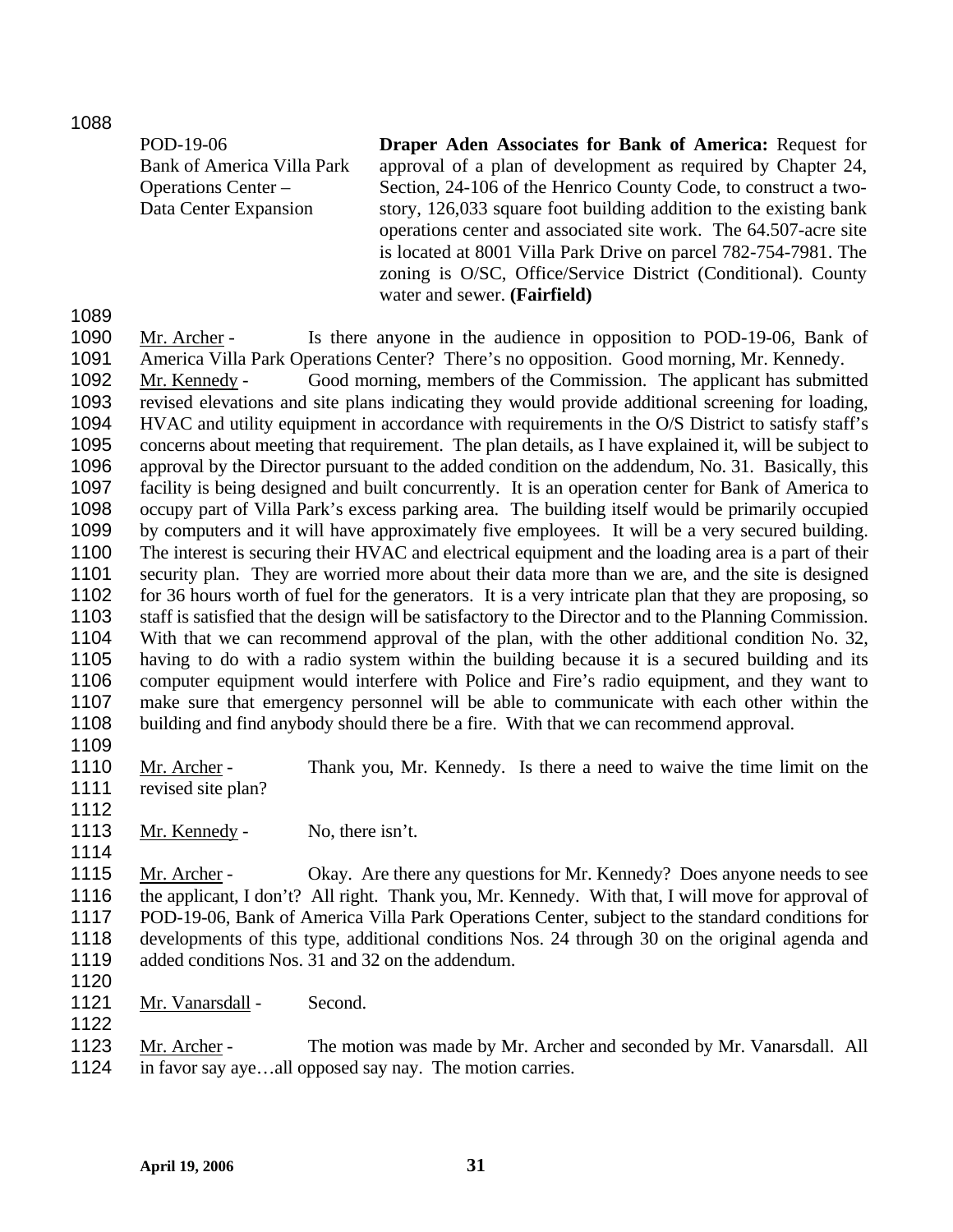1088

| POD-19-06                         | <b>Draper Aden Associates for Bank of America: Request for</b>    |
|-----------------------------------|-------------------------------------------------------------------|
| <b>Bank of America Villa Park</b> | approval of a plan of development as required by Chapter 24,      |
| Operations Center –               | Section, 24-106 of the Henrico County Code, to construct a two-   |
| Data Center Expansion             | story, 126,033 square foot building addition to the existing bank |
|                                   | operations center and associated site work. The 64.507-acre site  |
|                                   | is located at 8001 Villa Park Drive on parcel 782-754-7981. The   |
|                                   | zoning is O/SC, Office/Service District (Conditional). County     |
|                                   | water and sewer. (Fairfield)                                      |

1089

Mr. Archer - Is there anyone in the audience in opposition to POD-19-06, Bank of America Villa Park Operations Center? There's no opposition. Good morning, Mr. Kennedy. 1090 1091 Mr. Kennedy - Good morning, members of the Commission. The applicant has submitted revised elevations and site plans indicating they would provide additional screening for loading, HVAC and utility equipment in accordance with requirements in the O/S District to satisfy staff's concerns about meeting that requirement. The plan details, as I have explained it, will be subject to approval by the Director pursuant to the added condition on the addendum, No. 31. Basically, this facility is being designed and built concurrently. It is an operation center for Bank of America to occupy part of Villa Park's excess parking area. The building itself would be primarily occupied by computers and it will have approximately five employees. It will be a very secured building. The interest is securing their HVAC and electrical equipment and the loading area is a part of their security plan. They are worried more about their data more than we are, and the site is designed for 36 hours worth of fuel for the generators. It is a very intricate plan that they are proposing, so staff is satisfied that the design will be satisfactory to the Director and to the Planning Commission. With that we can recommend approval of the plan, with the other additional condition No. 32, having to do with a radio system within the building because it is a secured building and its computer equipment would interfere with Police and Fire's radio equipment, and they want to make sure that emergency personnel will be able to communicate with each other within the building and find anybody should there be a fire. With that we can recommend approval. 1092 1093 1094 1095 1096 1097 1098 1099 1100 1101 1102 1103 1104 1105 1106 1107 1108

1109

Mr. Archer - Thank you, Mr. Kennedy. Is there a need to waive the time limit on the revised site plan? 1110 1111

- 1112
- 1113 Mr. Kennedy No, there isn't. 1114

Mr. Archer - Okay. Are there any questions for Mr. Kennedy? Does anyone needs to see the applicant, I don't? All right. Thank you, Mr. Kennedy. With that, I will move for approval of POD-19-06, Bank of America Villa Park Operations Center, subject to the standard conditions for developments of this type, additional conditions Nos. 24 through 30 on the original agenda and added conditions Nos. 31 and 32 on the addendum. 1115 1116 1117 1118 1119

1120

1122

1121 Mr. Vanarsdall - Second.

Mr. Archer - The motion was made by Mr. Archer and seconded by Mr. Vanarsdall. All in favor say aye…all opposed say nay. The motion carries. 1123 1124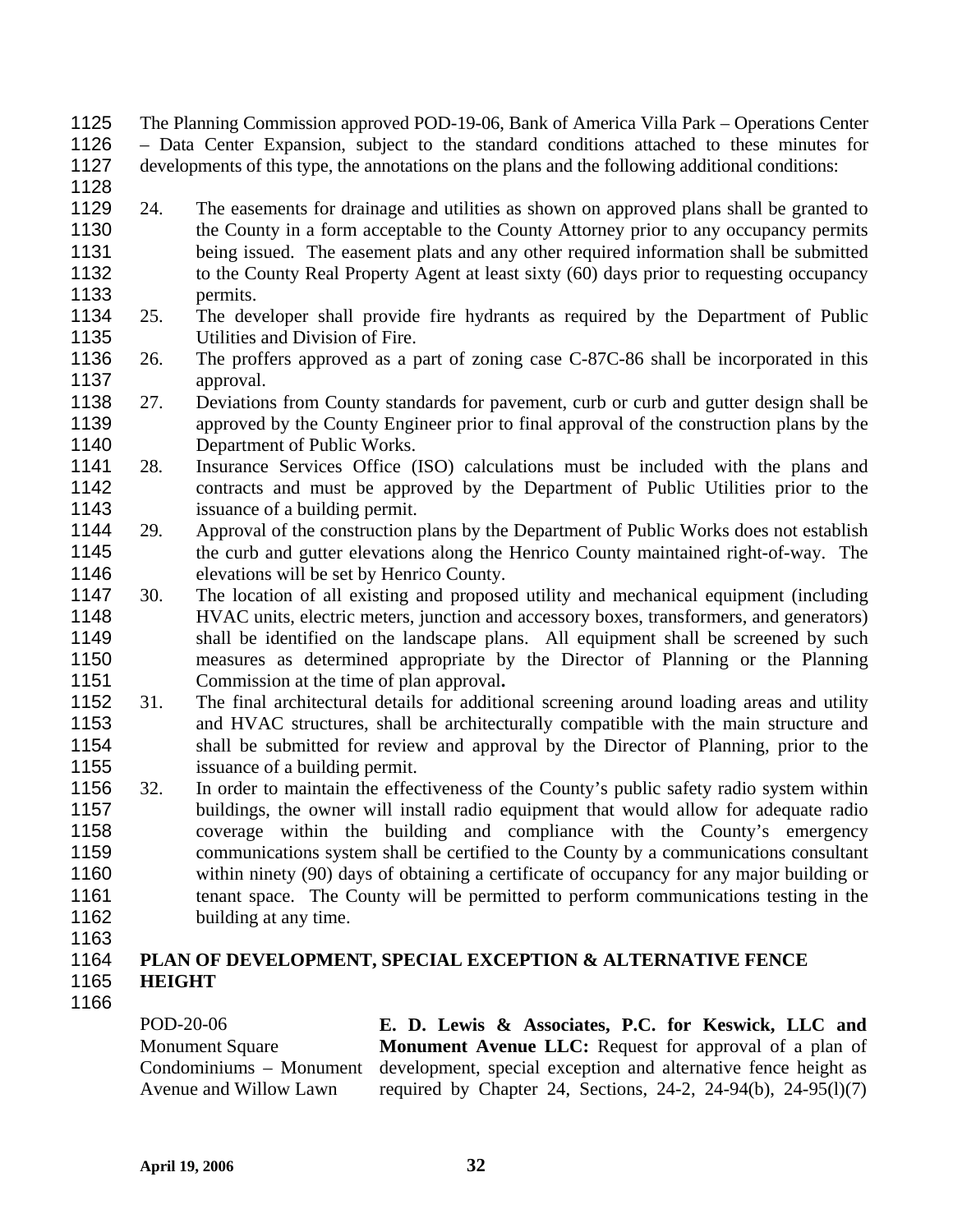- The Planning Commission approved POD-19-06, Bank of America Villa Park Operations Center 1125
- Data Center Expansion, subject to the standard conditions attached to these minutes for developments of this type, the annotations on the plans and the following additional conditions: 1126 1127
- 1128
- 1129 1130 1131 1132 1133 24. The easements for drainage and utilities as shown on approved plans shall be granted to the County in a form acceptable to the County Attorney prior to any occupancy permits being issued. The easement plats and any other required information shall be submitted to the County Real Property Agent at least sixty (60) days prior to requesting occupancy permits.
- 1134 1135 25. The developer shall provide fire hydrants as required by the Department of Public Utilities and Division of Fire.
- 1136 1137 26. The proffers approved as a part of zoning case C-87C-86 shall be incorporated in this approval.
- 1138 1139 1140 27. Deviations from County standards for pavement, curb or curb and gutter design shall be approved by the County Engineer prior to final approval of the construction plans by the Department of Public Works.
- 1141 1142 1143 28. Insurance Services Office (ISO) calculations must be included with the plans and contracts and must be approved by the Department of Public Utilities prior to the issuance of a building permit.
- 1144 1145 1146 29. Approval of the construction plans by the Department of Public Works does not establish the curb and gutter elevations along the Henrico County maintained right-of-way. The elevations will be set by Henrico County.
- 1147 1148 1149 1150 1151 30. The location of all existing and proposed utility and mechanical equipment (including HVAC units, electric meters, junction and accessory boxes, transformers, and generators) shall be identified on the landscape plans. All equipment shall be screened by such measures as determined appropriate by the Director of Planning or the Planning Commission at the time of plan approval**.**
- 1152 1153 1154 1155 31. The final architectural details for additional screening around loading areas and utility and HVAC structures, shall be architecturally compatible with the main structure and shall be submitted for review and approval by the Director of Planning, prior to the issuance of a building permit.
- 1156 1157 1158 1159 1160 1161 1162 32. In order to maintain the effectiveness of the County's public safety radio system within buildings, the owner will install radio equipment that would allow for adequate radio coverage within the building and compliance with the County's emergency communications system shall be certified to the County by a communications consultant within ninety (90) days of obtaining a certificate of occupancy for any major building or tenant space. The County will be permitted to perform communications testing in the building at any time.
- 1163

### 1164 1165 **PLAN OF DEVELOPMENT, SPECIAL EXCEPTION & ALTERNATIVE FENCE HEIGHT**

1166

POD-20-06 **Monument Square** Condominiums – Monument Avenue and Willow Lawn **E. D. Lewis & Associates, P.C. for Keswick, LLC and Monument Avenue LLC:** Request for approval of a plan of development, special exception and alternative fence height as required by Chapter 24, Sections, 24-2, 24-94(b), 24-95(l)(7)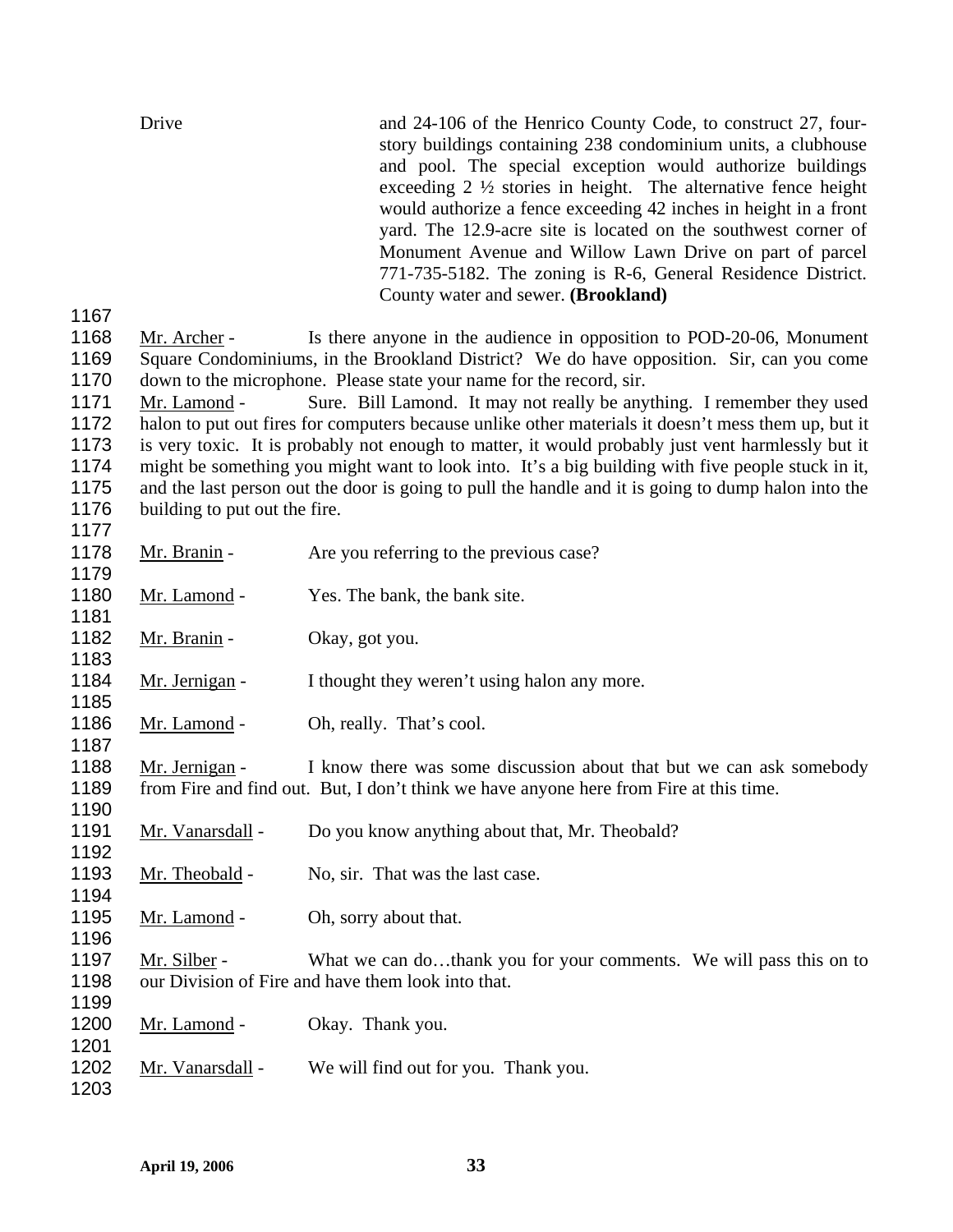| Drive | and 24-106 of the Henrico County Code, to construct 27, four-             |
|-------|---------------------------------------------------------------------------|
|       | story buildings containing 238 condominium units, a clubhouse             |
|       | and pool. The special exception would authorize buildings                 |
|       | exceeding $2 \frac{1}{2}$ stories in height. The alternative fence height |
|       | would authorize a fence exceeding 42 inches in height in a front          |
|       | yard. The 12.9-acre site is located on the southwest corner of            |
|       | Monument Avenue and Willow Lawn Drive on part of parcel                   |
|       | 771-735-5182. The zoning is R-6, General Residence District.              |
|       | County water and sewer. ( <b>Brookland</b> )                              |
| 1167  |                                                                           |

Mr. Archer - Is there anyone in the audience in opposition to POD-20-06, Monument Square Condominiums, in the Brookland District? We do have opposition. Sir, can you come down to the microphone. Please state your name for the record, sir. 1168 1169 1170

Mr. Lamond - Sure. Bill Lamond. It may not really be anything. I remember they used halon to put out fires for computers because unlike other materials it doesn't mess them up, but it is very toxic. It is probably not enough to matter, it would probably just vent harmlessly but it might be something you might want to look into. It's a big building with five people stuck in it, and the last person out the door is going to pull the handle and it is going to dump halon into the building to put out the fire. 1171 1172 1173 1174 1175 1176 1177

- 1178 Mr. Branin Are you referring to the previous case?
- 1180 Mr. Lamond Yes. The bank, the bank site.
- 1182 Mr. Branin Okay, got you.
- 1184 Mr. Jernigan I thought they weren't using halon any more.
- 1186 Mr. Lamond Oh, really. That's cool.

Mr. Jernigan - I know there was some discussion about that but we can ask somebody from Fire and find out. But, I don't think we have anyone here from Fire at this time. 1188 1189

- 1191 Mr. Vanarsdall Do you know anything about that, Mr. Theobald?
- 1193 Mr. Theobald No, sir. That was the last case.
- 1195 Mr. Lamond Oh, sorry about that.
- Mr. Silber What we can do...thank you for your comments. We will pass this on to our Division of Fire and have them look into that. 1197 1198
- 1200 Mr. Lamond Okay. Thank you.
- 1202 Mr. Vanarsdall We will find out for you. Thank you.

1203

1179

1181

1183

1185

1187

1190

1192

1194

1196

1199

1201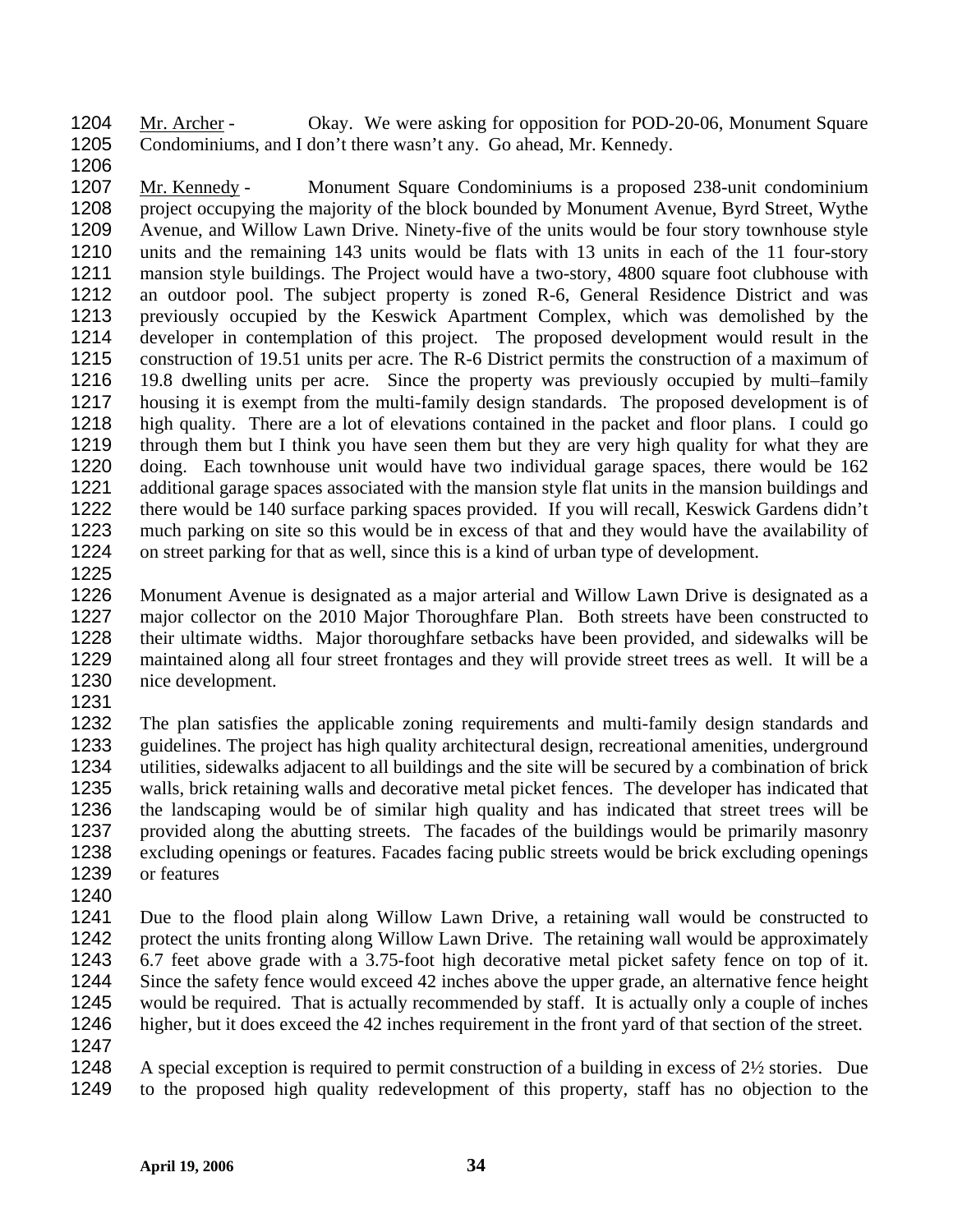Mr. Archer - Okay. We were asking for opposition for POD-20-06, Monument Square Condominiums, and I don't there wasn't any. Go ahead, Mr. Kennedy. 1204 1205

1206

Mr. Kennedy - Monument Square Condominiums is a proposed 238-unit condominium project occupying the majority of the block bounded by Monument Avenue, Byrd Street, Wythe Avenue, and Willow Lawn Drive. Ninety-five of the units would be four story townhouse style units and the remaining 143 units would be flats with 13 units in each of the 11 four-story mansion style buildings. The Project would have a two-story, 4800 square foot clubhouse with an outdoor pool. The subject property is zoned R-6, General Residence District and was previously occupied by the Keswick Apartment Complex, which was demolished by the developer in contemplation of this project. The proposed development would result in the construction of 19.51 units per acre. The R-6 District permits the construction of a maximum of 19.8 dwelling units per acre. Since the property was previously occupied by multi–family housing it is exempt from the multi-family design standards. The proposed development is of high quality. There are a lot of elevations contained in the packet and floor plans. I could go through them but I think you have seen them but they are very high quality for what they are doing. Each townhouse unit would have two individual garage spaces, there would be 162 additional garage spaces associated with the mansion style flat units in the mansion buildings and there would be 140 surface parking spaces provided. If you will recall, Keswick Gardens didn't much parking on site so this would be in excess of that and they would have the availability of on street parking for that as well, since this is a kind of urban type of development. 1207 1208 1209 1210 1211 1212 1213 1214 1215 1216 1217 1218 1219 1220 1221 1222 1223 1224

1225

1226 1227 1228 1229 1230 Monument Avenue is designated as a major arterial and Willow Lawn Drive is designated as a major collector on the 2010 Major Thoroughfare Plan. Both streets have been constructed to their ultimate widths. Major thoroughfare setbacks have been provided, and sidewalks will be maintained along all four street frontages and they will provide street trees as well. It will be a nice development.

1231

1232 1233 1234 1235 1236 1237 1238 1239 The plan satisfies the applicable zoning requirements and multi-family design standards and guidelines. The project has high quality architectural design, recreational amenities, underground utilities, sidewalks adjacent to all buildings and the site will be secured by a combination of brick walls, brick retaining walls and decorative metal picket fences. The developer has indicated that the landscaping would be of similar high quality and has indicated that street trees will be provided along the abutting streets. The facades of the buildings would be primarily masonry excluding openings or features. Facades facing public streets would be brick excluding openings or features

1240

1241 1242 1243 1244 1245 1246 Due to the flood plain along Willow Lawn Drive, a retaining wall would be constructed to protect the units fronting along Willow Lawn Drive. The retaining wall would be approximately 6.7 feet above grade with a 3.75-foot high decorative metal picket safety fence on top of it. Since the safety fence would exceed 42 inches above the upper grade, an alternative fence height would be required. That is actually recommended by staff. It is actually only a couple of inches higher, but it does exceed the 42 inches requirement in the front yard of that section of the street.

1247

1248 1249 A special exception is required to permit construction of a building in excess of 2½ stories. Due to the proposed high quality redevelopment of this property, staff has no objection to the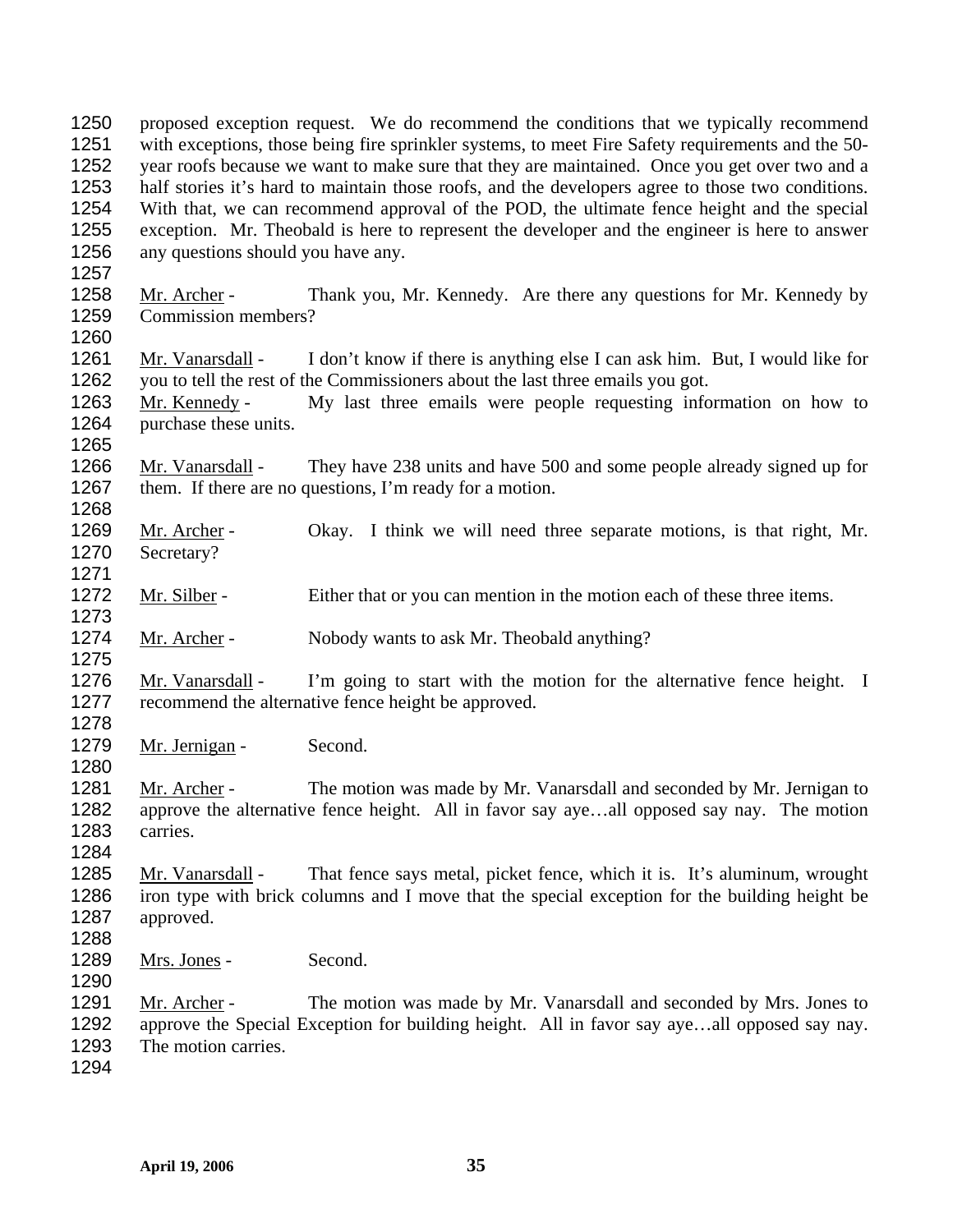proposed exception request. We do recommend the conditions that we typically recommend with exceptions, those being fire sprinkler systems, to meet Fire Safety requirements and the 50 year roofs because we want to make sure that they are maintained. Once you get over two and a half stories it's hard to maintain those roofs, and the developers agree to those two conditions. With that, we can recommend approval of the POD, the ultimate fence height and the special exception. Mr. Theobald is here to represent the developer and the engineer is here to answer any questions should you have any. 1250 1251 1252 1253 1254 1255 1256 1257 Mr. Archer - Thank you, Mr. Kennedy. Are there any questions for Mr. Kennedy by Commission members? 1258 1259 1260 Mr. Vanarsdall - I don't know if there is anything else I can ask him. But, I would like for you to tell the rest of the Commissioners about the last three emails you got. 1261 1262 Mr. Kennedy - My last three emails were people requesting information on how to purchase these units. 1263 1264 1265 Mr. Vanarsdall - They have 238 units and have 500 and some people already signed up for them. If there are no questions, I'm ready for a motion. 1266 1267 1268 Mr. Archer - Okay. I think we will need three separate motions, is that right, Mr. Secretary? 1269 1270 1271 1272 Mr. Silber - Either that or you can mention in the motion each of these three items. 1273 1274 Mr. Archer - Nobody wants to ask Mr. Theobald anything? 1275 Mr. Vanarsdall - I'm going to start with the motion for the alternative fence height. I recommend the alternative fence height be approved. 1276 1277 1278 1279 Mr. Jernigan - Second. 1280 Mr. Archer - The motion was made by Mr. Vanarsdall and seconded by Mr. Jernigan to approve the alternative fence height. All in favor say aye…all opposed say nay. The motion carries. 1281 1282 1283 1284 Mr. Vanarsdall - That fence says metal, picket fence, which it is. It's aluminum, wrought iron type with brick columns and I move that the special exception for the building height be approved. 1285 1286 1287 1288 1289 Mrs. Jones - Second. 1290 Mr. Archer - The motion was made by Mr. Vanarsdall and seconded by Mrs. Jones to approve the Special Exception for building height. All in favor say aye…all opposed say nay. The motion carries. 1291 1292 1293 1294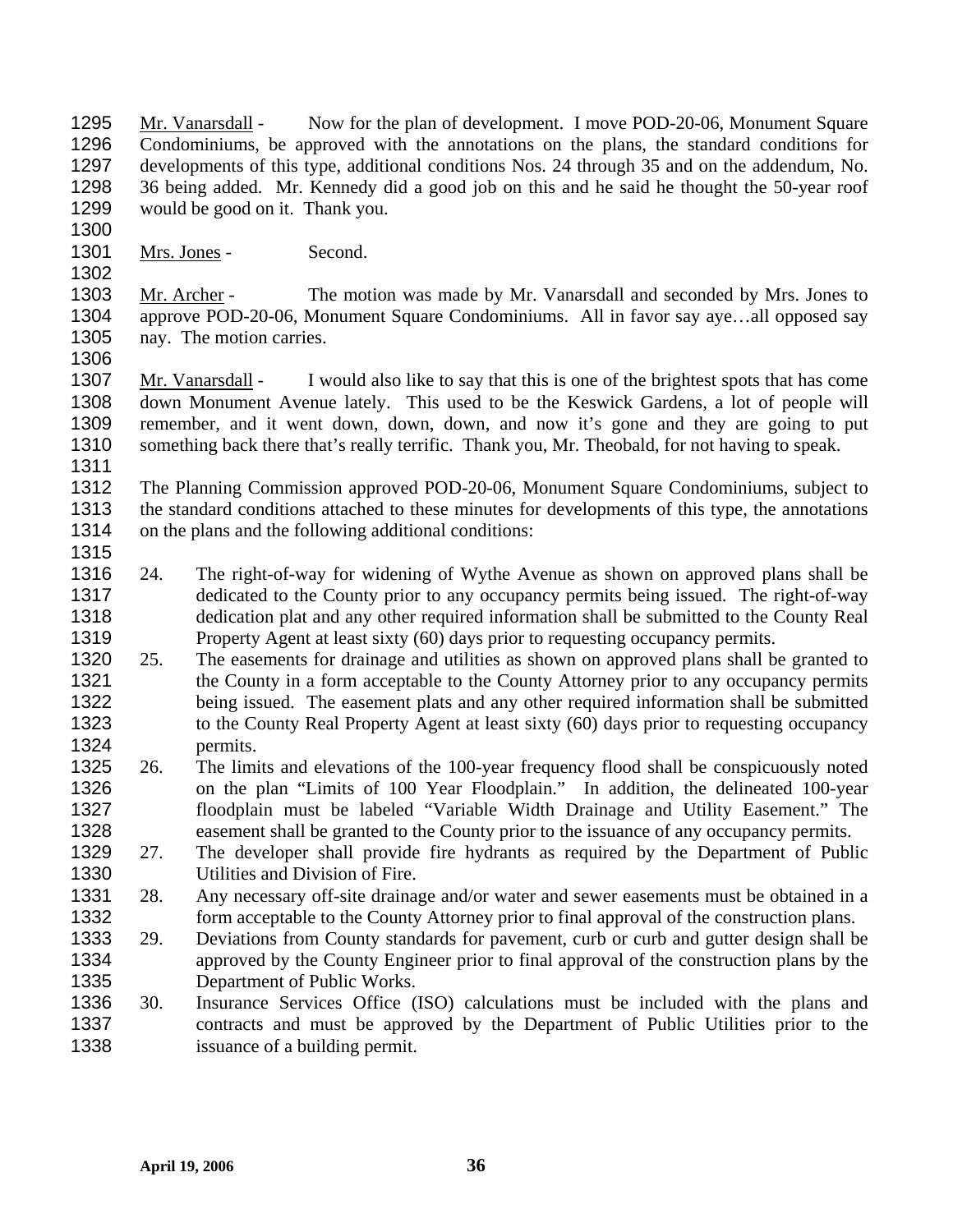Mr. Vanarsdall - Now for the plan of development. I move POD-20-06, Monument Square Condominiums, be approved with the annotations on the plans, the standard conditions for developments of this type, additional conditions Nos. 24 through 35 and on the addendum, No. 36 being added. Mr. Kennedy did a good job on this and he said he thought the 50-year roof would be good on it. Thank you. 1295 1296 1297 1298 1299

1301 Mrs. Jones - Second.

Mr. Archer - The motion was made by Mr. Vanarsdall and seconded by Mrs. Jones to approve POD-20-06, Monument Square Condominiums. All in favor say aye…all opposed say nay. The motion carries. 1303 1304 1305

1306

1315

1300

1302

Mr. Vanarsdall - I would also like to say that this is one of the brightest spots that has come down Monument Avenue lately. This used to be the Keswick Gardens, a lot of people will remember, and it went down, down, down, and now it's gone and they are going to put something back there that's really terrific. Thank you, Mr. Theobald, for not having to speak. 1307 1308 1309 1310 1311

1312 1313 1314 The Planning Commission approved POD-20-06, Monument Square Condominiums, subject to the standard conditions attached to these minutes for developments of this type, the annotations on the plans and the following additional conditions:

- 1316 1317 1318 1319 24. The right-of-way for widening of Wythe Avenue as shown on approved plans shall be dedicated to the County prior to any occupancy permits being issued. The right-of-way dedication plat and any other required information shall be submitted to the County Real Property Agent at least sixty (60) days prior to requesting occupancy permits.
- 1320 1321 1322 1323 1324 25. The easements for drainage and utilities as shown on approved plans shall be granted to the County in a form acceptable to the County Attorney prior to any occupancy permits being issued. The easement plats and any other required information shall be submitted to the County Real Property Agent at least sixty (60) days prior to requesting occupancy permits.
- 1325 1326 1327 1328 26. The limits and elevations of the 100-year frequency flood shall be conspicuously noted on the plan "Limits of 100 Year Floodplain." In addition, the delineated 100-year floodplain must be labeled "Variable Width Drainage and Utility Easement." The easement shall be granted to the County prior to the issuance of any occupancy permits.
- 1329 1330 27. The developer shall provide fire hydrants as required by the Department of Public Utilities and Division of Fire.
- 1331 1332 28. Any necessary off-site drainage and/or water and sewer easements must be obtained in a form acceptable to the County Attorney prior to final approval of the construction plans.
- 1333 1334 1335 29. Deviations from County standards for pavement, curb or curb and gutter design shall be approved by the County Engineer prior to final approval of the construction plans by the Department of Public Works.
- 1336 1337 1338 30. Insurance Services Office (ISO) calculations must be included with the plans and contracts and must be approved by the Department of Public Utilities prior to the issuance of a building permit.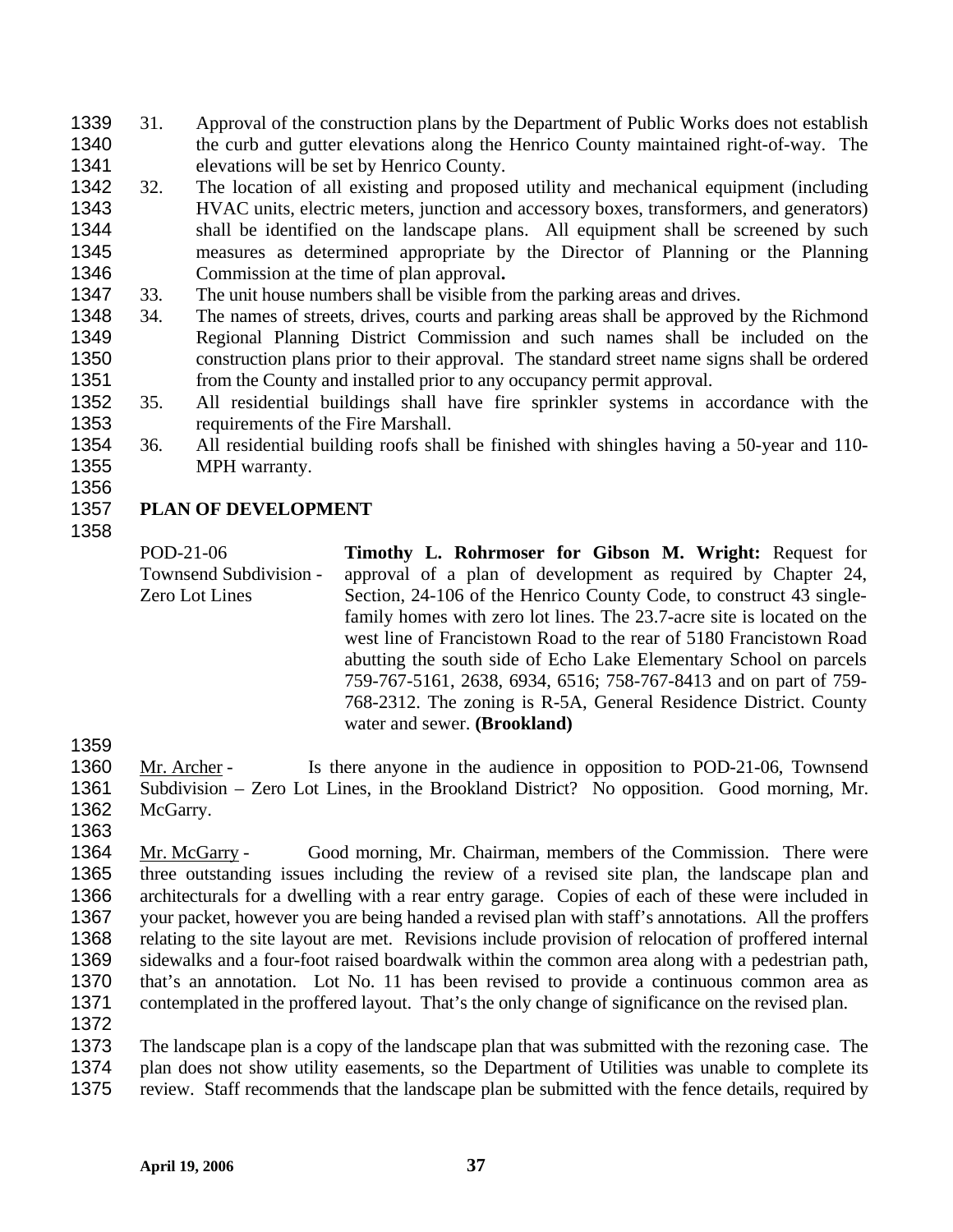- 31. Approval of the construction plans by the Department of Public Works does not establish the curb and gutter elevations along the Henrico County maintained right-of-way. The elevations will be set by Henrico County. 1339 1340 1341
- 1342 1343 1344 1345 1346 32. The location of all existing and proposed utility and mechanical equipment (including HVAC units, electric meters, junction and accessory boxes, transformers, and generators) shall be identified on the landscape plans. All equipment shall be screened by such measures as determined appropriate by the Director of Planning or the Planning Commission at the time of plan approval**.**
- 1347 33. The unit house numbers shall be visible from the parking areas and drives.
- 1348 1349 1350 1351 34. The names of streets, drives, courts and parking areas shall be approved by the Richmond Regional Planning District Commission and such names shall be included on the construction plans prior to their approval. The standard street name signs shall be ordered from the County and installed prior to any occupancy permit approval.
- 1352 1353 35. All residential buildings shall have fire sprinkler systems in accordance with the requirements of the Fire Marshall.
- 1354 1355 36. All residential building roofs shall be finished with shingles having a 50-year and 110- MPH warranty.
- 1356

## 1357 1358 **PLAN OF DEVELOPMENT**

POD-21-06 Townsend Subdivision - Zero Lot Lines **Timothy L. Rohrmoser for Gibson M. Wright:** Request for approval of a plan of development as required by Chapter 24, Section, 24-106 of the Henrico County Code, to construct 43 singlefamily homes with zero lot lines. The 23.7-acre site is located on the west line of Francistown Road to the rear of 5180 Francistown Road abutting the south side of Echo Lake Elementary School on parcels 759-767-5161, 2638, 6934, 6516; 758-767-8413 and on part of 759- 768-2312. The zoning is R-5A, General Residence District. County water and sewer. **(Brookland)** 

1359

Mr. Archer - Is there anyone in the audience in opposition to POD-21-06, Townsend Subdivision – Zero Lot Lines, in the Brookland District? No opposition. Good morning, Mr. McGarry. 1360 1361 1362

1363

Mr. McGarry - Good morning, Mr. Chairman, members of the Commission. There were three outstanding issues including the review of a revised site plan, the landscape plan and architecturals for a dwelling with a rear entry garage. Copies of each of these were included in your packet, however you are being handed a revised plan with staff's annotations. All the proffers relating to the site layout are met. Revisions include provision of relocation of proffered internal sidewalks and a four-foot raised boardwalk within the common area along with a pedestrian path, that's an annotation. Lot No. 11 has been revised to provide a continuous common area as contemplated in the proffered layout. That's the only change of significance on the revised plan. 1364 1365 1366 1367 1368 1369 1370 1371 1372

1373 1374 1375 The landscape plan is a copy of the landscape plan that was submitted with the rezoning case. The plan does not show utility easements, so the Department of Utilities was unable to complete its review. Staff recommends that the landscape plan be submitted with the fence details, required by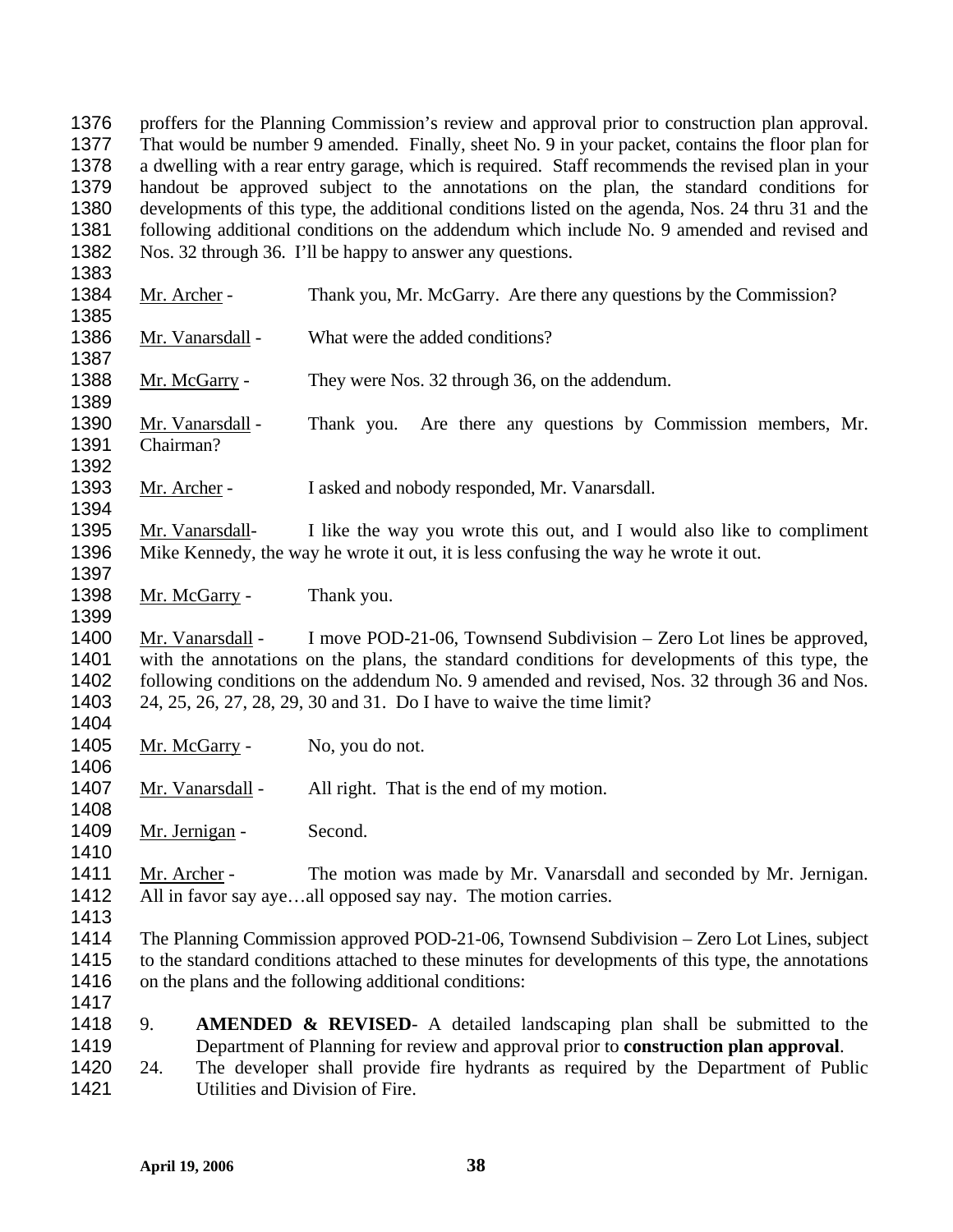proffers for the Planning Commission's review and approval prior to construction plan approval. That would be number 9 amended. Finally, sheet No. 9 in your packet, contains the floor plan for a dwelling with a rear entry garage, which is required. Staff recommends the revised plan in your handout be approved subject to the annotations on the plan, the standard conditions for developments of this type, the additional conditions listed on the agenda, Nos. 24 thru 31 and the following additional conditions on the addendum which include No. 9 amended and revised and Nos. 32 through 36. I'll be happy to answer any questions. 1376 1377 1378 1379 1380 1381 1382 1383 1384 Mr. Archer - Thank you, Mr. McGarry. Are there any questions by the Commission? 1385 1386 Mr. Vanarsdall - What were the added conditions? 1387 1388 Mr. McGarry - They were Nos. 32 through 36, on the addendum. 1389 Mr. Vanarsdall - Thank you. Are there any questions by Commission members, Mr. Chairman? 1390 1391 1392 1393 Mr. Archer - I asked and nobody responded, Mr. Vanarsdall. 1394 Mr. Vanarsdall- I like the way you wrote this out, and I would also like to compliment Mike Kennedy, the way he wrote it out, it is less confusing the way he wrote it out. 1395 1396 1397 1398 Mr. McGarry - Thank you. 1399 Mr. Vanarsdall - I move POD-21-06, Townsend Subdivision – Zero Lot lines be approved, with the annotations on the plans, the standard conditions for developments of this type, the following conditions on the addendum No. 9 amended and revised, Nos. 32 through 36 and Nos. 24, 25, 26, 27, 28, 29, 30 and 31. Do I have to waive the time limit? 1400 1401 1402 1403 1404 1405 Mr. McGarry - No, you do not. 1406 1407 Mr. Vanarsdall - All right. That is the end of my motion. 1408 1409 Mr. Jernigan - Second. 1410 Mr. Archer - The motion was made by Mr. Vanarsdall and seconded by Mr. Jernigan. All in favor say aye…all opposed say nay. The motion carries. 1411 1412 1413 1414 1415 1416 1417 1418 1419 1420 1421 The Planning Commission approved POD-21-06, Townsend Subdivision – Zero Lot Lines, subject to the standard conditions attached to these minutes for developments of this type, the annotations on the plans and the following additional conditions: 9. **AMENDED & REVISED**- A detailed landscaping plan shall be submitted to the Department of Planning for review and approval prior to **construction plan approval**. 24. The developer shall provide fire hydrants as required by the Department of Public Utilities and Division of Fire.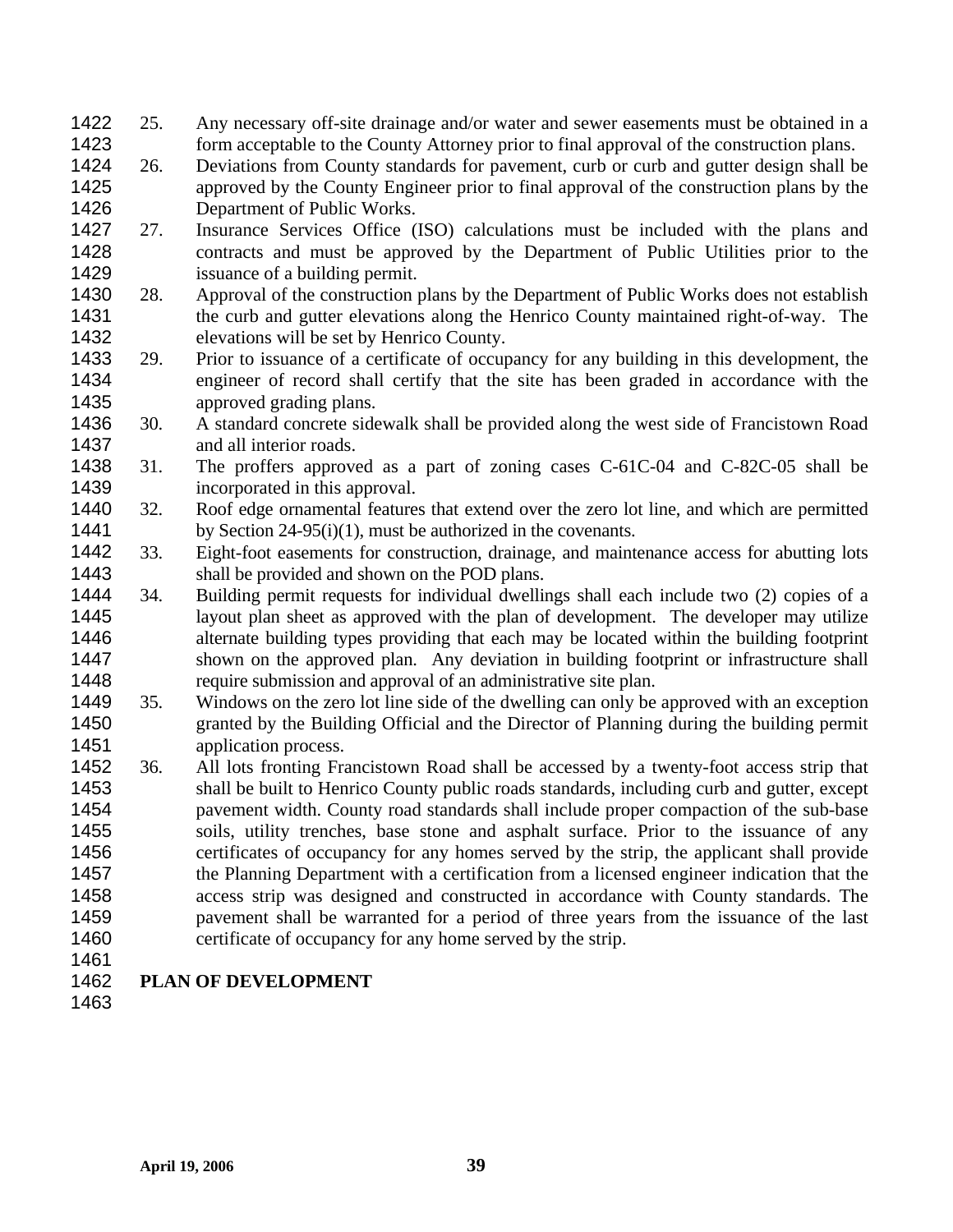- 25. Any necessary off-site drainage and/or water and sewer easements must be obtained in a form acceptable to the County Attorney prior to final approval of the construction plans. 1422 1423
- 1424 1425 1426 26. Deviations from County standards for pavement, curb or curb and gutter design shall be approved by the County Engineer prior to final approval of the construction plans by the Department of Public Works.
- 1427 1428 1429 27. Insurance Services Office (ISO) calculations must be included with the plans and contracts and must be approved by the Department of Public Utilities prior to the issuance of a building permit.
- 1430 1431 1432 28. Approval of the construction plans by the Department of Public Works does not establish the curb and gutter elevations along the Henrico County maintained right-of-way. The elevations will be set by Henrico County.
- 1433 1434 1435 29. Prior to issuance of a certificate of occupancy for any building in this development, the engineer of record shall certify that the site has been graded in accordance with the approved grading plans.
- 1436 1437 30. A standard concrete sidewalk shall be provided along the west side of Francistown Road and all interior roads.
- 1438 1439 31. The proffers approved as a part of zoning cases C-61C-04 and C-82C-05 shall be incorporated in this approval.
- 1440 1441 32. Roof edge ornamental features that extend over the zero lot line, and which are permitted by Section 24-95(i)(1), must be authorized in the covenants.
- 1442 1443 33. Eight-foot easements for construction, drainage, and maintenance access for abutting lots shall be provided and shown on the POD plans.
- 1444 1445 1446 1447 1448 34. Building permit requests for individual dwellings shall each include two (2) copies of a layout plan sheet as approved with the plan of development. The developer may utilize alternate building types providing that each may be located within the building footprint shown on the approved plan. Any deviation in building footprint or infrastructure shall require submission and approval of an administrative site plan.
- 1449 1450 1451 35. Windows on the zero lot line side of the dwelling can only be approved with an exception granted by the Building Official and the Director of Planning during the building permit application process.
- 1452 1453 1454 1455 1456 1457 1458 1459 1460 36. All lots fronting Francistown Road shall be accessed by a twenty-foot access strip that shall be built to Henrico County public roads standards, including curb and gutter, except pavement width. County road standards shall include proper compaction of the sub-base soils, utility trenches, base stone and asphalt surface. Prior to the issuance of any certificates of occupancy for any homes served by the strip, the applicant shall provide the Planning Department with a certification from a licensed engineer indication that the access strip was designed and constructed in accordance with County standards. The pavement shall be warranted for a period of three years from the issuance of the last certificate of occupancy for any home served by the strip.
- 1461

## 1462 **PLAN OF DEVELOPMENT**

1463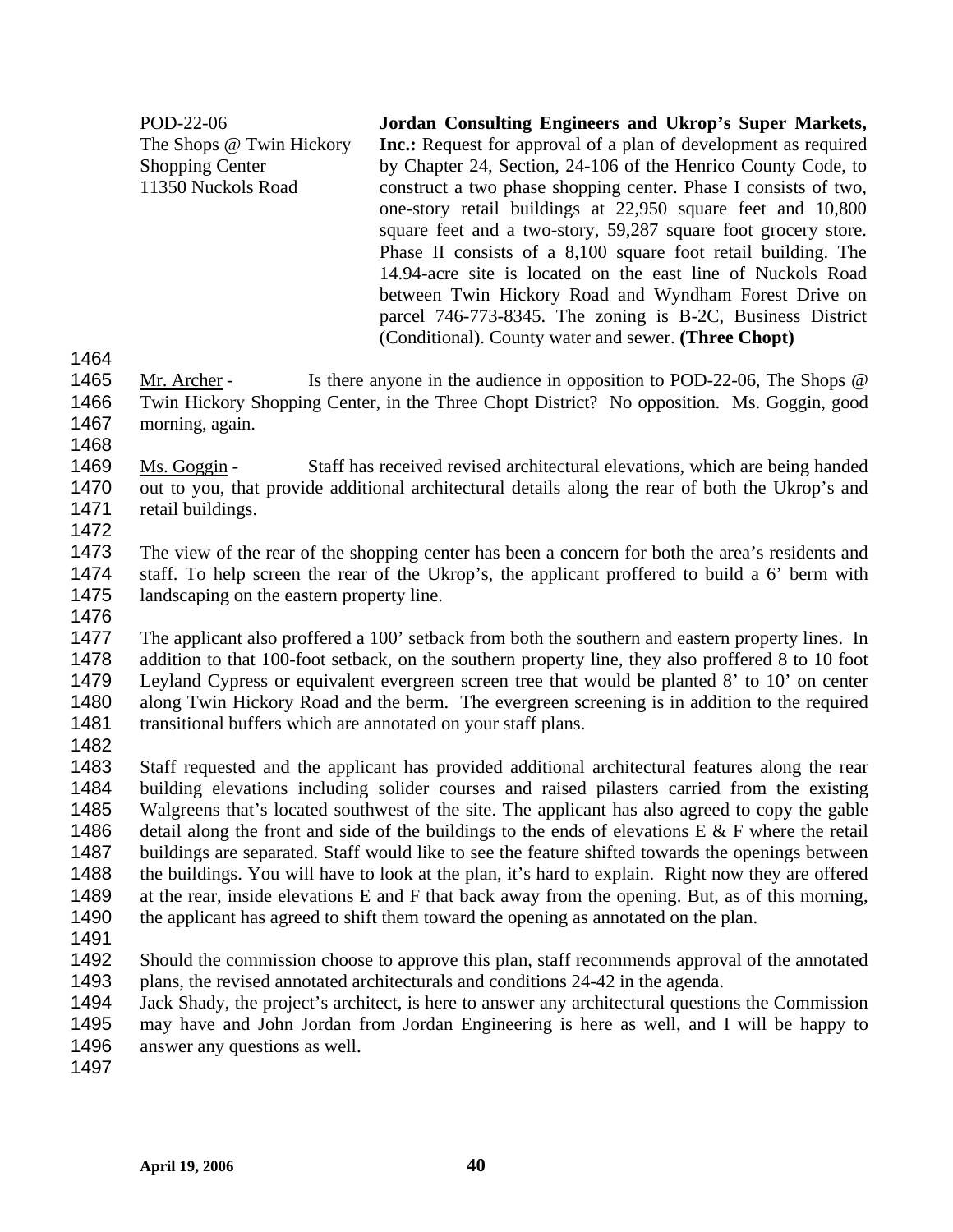POD-22-06 The Shops @ Twin Hickory Shopping Center 11350 Nuckols Road **Jordan Consulting Engineers and Ukrop's Super Markets, Inc.:** Request for approval of a plan of development as required by Chapter 24, Section, 24-106 of the Henrico County Code, to construct a two phase shopping center. Phase I consists of two, one-story retail buildings at 22,950 square feet and 10,800 square feet and a two-story, 59,287 square foot grocery store. Phase II consists of a 8,100 square foot retail building. The 14.94-acre site is located on the east line of Nuckols Road between Twin Hickory Road and Wyndham Forest Drive on parcel 746-773-8345. The zoning is B-2C, Business District (Conditional). County water and sewer. **(Three Chopt)** 

- 1464
- Mr. Archer Is there anyone in the audience in opposition to POD-22-06, The Shops @ Twin Hickory Shopping Center, in the Three Chopt District? No opposition. Ms. Goggin, good morning, again. 1465 1466 1467
- 1468 Ms. Goggin - Staff has received revised architectural elevations, which are being handed out to you, that provide additional architectural details along the rear of both the Ukrop's and retail buildings. 1469 1470
- 1471 1472
- 1473 1474 1475 The view of the rear of the shopping center has been a concern for both the area's residents and staff. To help screen the rear of the Ukrop's, the applicant proffered to build a 6' berm with landscaping on the eastern property line.
- 1476

1477 1478 1479 1480 1481 The applicant also proffered a 100' setback from both the southern and eastern property lines. In addition to that 100-foot setback, on the southern property line, they also proffered 8 to 10 foot Leyland Cypress or equivalent evergreen screen tree that would be planted 8' to 10' on center along Twin Hickory Road and the berm. The evergreen screening is in addition to the required transitional buffers which are annotated on your staff plans.

1482

1483 1484 1485 1486 1487 1488 1489 1490 Staff requested and the applicant has provided additional architectural features along the rear building elevations including solider courses and raised pilasters carried from the existing Walgreens that's located southwest of the site. The applicant has also agreed to copy the gable detail along the front and side of the buildings to the ends of elevations  $E \& F$  where the retail buildings are separated. Staff would like to see the feature shifted towards the openings between the buildings. You will have to look at the plan, it's hard to explain. Right now they are offered at the rear, inside elevations E and F that back away from the opening. But, as of this morning, the applicant has agreed to shift them toward the opening as annotated on the plan.

- 1491
- 1492 1493 Should the commission choose to approve this plan, staff recommends approval of the annotated plans, the revised annotated architecturals and conditions 24-42 in the agenda.
- 1494 1495 1496 Jack Shady, the project's architect, is here to answer any architectural questions the Commission may have and John Jordan from Jordan Engineering is here as well, and I will be happy to answer any questions as well.
- 1497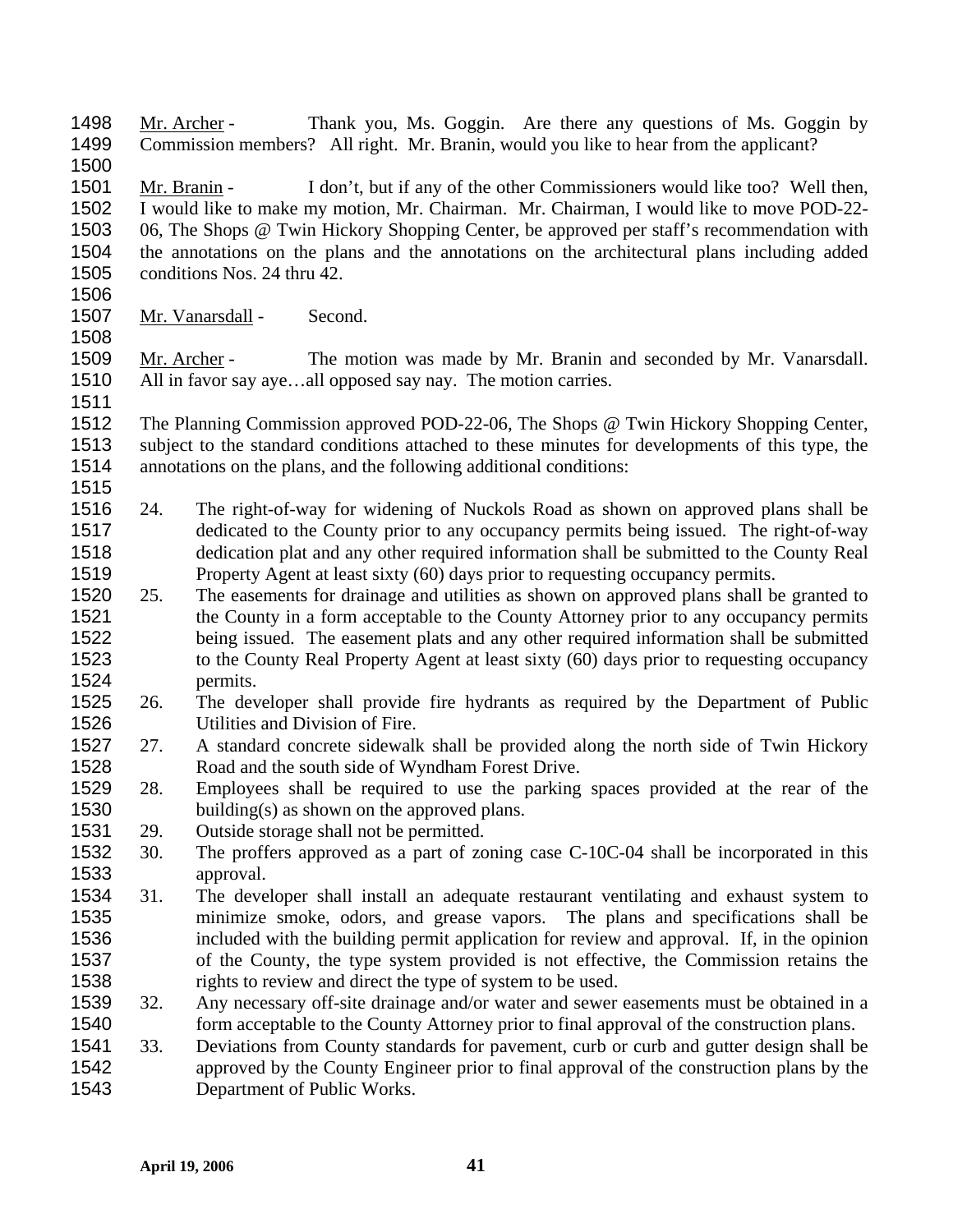Mr. Archer - Thank you, Ms. Goggin. Are there any questions of Ms. Goggin by Commission members? All right. Mr. Branin, would you like to hear from the applicant? 1498 1499 1500 Mr. Branin - I don't, but if any of the other Commissioners would like too? Well then, I would like to make my motion, Mr. Chairman. Mr. Chairman, I would like to move POD-22- 06, The Shops @ Twin Hickory Shopping Center, be approved per staff's recommendation with the annotations on the plans and the annotations on the architectural plans including added conditions Nos. 24 thru 42. 1501 1502 1503 1504 1505 1506 1507 Mr. Vanarsdall - Second. 1508 Mr. Archer - The motion was made by Mr. Branin and seconded by Mr. Vanarsdall. All in favor say aye...all opposed say nay. The motion carries. 1509 1510 1511 1512 1513 1514 1515 1516 1517 1518 1519 1520 1521 1522 1523 1524 1525 1526 1527 1528 1529 1530 1531 1532 1533 1534 1535 1536 1537 1538 1539 1540 1541 1542 1543 The Planning Commission approved POD-22-06, The Shops @ Twin Hickory Shopping Center, subject to the standard conditions attached to these minutes for developments of this type, the annotations on the plans, and the following additional conditions: 24. The right-of-way for widening of Nuckols Road as shown on approved plans shall be dedicated to the County prior to any occupancy permits being issued. The right-of-way dedication plat and any other required information shall be submitted to the County Real Property Agent at least sixty (60) days prior to requesting occupancy permits. 25. The easements for drainage and utilities as shown on approved plans shall be granted to the County in a form acceptable to the County Attorney prior to any occupancy permits being issued. The easement plats and any other required information shall be submitted to the County Real Property Agent at least sixty (60) days prior to requesting occupancy permits. 26. The developer shall provide fire hydrants as required by the Department of Public Utilities and Division of Fire. 27. A standard concrete sidewalk shall be provided along the north side of Twin Hickory Road and the south side of Wyndham Forest Drive. 28. Employees shall be required to use the parking spaces provided at the rear of the building(s) as shown on the approved plans. 29. Outside storage shall not be permitted. 30. The proffers approved as a part of zoning case C-10C-04 shall be incorporated in this approval. 31. The developer shall install an adequate restaurant ventilating and exhaust system to minimize smoke, odors, and grease vapors. The plans and specifications shall be included with the building permit application for review and approval. If, in the opinion of the County, the type system provided is not effective, the Commission retains the rights to review and direct the type of system to be used. 32. Any necessary off-site drainage and/or water and sewer easements must be obtained in a form acceptable to the County Attorney prior to final approval of the construction plans. 33. Deviations from County standards for pavement, curb or curb and gutter design shall be approved by the County Engineer prior to final approval of the construction plans by the Department of Public Works.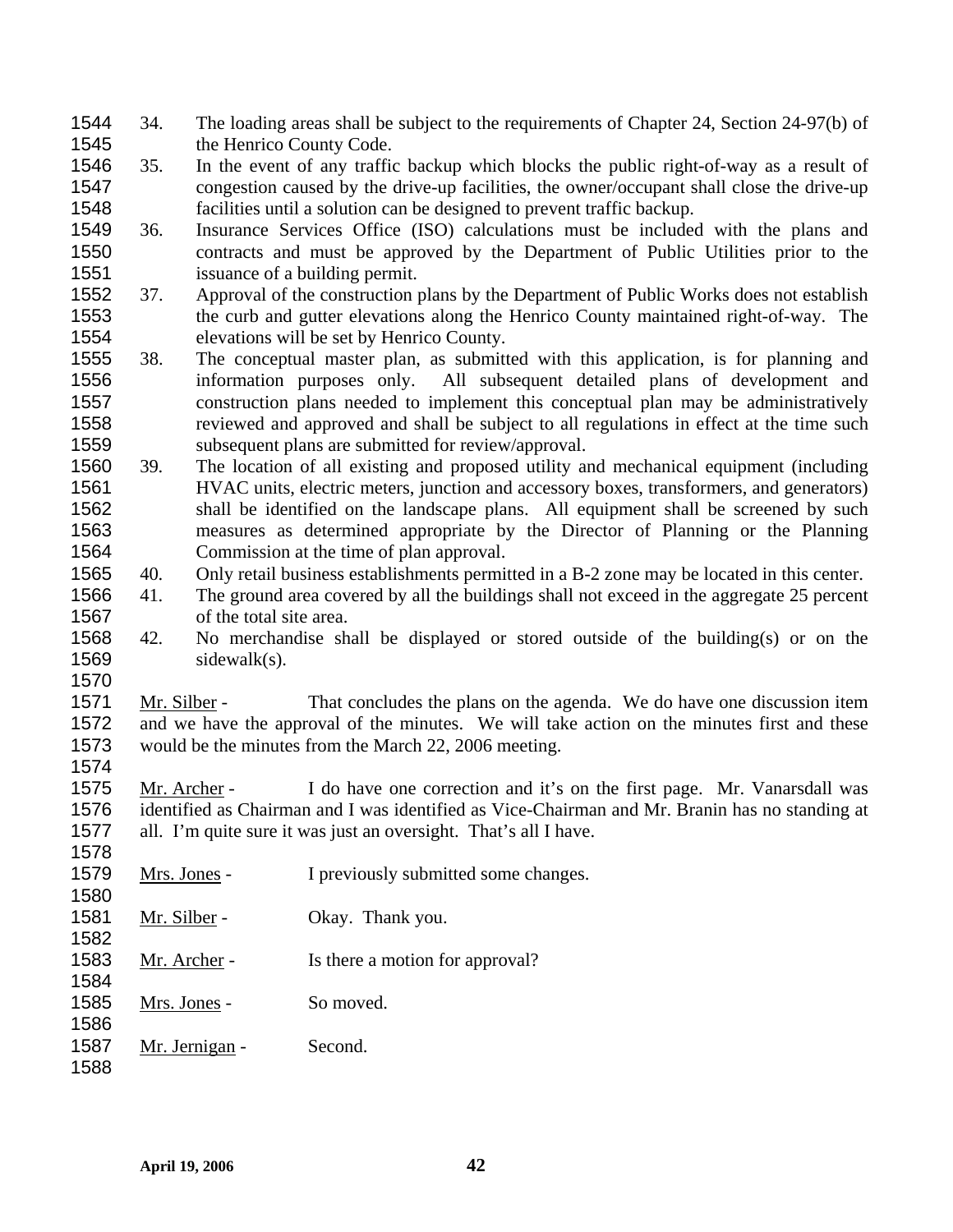- 34. The loading areas shall be subject to the requirements of Chapter 24, Section 24-97(b) of the Henrico County Code. 1544 1545
- 1546 1547 1548 35. In the event of any traffic backup which blocks the public right-of-way as a result of congestion caused by the drive-up facilities, the owner/occupant shall close the drive-up facilities until a solution can be designed to prevent traffic backup.
- 1549 1550 1551 36. Insurance Services Office (ISO) calculations must be included with the plans and contracts and must be approved by the Department of Public Utilities prior to the issuance of a building permit.
- 1552 1553 1554 37. Approval of the construction plans by the Department of Public Works does not establish the curb and gutter elevations along the Henrico County maintained right-of-way. The elevations will be set by Henrico County.
- 1555 1556 1557 1558 1559 38. The conceptual master plan, as submitted with this application, is for planning and information purposes only. All subsequent detailed plans of development and construction plans needed to implement this conceptual plan may be administratively reviewed and approved and shall be subject to all regulations in effect at the time such subsequent plans are submitted for review/approval.
- 1560 1561 1562 1563 1564 39. The location of all existing and proposed utility and mechanical equipment (including HVAC units, electric meters, junction and accessory boxes, transformers, and generators) shall be identified on the landscape plans. All equipment shall be screened by such measures as determined appropriate by the Director of Planning or the Planning Commission at the time of plan approval.
- 1565 40. Only retail business establishments permitted in a B-2 zone may be located in this center.
- 1566 1567 41. The ground area covered by all the buildings shall not exceed in the aggregate 25 percent of the total site area.
- 1568 1569 42. No merchandise shall be displayed or stored outside of the building(s) or on the sidewalk(s).

Mr. Silber - That concludes the plans on the agenda. We do have one discussion item and we have the approval of the minutes. We will take action on the minutes first and these would be the minutes from the March 22, 2006 meeting. 1571 1572 1573

Mr. Archer - I do have one correction and it's on the first page. Mr. Vanarsdall was identified as Chairman and I was identified as Vice-Chairman and Mr. Branin has no standing at all. I'm quite sure it was just an oversight. That's all I have. 1575 1576 1577

1578 1579 Mrs. Jones - I previously submitted some changes. 1580 1581 Mr. Silber - Okay. Thank you. 1582 1583 Mr. Archer - Is there a motion for approval? 1584 1585 Mrs. Jones - So moved. 1586 1587 Mr. Jernigan - Second. 1588

1570

1574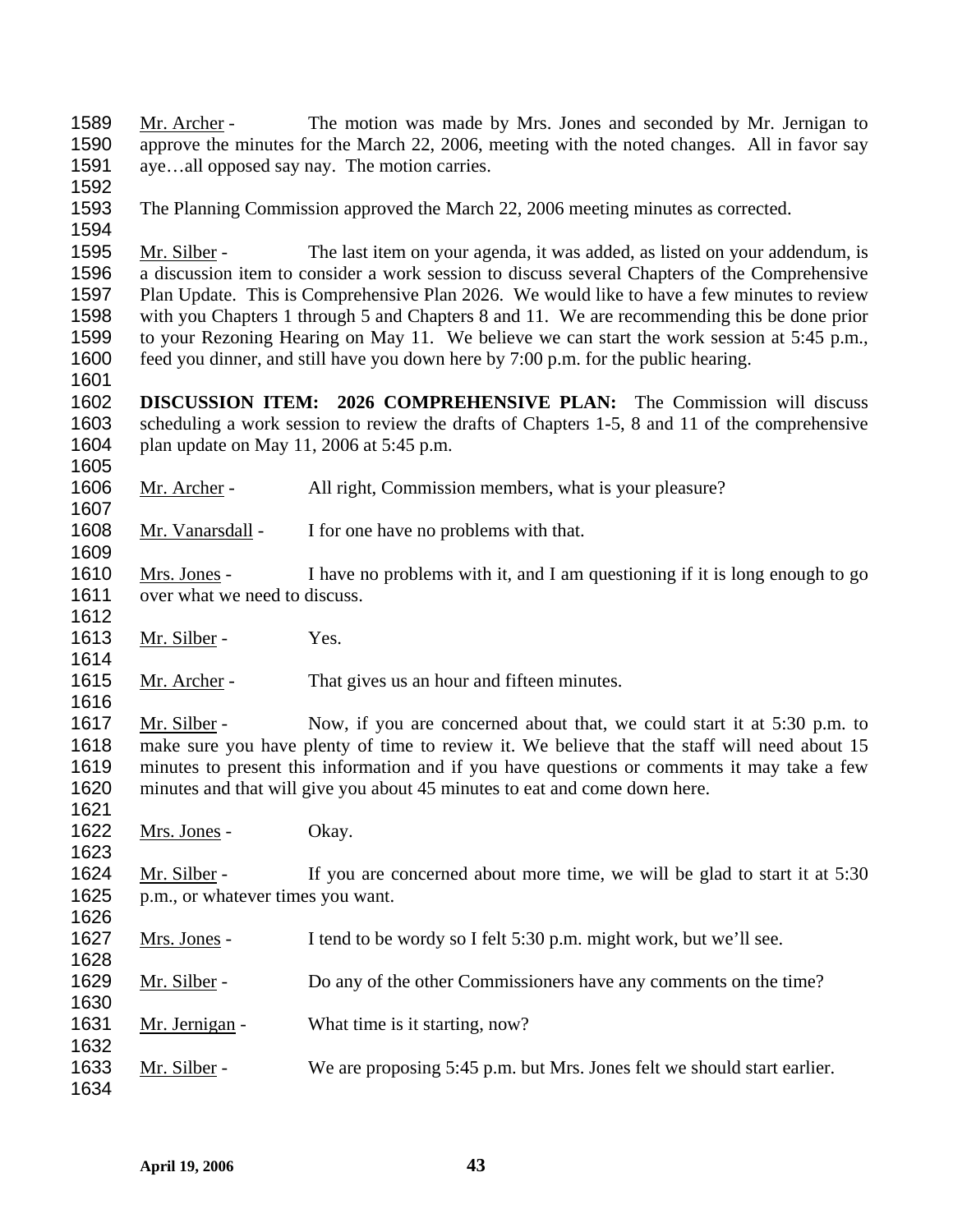Mr. Archer - The motion was made by Mrs. Jones and seconded by Mr. Jernigan to approve the minutes for the March 22, 2006, meeting with the noted changes. All in favor say aye…all opposed say nay. The motion carries. 1589 1590 1591

1592

1594

1607

1609

1614

1616

1623

1628

1632

1634

1593 The Planning Commission approved the March 22, 2006 meeting minutes as corrected.

Mr. Silber - The last item on your agenda, it was added, as listed on your addendum, is a discussion item to consider a work session to discuss several Chapters of the Comprehensive Plan Update. This is Comprehensive Plan 2026. We would like to have a few minutes to review with you Chapters 1 through 5 and Chapters 8 and 11. We are recommending this be done prior to your Rezoning Hearing on May 11. We believe we can start the work session at 5:45 p.m., feed you dinner, and still have you down here by 7:00 p.m. for the public hearing. 1595 1596 1597 1598 1599 1600 1601

1602 1603 1604 1605 **DISCUSSION ITEM: 2026 COMPREHENSIVE PLAN:** The Commission will discuss scheduling a work session to review the drafts of Chapters 1-5, 8 and 11 of the comprehensive plan update on May 11, 2006 at 5:45 p.m.

1606 Mr. Archer - All right, Commission members, what is your pleasure?

1608 Mr. Vanarsdall - I for one have no problems with that.

Mrs. Jones - I have no problems with it, and I am questioning if it is long enough to go over what we need to discuss. 1610 1611 1612

1613 Mr. Silber - Yes.

1615 Mr. Archer - That gives us an hour and fifteen minutes.

Mr. Silber - Now, if you are concerned about that, we could start it at 5:30 p.m. to make sure you have plenty of time to review it. We believe that the staff will need about 15 minutes to present this information and if you have questions or comments it may take a few minutes and that will give you about 45 minutes to eat and come down here. 1617 1618 1619 1620 1621

1622 Mrs. Jones - Okay.

Mr. Silber - If you are concerned about more time, we will be glad to start it at 5:30 p.m., or whatever times you want. 1624 1625 1626

1627 Mrs. Jones - I tend to be wordy so I felt 5:30 p.m. might work, but we'll see.

1629 Mr. Silber - Do any of the other Commissioners have any comments on the time? 1630

1631 Mr. Jernigan - What time is it starting, now?

1633 Mr. Silber - We are proposing 5:45 p.m. but Mrs. Jones felt we should start earlier.